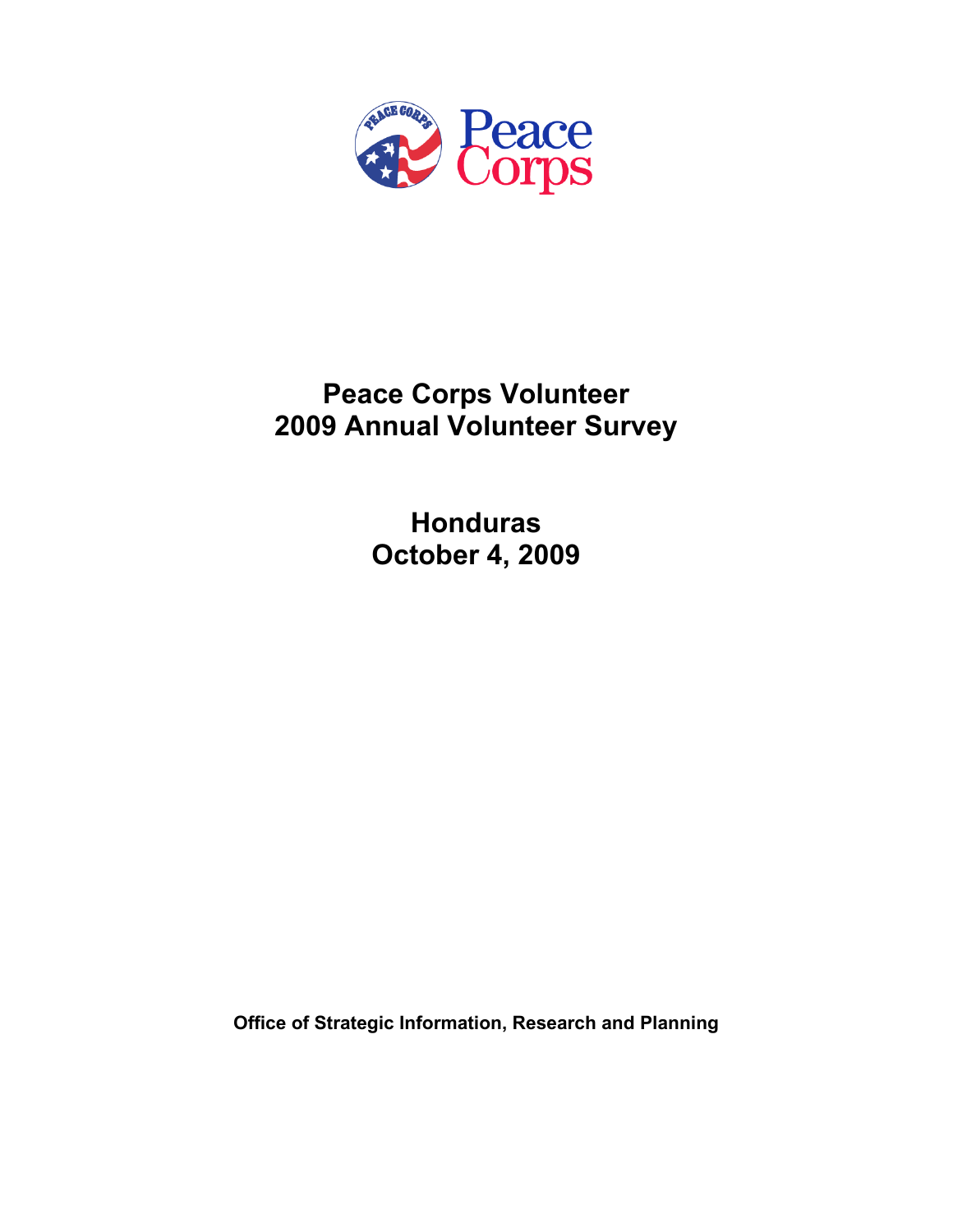

# **Peace Corps Volunteer 2009 Annual Volunteer Survey**

**Honduras October 4, 2009** 

**Office of Strategic Information, Research and Planning**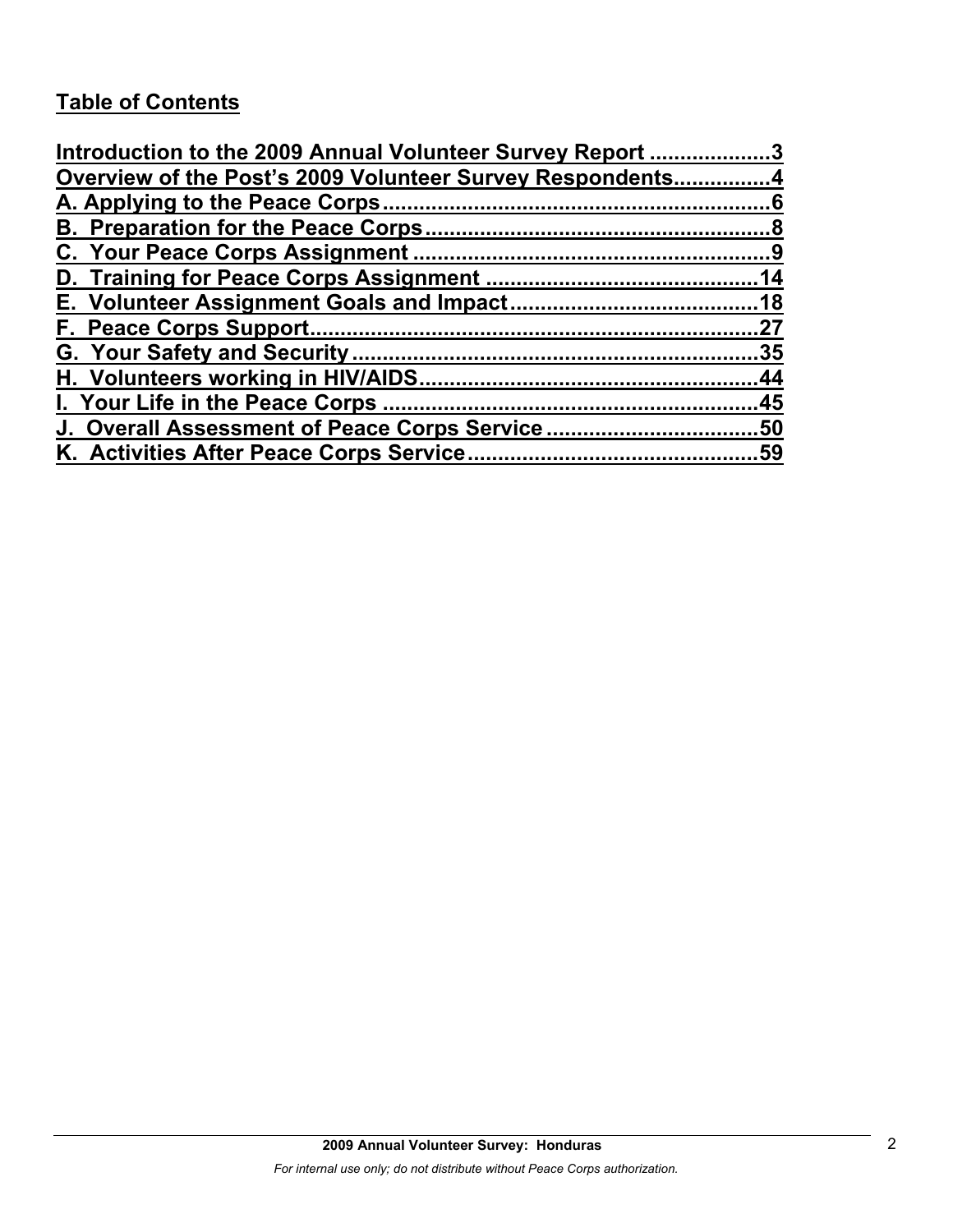# **Table of Contents**

| Introduction to the 2009 Annual Volunteer Survey Report 3 |    |
|-----------------------------------------------------------|----|
| Overview of the Post's 2009 Volunteer Survey Respondents4 |    |
|                                                           |    |
|                                                           |    |
|                                                           |    |
|                                                           |    |
|                                                           |    |
|                                                           | 27 |
|                                                           |    |
|                                                           |    |
|                                                           |    |
|                                                           |    |
|                                                           |    |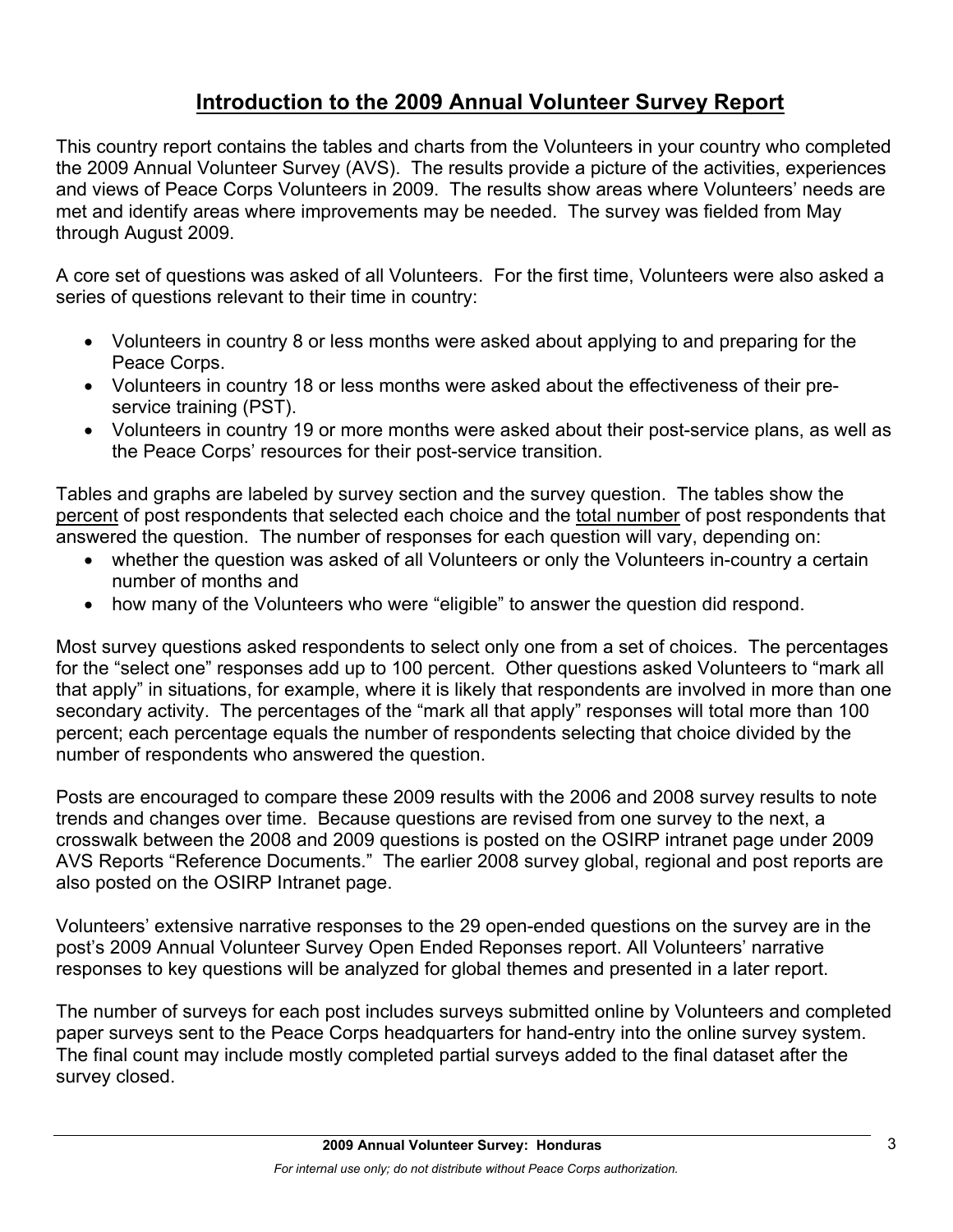# **Introduction to the 2009 Annual Volunteer Survey Report**

This country report contains the tables and charts from the Volunteers in your country who completed the 2009 Annual Volunteer Survey (AVS). The results provide a picture of the activities, experiences and views of Peace Corps Volunteers in 2009. The results show areas where Volunteers' needs are met and identify areas where improvements may be needed. The survey was fielded from May through August 2009.

A core set of questions was asked of all Volunteers. For the first time, Volunteers were also asked a series of questions relevant to their time in country:

- Volunteers in country 8 or less months were asked about applying to and preparing for the Peace Corps.
- Volunteers in country 18 or less months were asked about the effectiveness of their preservice training (PST).
- Volunteers in country 19 or more months were asked about their post-service plans, as well as the Peace Corps' resources for their post-service transition.

Tables and graphs are labeled by survey section and the survey question. The tables show the percent of post respondents that selected each choice and the total number of post respondents that answered the question. The number of responses for each question will vary, depending on:

- whether the question was asked of all Volunteers or only the Volunteers in-country a certain number of months and
- how many of the Volunteers who were "eligible" to answer the question did respond.

Most survey questions asked respondents to select only one from a set of choices. The percentages for the "select one" responses add up to 100 percent. Other questions asked Volunteers to "mark all that apply" in situations, for example, where it is likely that respondents are involved in more than one secondary activity. The percentages of the "mark all that apply" responses will total more than 100 percent; each percentage equals the number of respondents selecting that choice divided by the number of respondents who answered the question.

Posts are encouraged to compare these 2009 results with the 2006 and 2008 survey results to note trends and changes over time. Because questions are revised from one survey to the next, a crosswalk between the 2008 and 2009 questions is posted on the OSIRP intranet page under 2009 AVS Reports "Reference Documents." The earlier 2008 survey global, regional and post reports are also posted on the OSIRP Intranet page.

Volunteers' extensive narrative responses to the 29 open-ended questions on the survey are in the post's 2009 Annual Volunteer Survey Open Ended Reponses report. All Volunteers' narrative responses to key questions will be analyzed for global themes and presented in a later report.

The number of surveys for each post includes surveys submitted online by Volunteers and completed paper surveys sent to the Peace Corps headquarters for hand-entry into the online survey system. The final count may include mostly completed partial surveys added to the final dataset after the survey closed.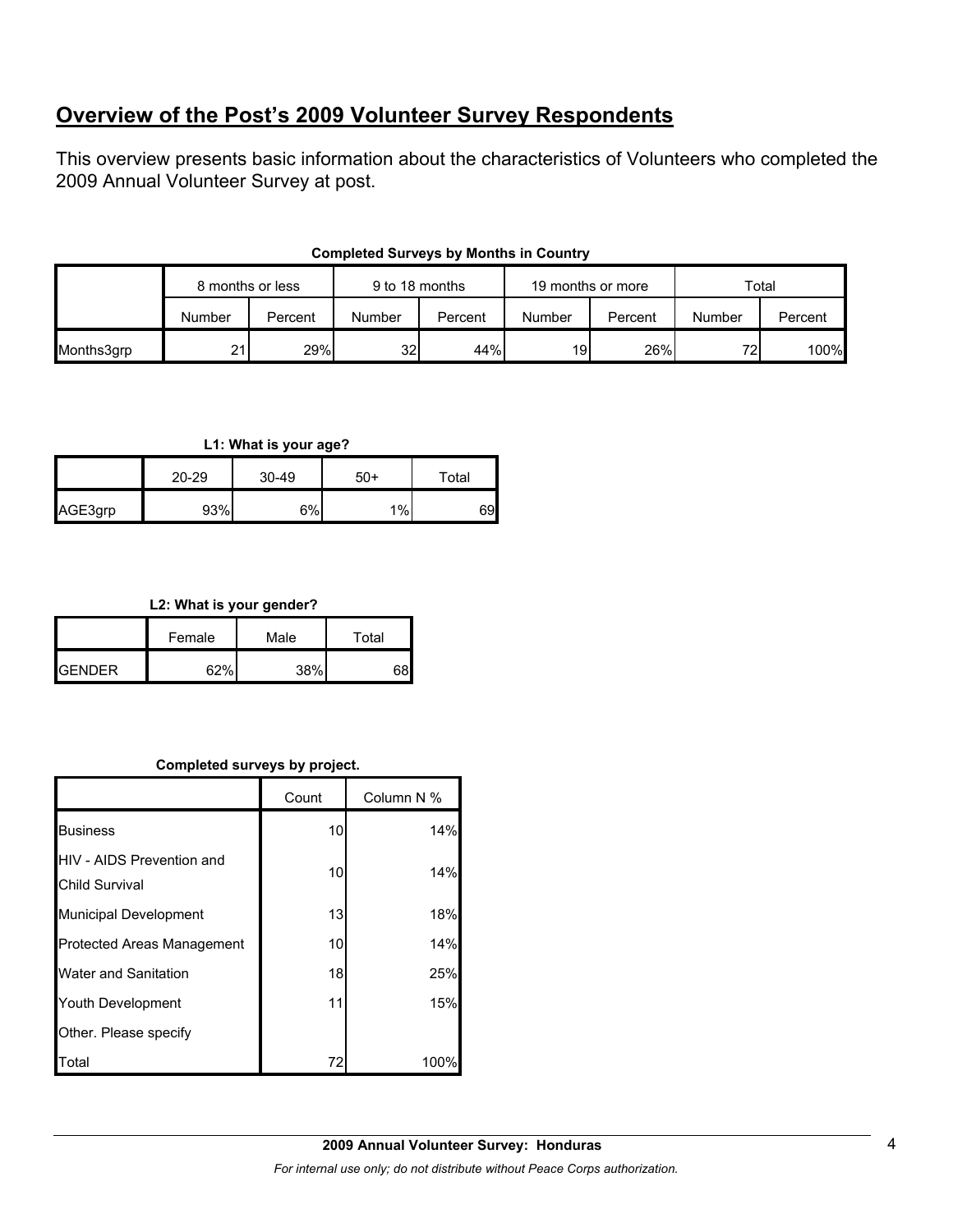# **Overview of the Post's 2009 Volunteer Survey Respondents**

This overview presents basic information about the characteristics of Volunteers who completed the 2009 Annual Volunteer Survey at post.

| <b>Completed Surveys by Months in Country</b> |  |  |  |  |
|-----------------------------------------------|--|--|--|--|
|-----------------------------------------------|--|--|--|--|

|            | 9 to 18 months<br>19 months or more<br>8 months or less |         |        |         |        | Total   |        |         |
|------------|---------------------------------------------------------|---------|--------|---------|--------|---------|--------|---------|
|            | Number                                                  | Percent | Number | Percent | Number | Percent | Number | Percent |
| Months3grp | 21                                                      | 29%     | 32     | 44%     | 19     | 26%     | 721    | 100%    |

#### **L1: What is your age?**

|         | 20-29 | 30-49 | $50+$ | Total |
|---------|-------|-------|-------|-------|
| AGE3grp | 93%   | 6%    | $1\%$ | 69    |

#### **L2: What is your gender?**

|                 | Female | Male | Total |
|-----------------|--------|------|-------|
| <b>I</b> GENDER | 200L   | 38%  |       |

## **Completed surveys by project.**

|                                                           | Count | Column N % |
|-----------------------------------------------------------|-------|------------|
| <b>Business</b>                                           | 10    | 14%        |
| <b>HIV - AIDS Prevention and</b><br><b>Child Survival</b> | 10    | 14%        |
| <b>Municipal Development</b>                              | 13    | 18%        |
| Protected Areas Management                                | 10    | 14%        |
| <b>Water and Sanitation</b>                               | 18    | 25%        |
| Youth Development                                         | 11    | 15%        |
| Other. Please specify                                     |       |            |
| Total                                                     | 72    | 100%       |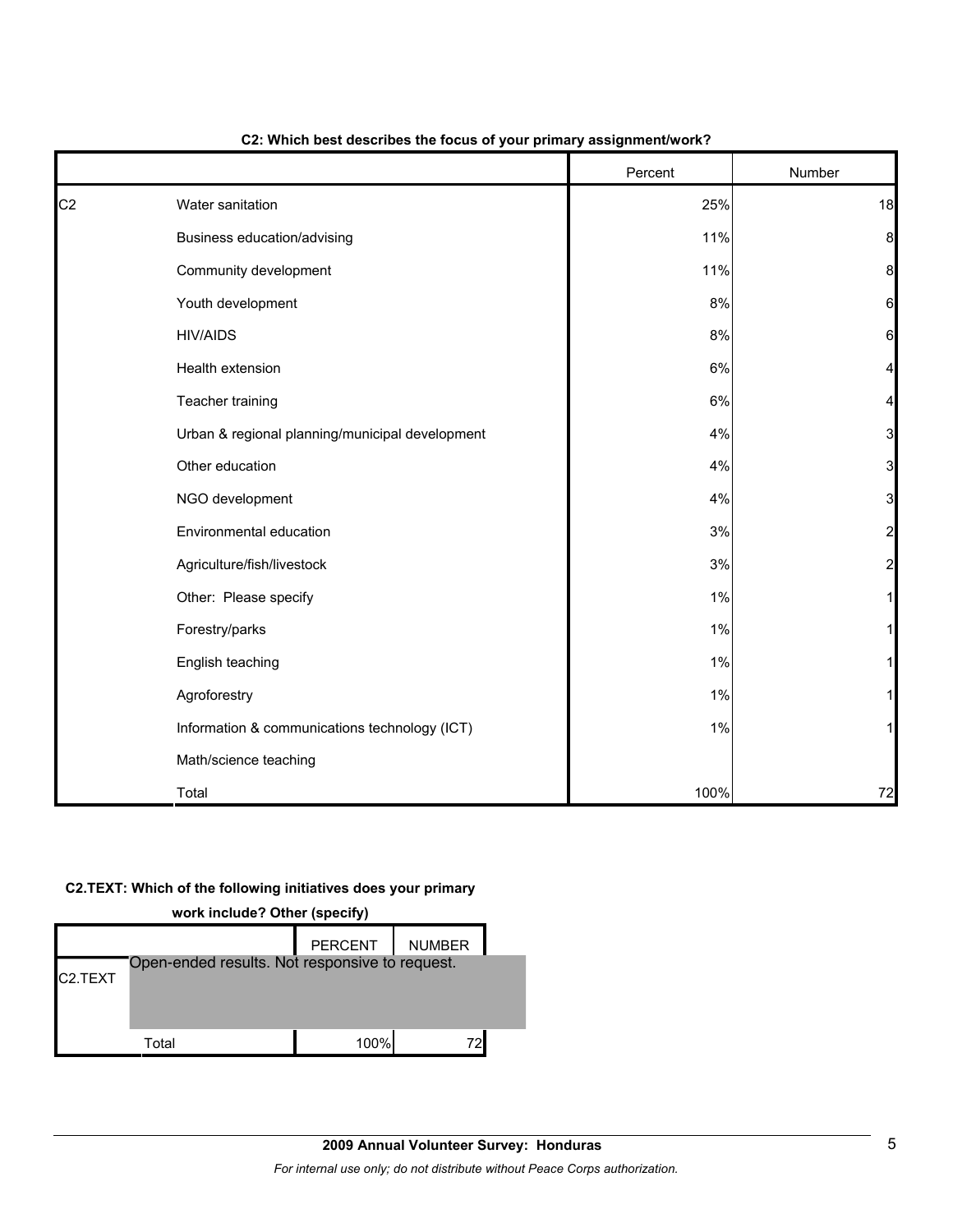|                |                                                 | Percent | Number         |
|----------------|-------------------------------------------------|---------|----------------|
| C <sub>2</sub> | Water sanitation                                | 25%     | 18             |
|                | Business education/advising                     | 11%     | 8              |
|                | Community development                           | 11%     | 8              |
|                | Youth development                               | 8%      | 6              |
|                | <b>HIV/AIDS</b>                                 | 8%      | 6              |
|                | Health extension                                | 6%      | 4              |
|                | Teacher training                                | 6%      | 4              |
|                | Urban & regional planning/municipal development | 4%      | 3              |
|                | Other education                                 | 4%      | 3              |
|                | NGO development                                 | 4%      | 3              |
|                | Environmental education                         | 3%      | $\overline{a}$ |
|                | Agriculture/fish/livestock                      | 3%      | $\overline{a}$ |
|                | Other: Please specify                           | 1%      |                |
|                | Forestry/parks                                  | 1%      |                |
|                | English teaching                                | 1%      |                |
|                | Agroforestry                                    | 1%      |                |
|                | Information & communications technology (ICT)   | 1%      |                |
|                | Math/science teaching                           |         |                |
|                | Total                                           | 100%    | 72             |

#### **C2: Which best describes the focus of your primary assignment/work?**

#### **C2.TEXT: Which of the following initiatives does your primary**

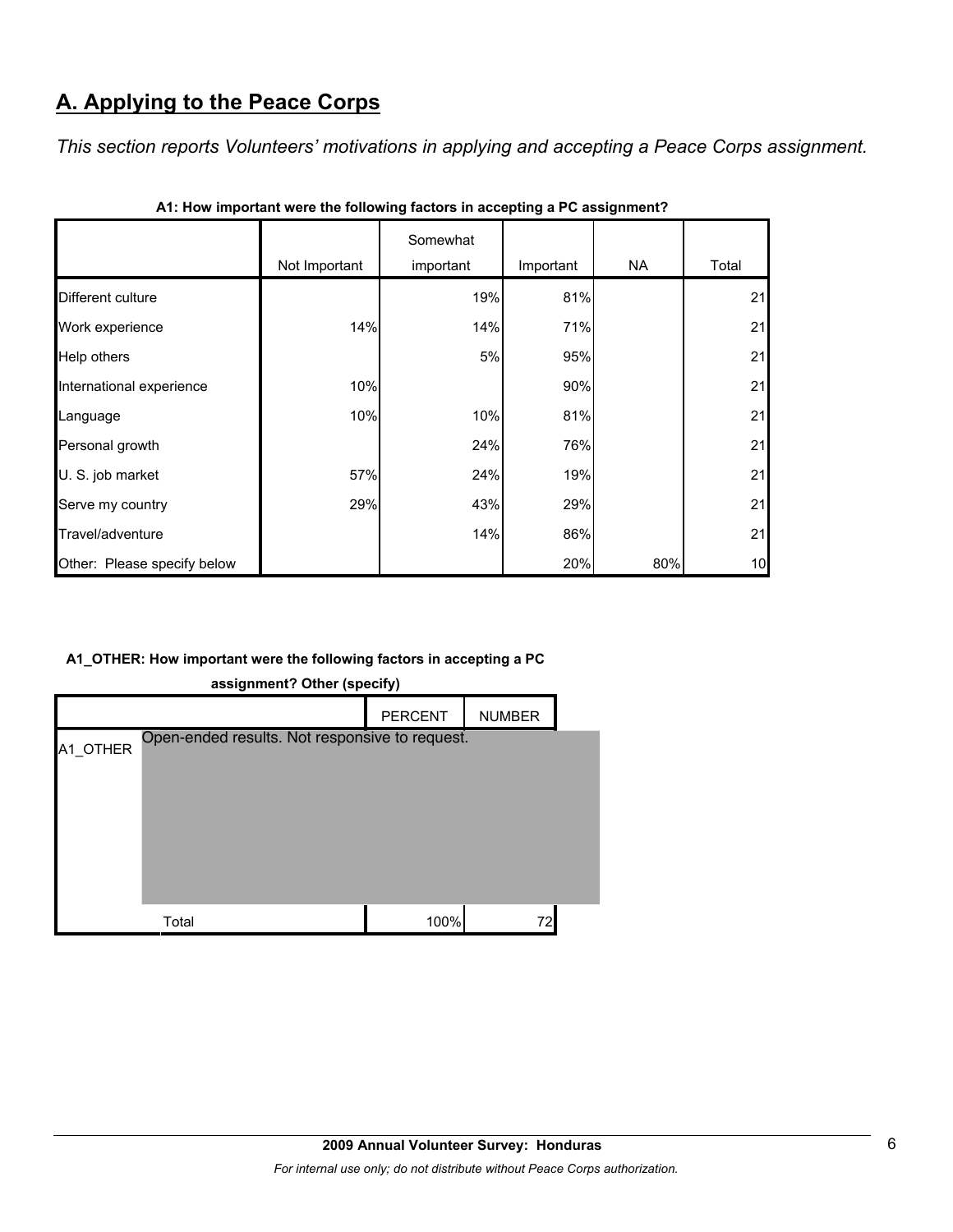# **A. Applying to the Peace Corps**

*This section reports Volunteers' motivations in applying and accepting a Peace Corps assignment.* 

|                             | Not Important | Somewhat<br>important | Important | NA. | Total |
|-----------------------------|---------------|-----------------------|-----------|-----|-------|
| Different culture           |               | 19%                   | 81%       |     | 21    |
| Work experience             | 14%           | 14%                   | 71%       |     | 21    |
| Help others                 |               | 5%                    | 95%       |     | 21    |
| International experience    | 10%           |                       | 90%       |     | 21    |
| Language                    | 10%           | 10%                   | 81%       |     | 21    |
| Personal growth             |               | 24%                   | 76%       |     | 21    |
| U. S. job market            | 57%           | 24%                   | 19%       |     | 21    |
| Serve my country            | 29%           | 43%                   | 29%       |     | 21    |
| Travel/adventure            |               | 14%                   | 86%       |     | 21    |
| Other: Please specify below |               |                       | 20%       | 80% | 10    |

| A1: How important were the following factors in accepting a PC assignment? |  |  |
|----------------------------------------------------------------------------|--|--|
|                                                                            |  |  |

## **A1\_OTHER: How important were the following factors in accepting a PC**

| ٠.<br><br>-- , , |                                                |      |  |  |  |  |  |  |
|------------------|------------------------------------------------|------|--|--|--|--|--|--|
|                  | <b>PERCENT</b><br><b>NUMBER</b>                |      |  |  |  |  |  |  |
| A1 OTHER         | Open-ended results. Not responsive to request. |      |  |  |  |  |  |  |
|                  | Total                                          | 100% |  |  |  |  |  |  |

**assignment? Other (specify)**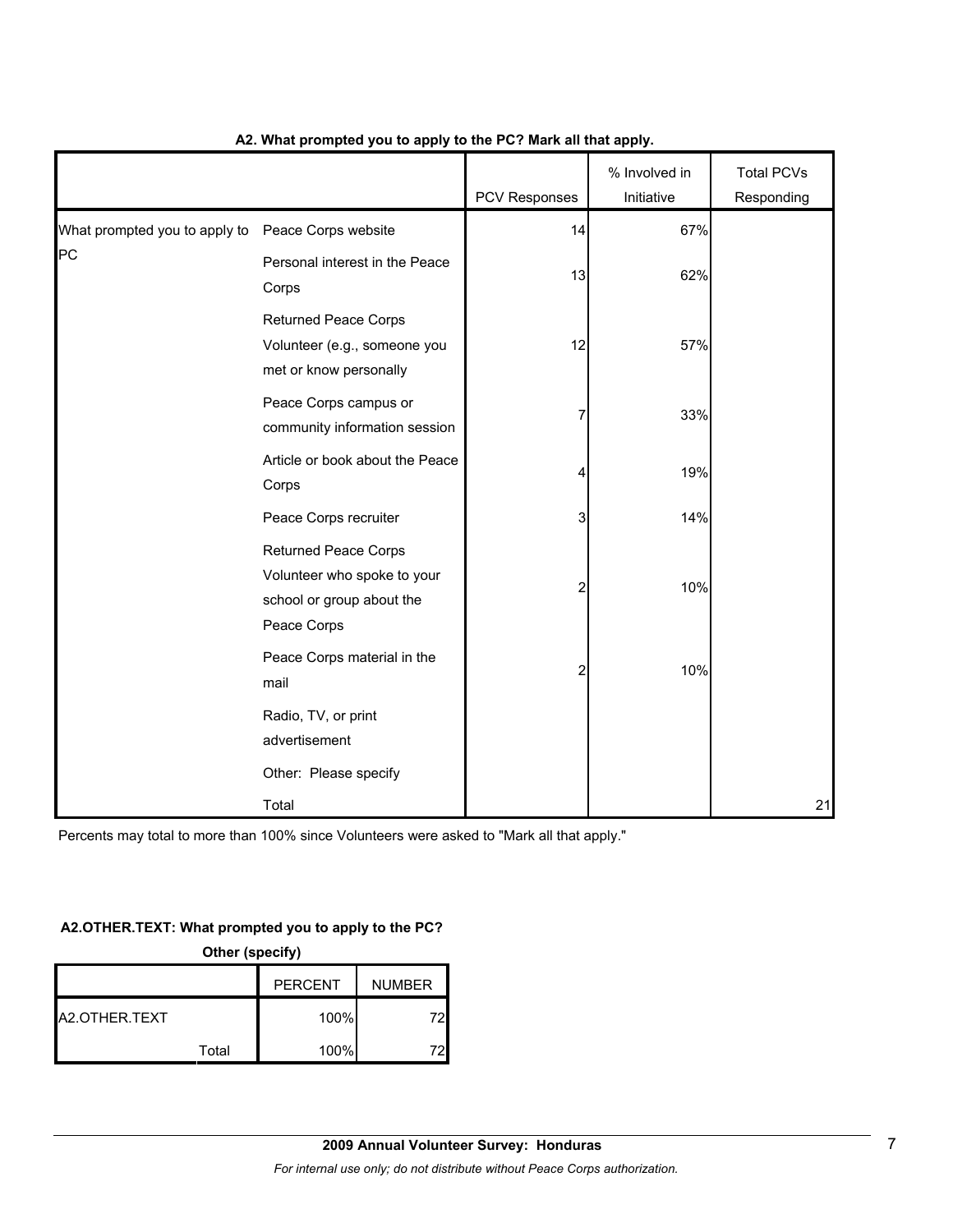|                                                   |                                                                                                        | <b>PCV Responses</b> | % Involved in<br>Initiative | <b>Total PCVs</b><br>Responding |
|---------------------------------------------------|--------------------------------------------------------------------------------------------------------|----------------------|-----------------------------|---------------------------------|
| What prompted you to apply to Peace Corps website |                                                                                                        | 14                   | 67%                         |                                 |
| PC                                                | Personal interest in the Peace<br>Corps                                                                | 13                   | 62%                         |                                 |
|                                                   | <b>Returned Peace Corps</b><br>Volunteer (e.g., someone you<br>met or know personally                  | 12                   | 57%                         |                                 |
|                                                   | Peace Corps campus or<br>community information session                                                 | 7                    | 33%                         |                                 |
|                                                   | Article or book about the Peace<br>Corps                                                               | 4                    | 19%                         |                                 |
|                                                   | Peace Corps recruiter                                                                                  | 3                    | 14%                         |                                 |
|                                                   | <b>Returned Peace Corps</b><br>Volunteer who spoke to your<br>school or group about the<br>Peace Corps | $\overline{2}$       | 10%                         |                                 |
|                                                   | Peace Corps material in the<br>mail                                                                    | 2                    | 10%                         |                                 |
|                                                   | Radio, TV, or print<br>advertisement                                                                   |                      |                             |                                 |
|                                                   | Other: Please specify                                                                                  |                      |                             |                                 |
|                                                   | Total                                                                                                  |                      |                             | 21                              |

## **A2. What prompted you to apply to the PC? Mark all that apply.**

Percents may total to more than 100% since Volunteers were asked to "Mark all that apply."

## **A2.OTHER.TEXT: What prompted you to apply to the PC?**

| Other (specify) |       |                |               |
|-----------------|-------|----------------|---------------|
|                 |       | <b>PERCENT</b> | <b>NUMBER</b> |
| A2.OTHER.TEXT   |       | 100%           | 72            |
|                 | Total | 100%           |               |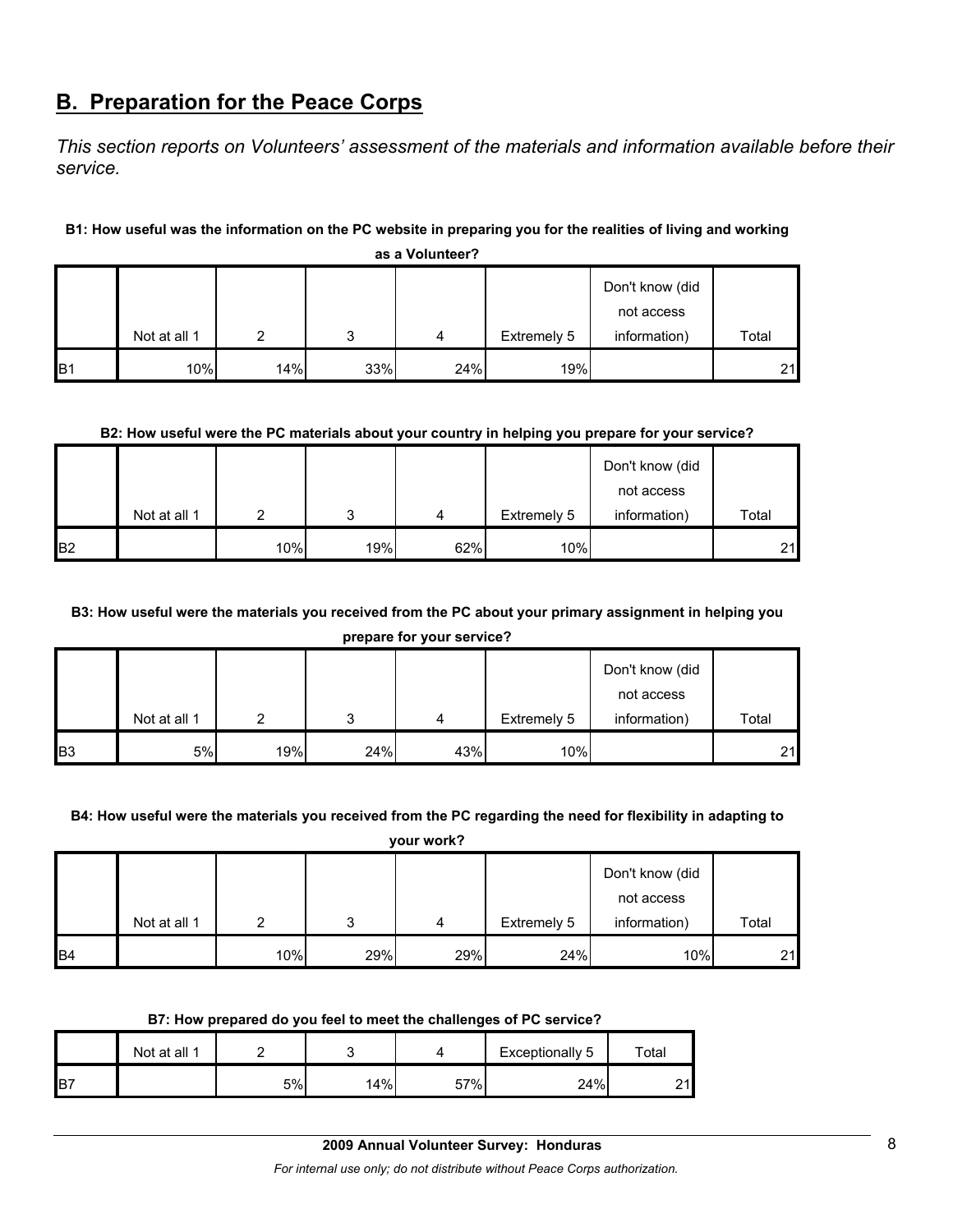## **B. Preparation for the Peace Corps**

*This section reports on Volunteers' assessment of the materials and information available before their service.* 

## **B1: How useful was the information on the PC website in preparing you for the realities of living and working**

|                |              |     |     |     |             | Don't know (did<br>not access |       |  |  |
|----------------|--------------|-----|-----|-----|-------------|-------------------------------|-------|--|--|
|                |              |     | ິ   |     |             | information)                  | Total |  |  |
|                | Not at all 1 |     |     | 4   | Extremely 5 |                               |       |  |  |
| B <sub>1</sub> | 10%          | 14% | 33% | 24% | 19%         |                               | 21    |  |  |

**as a Volunteer?**

## **B2: How useful were the PC materials about your country in helping you prepare for your service?**

|                |              |     |     |     |             | Don't know (did |       |
|----------------|--------------|-----|-----|-----|-------------|-----------------|-------|
|                |              |     |     |     |             | not access      |       |
|                | Not at all 1 | ◠   | 2   | 4   | Extremely 5 | information)    | Total |
| B <sub>2</sub> |              | 10% | 19% | 62% | 10%         |                 | 21    |

## **B3: How useful were the materials you received from the PC about your primary assignment in helping you**

**prepare for your service?**

|                |              |     |     |     |             | Don't know (did |       |
|----------------|--------------|-----|-----|-----|-------------|-----------------|-------|
|                |              |     |     |     |             | not access      |       |
|                | Not at all 1 |     |     | 4   | Extremely 5 | information)    | Total |
| B <sub>3</sub> | 5%           | 19% | 24% | 43% | 10%         |                 | 21    |

#### **B4: How useful were the materials you received from the PC regarding the need for flexibility in adapting to**

**your work?**

|                 |              |     |     |     |             | Don't know (did            |       |
|-----------------|--------------|-----|-----|-----|-------------|----------------------------|-------|
|                 | Not at all 1 |     |     | 4   | Extremely 5 | not access<br>information) | Total |
| IB <sub>4</sub> |              | 10% | 29% | 29% | 24%         | 10%                        | 21    |

#### **B7: How prepared do you feel to meet the challenges of PC service?**

|     | Not at all 1 |    |     |     | Exceptionally 5 | $\tau$ otal |
|-----|--------------|----|-----|-----|-----------------|-------------|
| IB7 |              | 5% | 14% | 57% | 24%             | n 11        |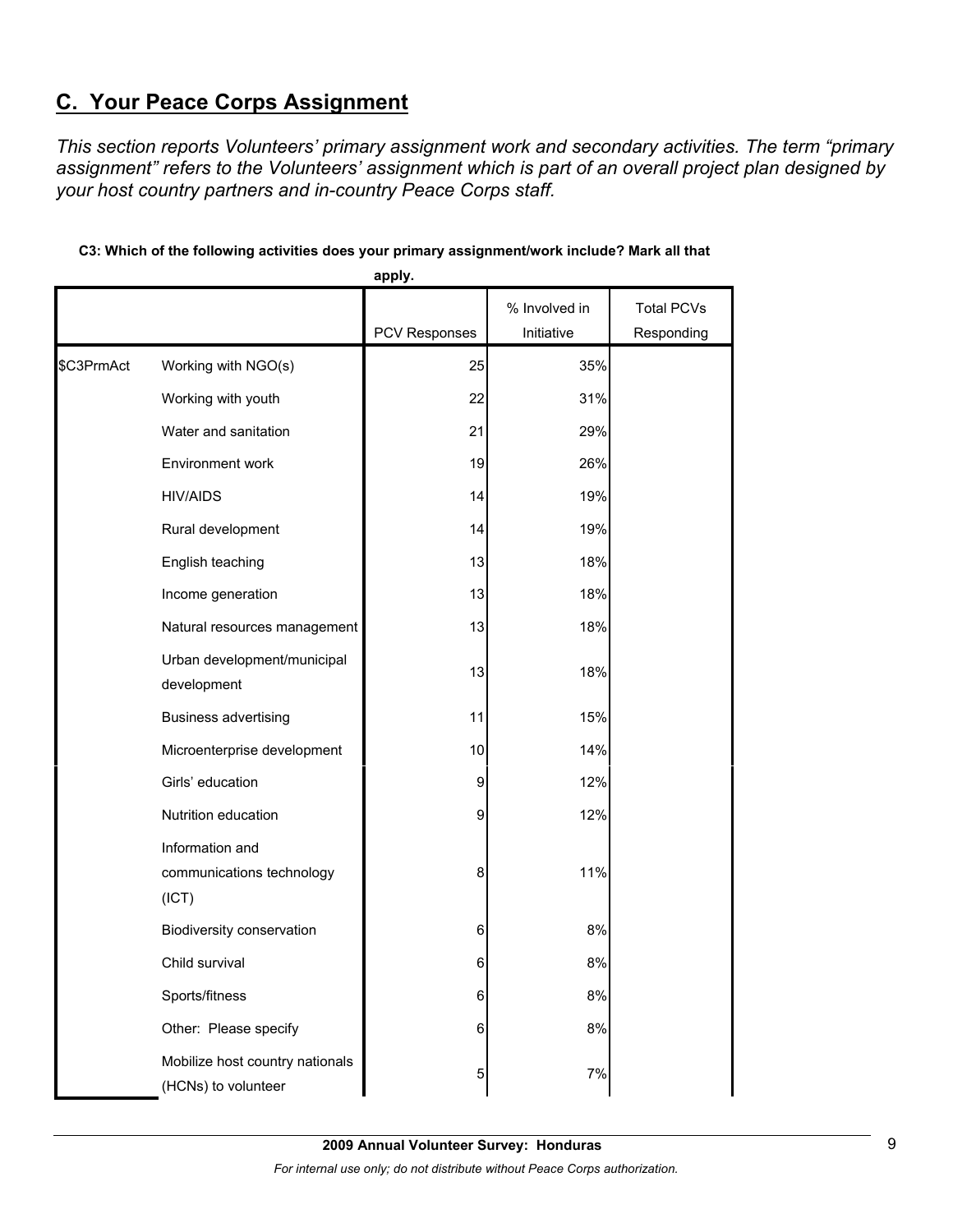# **C. Your Peace Corps Assignment**

*This section reports Volunteers' primary assignment work and secondary activities. The term "primary assignment" refers to the Volunteers' assignment which is part of an overall project plan designed by your host country partners and in-country Peace Corps staff.* 

|            |                                                        | apply.               |               |                   |
|------------|--------------------------------------------------------|----------------------|---------------|-------------------|
|            |                                                        |                      | % Involved in | <b>Total PCVs</b> |
|            |                                                        | <b>PCV Responses</b> | Initiative    | Responding        |
| \$C3PrmAct | Working with NGO(s)                                    | 25                   | 35%           |                   |
|            | Working with youth                                     | 22                   | 31%           |                   |
|            | Water and sanitation                                   | 21                   | 29%           |                   |
|            | Environment work                                       | 19                   | 26%           |                   |
|            | <b>HIV/AIDS</b>                                        | 14                   | 19%           |                   |
|            | Rural development                                      | 14                   | 19%           |                   |
|            | English teaching                                       | 13                   | 18%           |                   |
|            | Income generation                                      | 13                   | 18%           |                   |
|            | Natural resources management                           | 13                   | 18%           |                   |
|            | Urban development/municipal<br>development             | 13                   | 18%           |                   |
|            | <b>Business advertising</b>                            | 11                   | 15%           |                   |
|            | Microenterprise development                            | 10                   | 14%           |                   |
|            | Girls' education                                       | 9                    | 12%           |                   |
|            | Nutrition education                                    | 9                    | 12%           |                   |
|            | Information and<br>communications technology<br>(ICT)  | 8                    | 11%           |                   |
|            | Biodiversity conservation                              | 6                    | 8%            |                   |
|            | Child survival                                         | 6                    | 8%            |                   |
|            | Sports/fitness                                         | 6                    | 8%            |                   |
|            | Other: Please specify                                  | 6                    | 8%            |                   |
|            | Mobilize host country nationals<br>(HCNs) to volunteer | 5                    | $7\%$         |                   |

## **C3: Which of the following activities does your primary assignment/work include? Mark all that**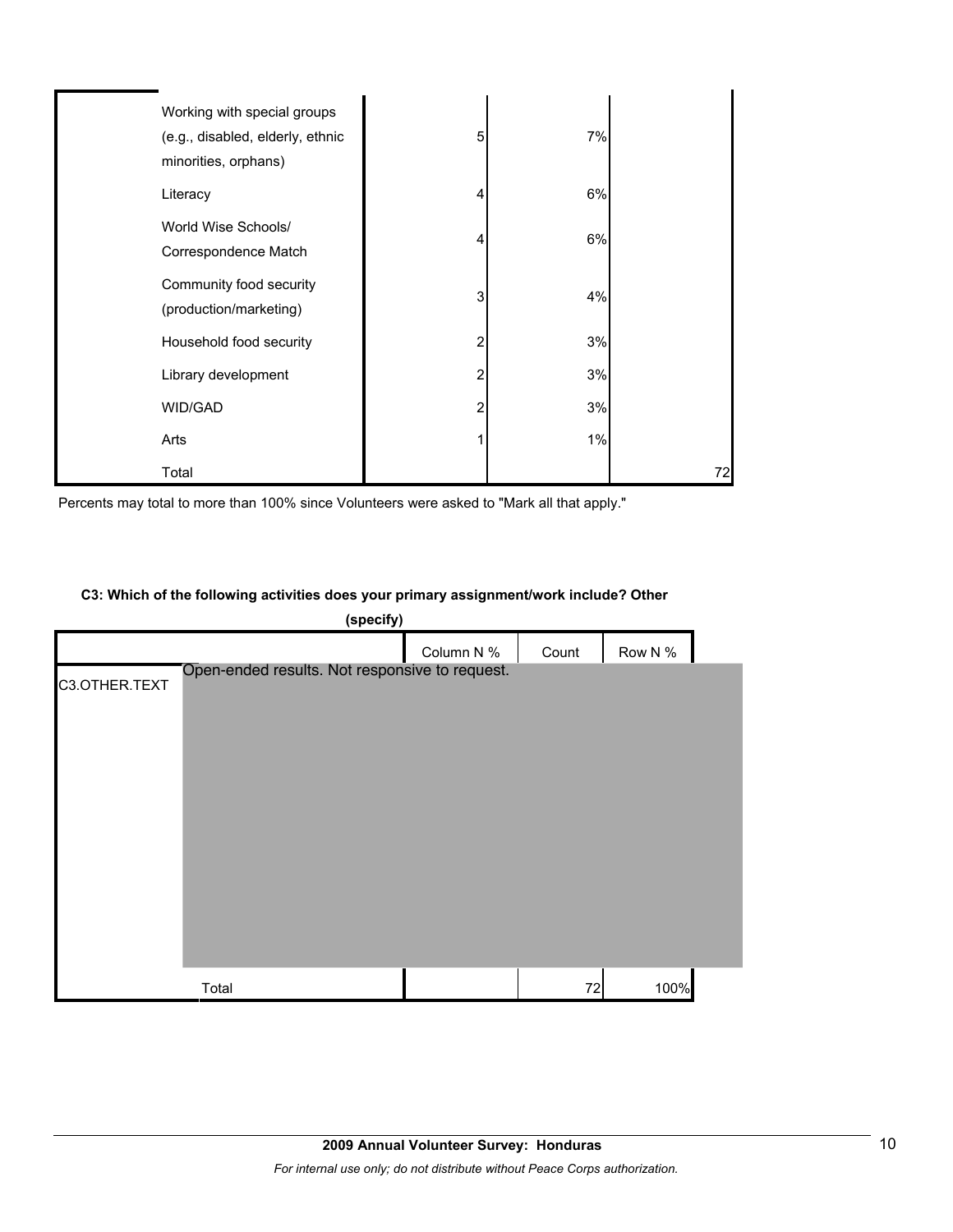| Working with special groups<br>(e.g., disabled, elderly, ethnic<br>minorities, orphans) | 5 | 7% |    |
|-----------------------------------------------------------------------------------------|---|----|----|
| Literacy                                                                                | 4 | 6% |    |
| World Wise Schools/<br>Correspondence Match                                             | 4 | 6% |    |
| Community food security<br>(production/marketing)                                       | 3 | 4% |    |
| Household food security                                                                 | 2 | 3% |    |
| Library development                                                                     | 2 | 3% |    |
| WID/GAD                                                                                 | 2 | 3% |    |
| Arts                                                                                    |   | 1% |    |
| Total                                                                                   |   |    | 72 |

Percents may total to more than 100% since Volunteers were asked to "Mark all that apply."

## **C3: Which of the following activities does your primary assignment/work include? Other**

|               | (specify)                                      |            |       |         |  |
|---------------|------------------------------------------------|------------|-------|---------|--|
|               |                                                | Column N % | Count | Row N % |  |
| C3.OTHER.TEXT | Open-ended results. Not responsive to request. |            |       |         |  |
|               |                                                |            |       |         |  |
|               |                                                |            |       |         |  |
|               |                                                |            |       |         |  |
|               |                                                |            |       |         |  |
|               |                                                |            |       |         |  |
|               |                                                |            |       |         |  |
|               |                                                |            |       |         |  |
|               |                                                |            |       |         |  |
|               | Total                                          |            | 72    | 100%    |  |
|               |                                                |            |       |         |  |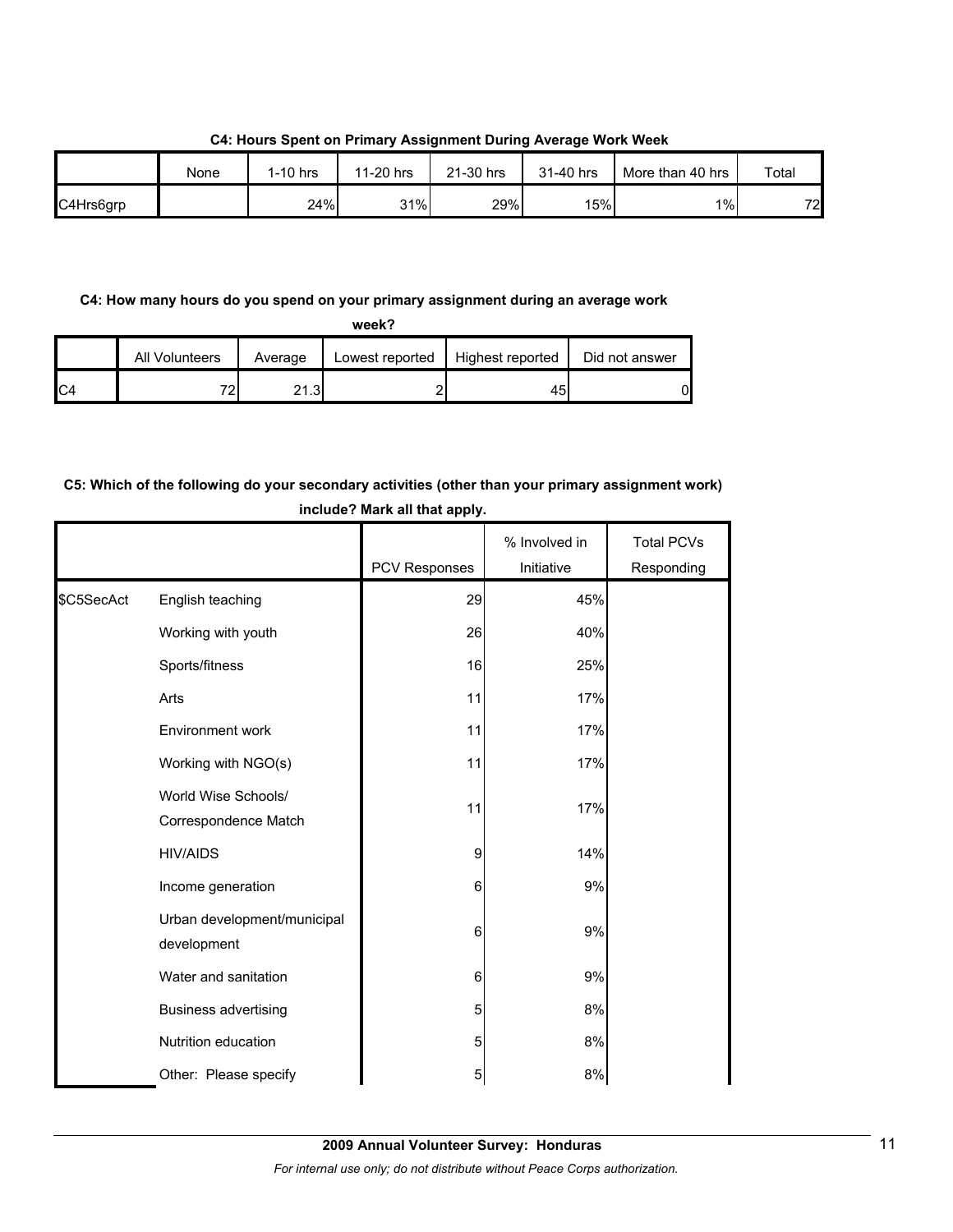|           | None | $1-10$ hrs | 11-20 hrs | 21-30 hrs | 31-40 hrs | More than 40 hrs | Total |
|-----------|------|------------|-----------|-----------|-----------|------------------|-------|
| C4Hrs6grp |      | 24%        | 31%       | 29%       | 15%       | 1%               | 72    |

**C4: Hours Spent on Primary Assignment During Average Work Week**

## **C4: How many hours do you spend on your primary assignment during an average work**

|                | All Volunteers | Average | Lowest reported | Highest reported | Did not answer |
|----------------|----------------|---------|-----------------|------------------|----------------|
| C <sub>4</sub> | 70.            | 21.3    |                 |                  | N              |

## **C5: Which of the following do your secondary activities (other than your primary assignment work) include? Mark all that apply.**

|            |                                             | PCV Responses | % Involved in<br>Initiative | <b>Total PCVs</b><br>Responding |
|------------|---------------------------------------------|---------------|-----------------------------|---------------------------------|
| \$C5SecAct | English teaching                            | 29            | 45%                         |                                 |
|            | Working with youth                          | 26            | 40%                         |                                 |
|            | Sports/fitness                              | 16            | 25%                         |                                 |
|            | Arts                                        | 11            | 17%                         |                                 |
|            | Environment work                            | 11            | 17%                         |                                 |
|            | Working with NGO(s)                         | 11            | 17%                         |                                 |
|            | World Wise Schools/<br>Correspondence Match | 11            | 17%                         |                                 |
|            | <b>HIV/AIDS</b>                             | 9             | 14%                         |                                 |
|            | Income generation                           | 6             | 9%                          |                                 |
|            | Urban development/municipal<br>development  | 6             | 9%                          |                                 |
|            | Water and sanitation                        | 6             | 9%                          |                                 |
|            | <b>Business advertising</b>                 | 5             | 8%                          |                                 |
|            | Nutrition education                         | 5             | 8%                          |                                 |
|            | Other: Please specify                       | 5             | 8%                          |                                 |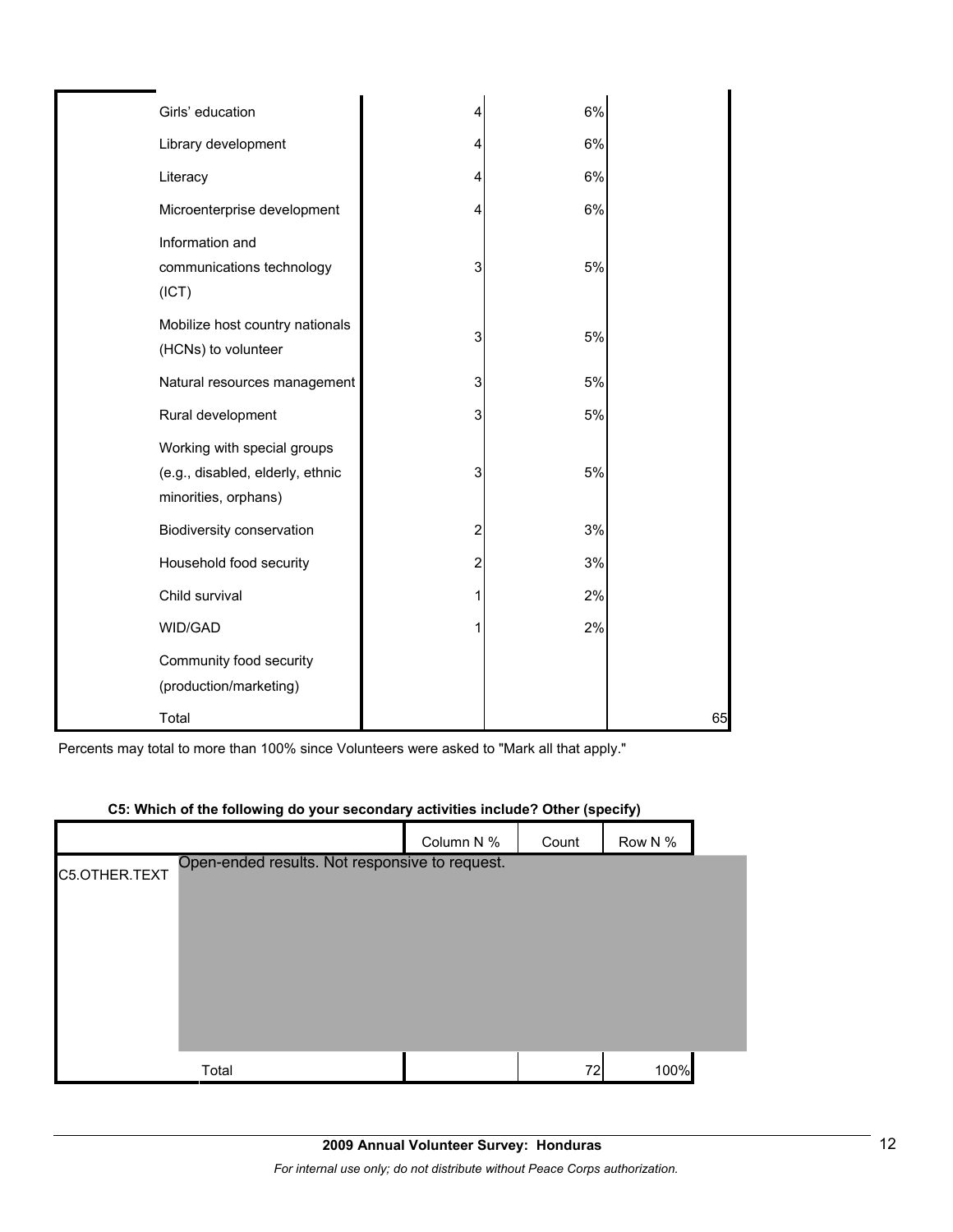| Girls' education                                                                        | 4              | 6% |    |
|-----------------------------------------------------------------------------------------|----------------|----|----|
|                                                                                         |                |    |    |
| Library development                                                                     | 4              | 6% |    |
| Literacy                                                                                | 4              | 6% |    |
| Microenterprise development                                                             | 4              | 6% |    |
| Information and<br>communications technology<br>(ICT)                                   | 3              | 5% |    |
| Mobilize host country nationals<br>(HCNs) to volunteer                                  | 3              | 5% |    |
| Natural resources management                                                            | 3              | 5% |    |
| Rural development                                                                       | 3              | 5% |    |
| Working with special groups<br>(e.g., disabled, elderly, ethnic<br>minorities, orphans) | 3              | 5% |    |
| Biodiversity conservation                                                               | $\overline{c}$ | 3% |    |
| Household food security                                                                 | $\overline{c}$ | 3% |    |
| Child survival                                                                          | 1              | 2% |    |
| WID/GAD                                                                                 | 1              | 2% |    |
| Community food security<br>(production/marketing)                                       |                |    |    |
| Total                                                                                   |                |    | 65 |

Percents may total to more than 100% since Volunteers were asked to "Mark all that apply."

|               | <b>CJ. WHICH OF the following ab your secondary activities include: Other (specify)</b> |            |       |         |  |
|---------------|-----------------------------------------------------------------------------------------|------------|-------|---------|--|
|               |                                                                                         | Column N % | Count | Row N % |  |
| C5.OTHER.TEXT | Open-ended results. Not responsive to request.                                          |            |       |         |  |
|               | Total                                                                                   |            | 72    | 100%    |  |

## **C5: Which of the following do your secondary activities include? Other (specify)**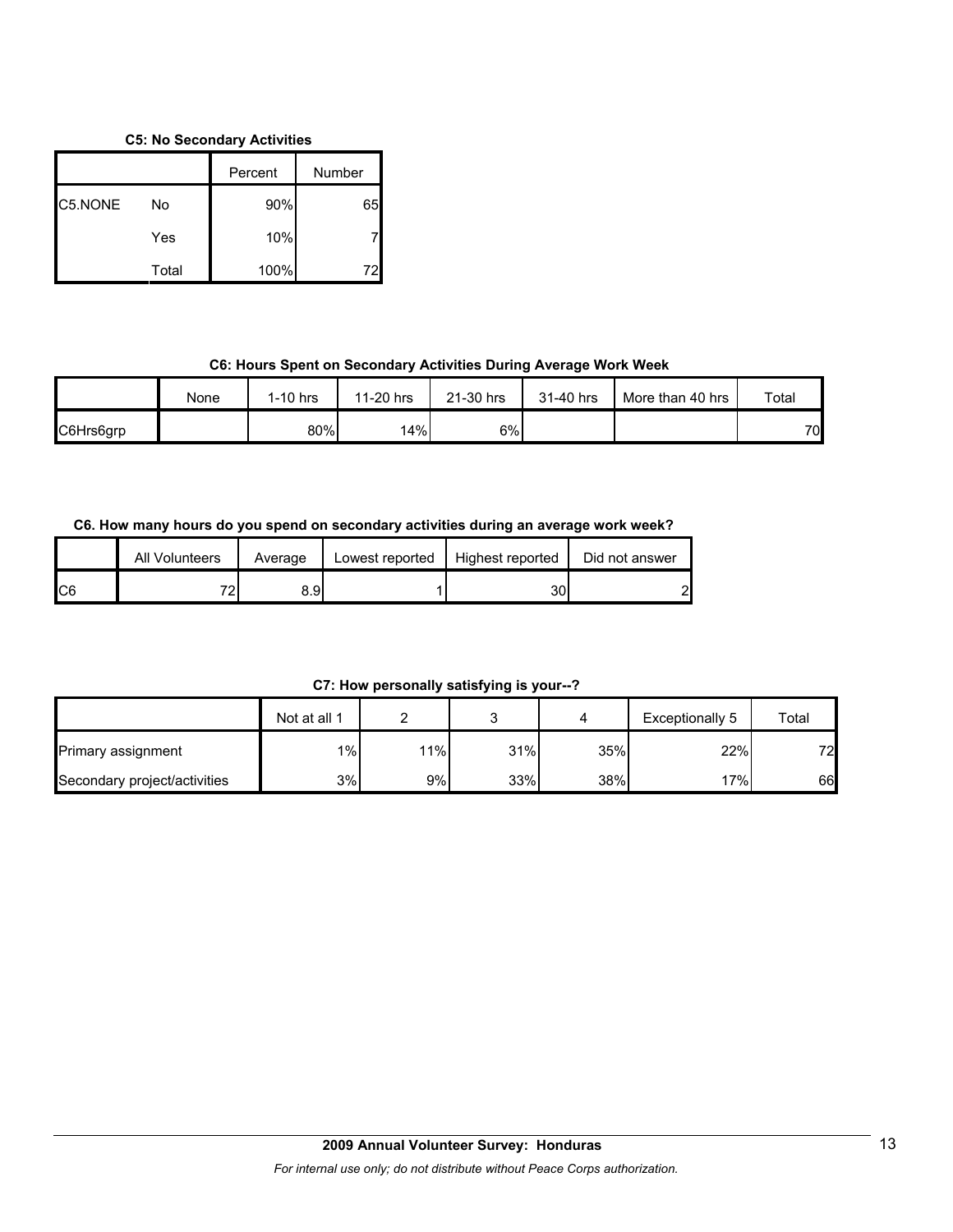## **C5: No Secondary Activities**

|         |       | Percent | Number |
|---------|-------|---------|--------|
| C5.NONE | No    | 90%     | 65     |
|         | Yes   | 10%     |        |
|         | Total | 100%    |        |

## **C6: Hours Spent on Secondary Activities During Average Work Week**

|           | None | $1-10$ hrs | 11-20 hrs | 21-30 hrs | 31-40 hrs | More than 40 hrs | Total |
|-----------|------|------------|-----------|-----------|-----------|------------------|-------|
| C6Hrs6grp |      | 80%        | 14%       | 6%        |           |                  | 70    |

## **C6. How many hours do you spend on secondary activities during an average work week?**

|     | All Volunteers | Average | Lowest reported | Highest reported | Did not answer |
|-----|----------------|---------|-----------------|------------------|----------------|
| IC6 | 70             | 8.9I    |                 | 30               | റ              |

**C7: How personally satisfying is your--?**

|                              | Not at all 1 |     |     |     | Exceptionally 5 | Total |
|------------------------------|--------------|-----|-----|-----|-----------------|-------|
| <b>Primary assignment</b>    | 1%           | 11% | 31% | 35% | 22%             | 72    |
| Secondary project/activities | 3%           | 9%  | 33% | 38% | 17%             | 66    |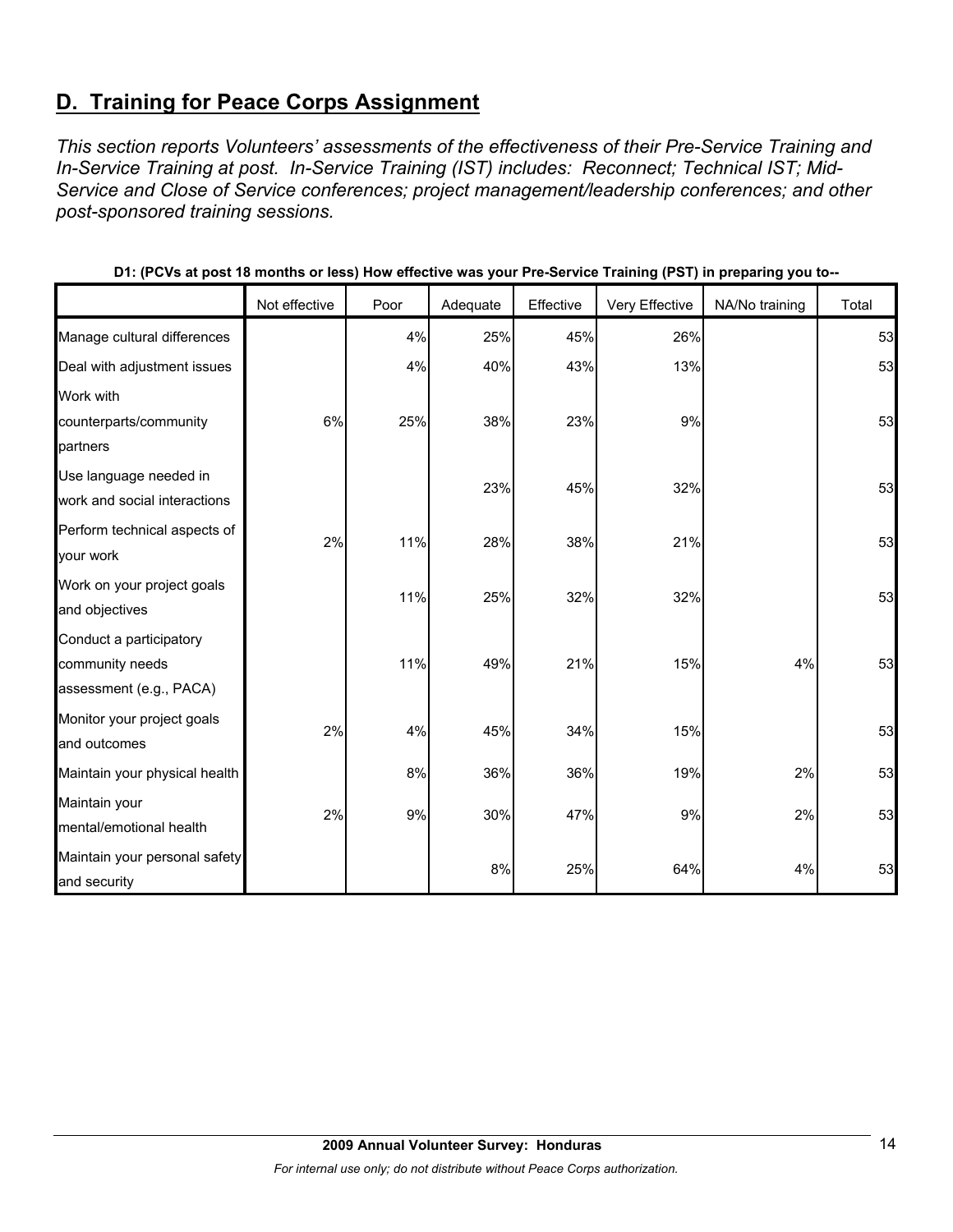# **D. Training for Peace Corps Assignment**

*This section reports Volunteers' assessments of the effectiveness of their Pre-Service Training and In-Service Training at post. In-Service Training (IST) includes: Reconnect; Technical IST; Mid-Service and Close of Service conferences; project management/leadership conferences; and other post-sponsored training sessions.* 

|                               | Not effective | Poor | Adequate | Effective | Very Effective | NA/No training | Total |
|-------------------------------|---------------|------|----------|-----------|----------------|----------------|-------|
| Manage cultural differences   |               | 4%   | 25%      | 45%       | 26%            |                | 53    |
| Deal with adjustment issues   |               | 4%   | 40%      | 43%       | 13%            |                | 53    |
| Work with                     |               |      |          |           |                |                |       |
| counterparts/community        | 6%            | 25%  | 38%      | 23%       | 9%             |                | 53    |
| partners                      |               |      |          |           |                |                |       |
| Use language needed in        |               |      | 23%      | 45%       | 32%            |                | 53    |
| work and social interactions  |               |      |          |           |                |                |       |
| Perform technical aspects of  | 2%            | 11%  | 28%      | 38%       | 21%            |                | 53    |
| your work                     |               |      |          |           |                |                |       |
| Work on your project goals    |               | 11%  | 25%      | 32%       | 32%            |                | 53    |
| and objectives                |               |      |          |           |                |                |       |
| Conduct a participatory       |               |      |          |           |                |                |       |
| community needs               |               | 11%  | 49%      | 21%       | 15%            | 4%             | 53    |
| assessment (e.g., PACA)       |               |      |          |           |                |                |       |
| Monitor your project goals    | 2%            | 4%   | 45%      | 34%       | 15%            |                | 53    |
| and outcomes                  |               |      |          |           |                |                |       |
| Maintain your physical health |               | 8%   | 36%      | 36%       | 19%            | 2%             | 53    |
| Maintain your                 | 2%            |      |          |           |                |                |       |
| mental/emotional health       |               | 9%   | 30%      | 47%       | 9%             | 2%             | 53    |
| Maintain your personal safety |               |      |          |           |                |                |       |
| and security                  |               |      | 8%       | 25%       | 64%            | 4%             | 53    |

| D1: (PCVs at post 18 months or less) How effective was your Pre-Service Training (PST) in preparing you to-- |  |  |  |
|--------------------------------------------------------------------------------------------------------------|--|--|--|
|--------------------------------------------------------------------------------------------------------------|--|--|--|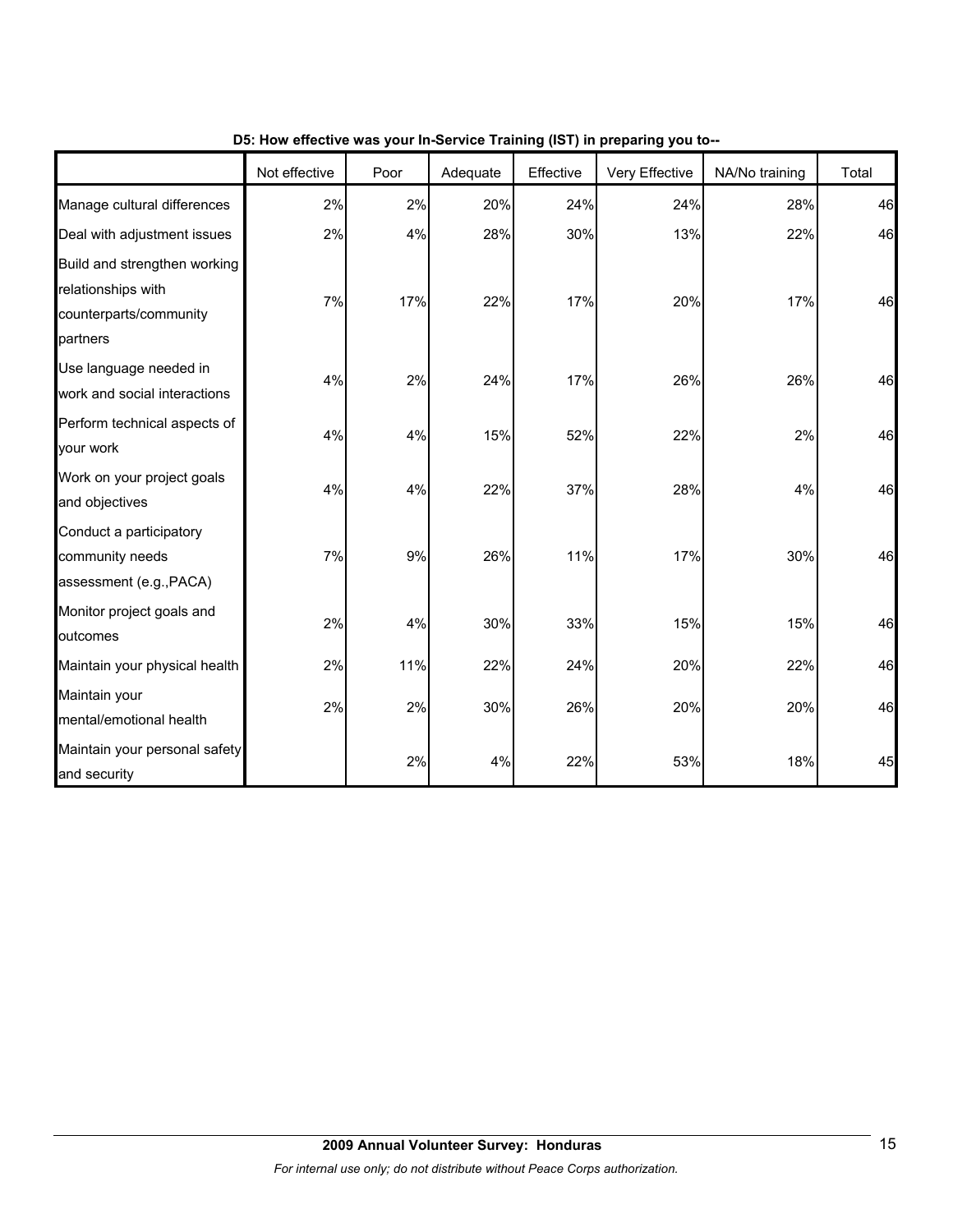|                                                                                          | Not effective | Poor | Adequate | Effective | $\frac{1}{2}$ is the mass from the control training (i.e. i) in properting from the<br>Very Effective | NA/No training | Total |
|------------------------------------------------------------------------------------------|---------------|------|----------|-----------|-------------------------------------------------------------------------------------------------------|----------------|-------|
| Manage cultural differences                                                              | 2%            | 2%   | 20%      | 24%       | 24%                                                                                                   | 28%            | 46    |
| Deal with adjustment issues                                                              | 2%            | 4%   | 28%      | 30%       | 13%                                                                                                   | 22%            | 46    |
| Build and strengthen working<br>relationships with<br>counterparts/community<br>partners | 7%            | 17%  | 22%      | 17%       | 20%                                                                                                   | 17%            | 46    |
| Use language needed in<br>work and social interactions                                   | 4%            | 2%   | 24%      | 17%       | 26%                                                                                                   | 26%            | 46    |
| Perform technical aspects of<br>your work                                                | 4%            | 4%   | 15%      | 52%       | 22%                                                                                                   | 2%             | 46    |
| Work on your project goals<br>and objectives                                             | 4%            | 4%   | 22%      | 37%       | 28%                                                                                                   | 4%             | 46    |
| Conduct a participatory<br>community needs<br>assessment (e.g., PACA)                    | 7%            | 9%   | 26%      | 11%       | 17%                                                                                                   | 30%            | 46    |
| Monitor project goals and<br>outcomes                                                    | 2%            | 4%   | 30%      | 33%       | 15%                                                                                                   | 15%            | 46    |
| Maintain your physical health                                                            | 2%            | 11%  | 22%      | 24%       | 20%                                                                                                   | 22%            | 46    |
| Maintain your<br>mental/emotional health                                                 | 2%            | 2%   | 30%      | 26%       | 20%                                                                                                   | 20%            | 46    |
| Maintain your personal safety<br>and security                                            |               | 2%   | 4%       | 22%       | 53%                                                                                                   | 18%            | 45    |

**D5: How effective was your In-Service Training (IST) in preparing you to--**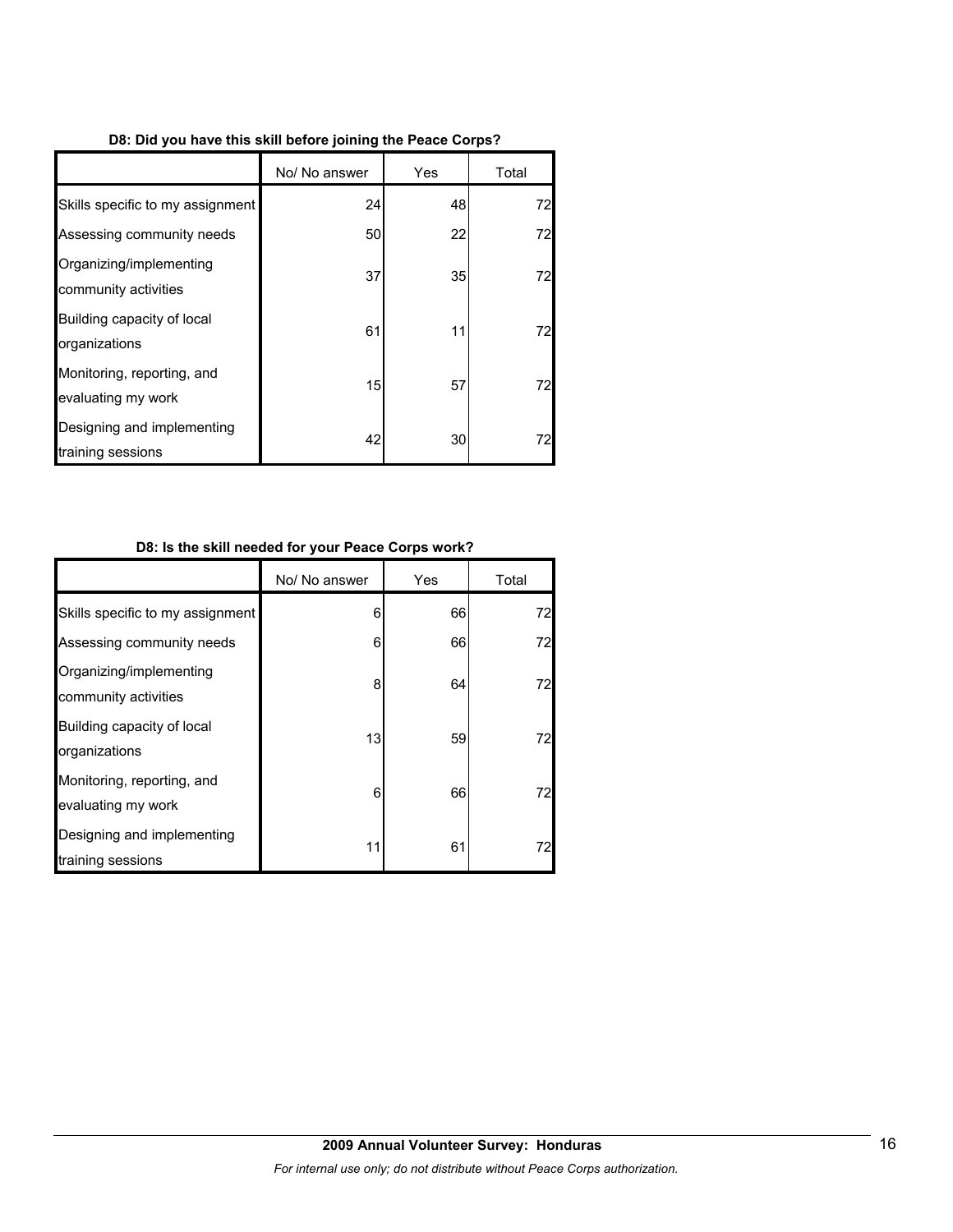|  | D8: Did you have this skill before joining the Peace Corps? |  |  |  |  |
|--|-------------------------------------------------------------|--|--|--|--|
|  |                                                             |  |  |  |  |

|                                                  | No/ No answer | Yes | Total |
|--------------------------------------------------|---------------|-----|-------|
| Skills specific to my assignment                 | 24            | 48  | 72    |
| Assessing community needs                        | 50            | 22  | 72    |
| Organizing/implementing<br>community activities  | 37            | 35  | 72    |
| Building capacity of local<br>organizations      | 61            | 11  | 72    |
| Monitoring, reporting, and<br>evaluating my work | 15            | 57  | 72    |
| Designing and implementing<br>training sessions  | 42            | 30  | 72    |

## **D8: Is the skill needed for your Peace Corps work?**

|                                                  | No/ No answer | Yes | Total |
|--------------------------------------------------|---------------|-----|-------|
| Skills specific to my assignment                 | 6             | 66  | 72    |
| Assessing community needs                        | 6             | 66  | 72    |
| Organizing/implementing<br>community activities  | 8             | 64  | 72    |
| Building capacity of local<br>organizations      | 13            | 59  | 72    |
| Monitoring, reporting, and<br>evaluating my work | 6             | 66  | 72    |
| Designing and implementing<br>training sessions  | 11            | 61  | 72    |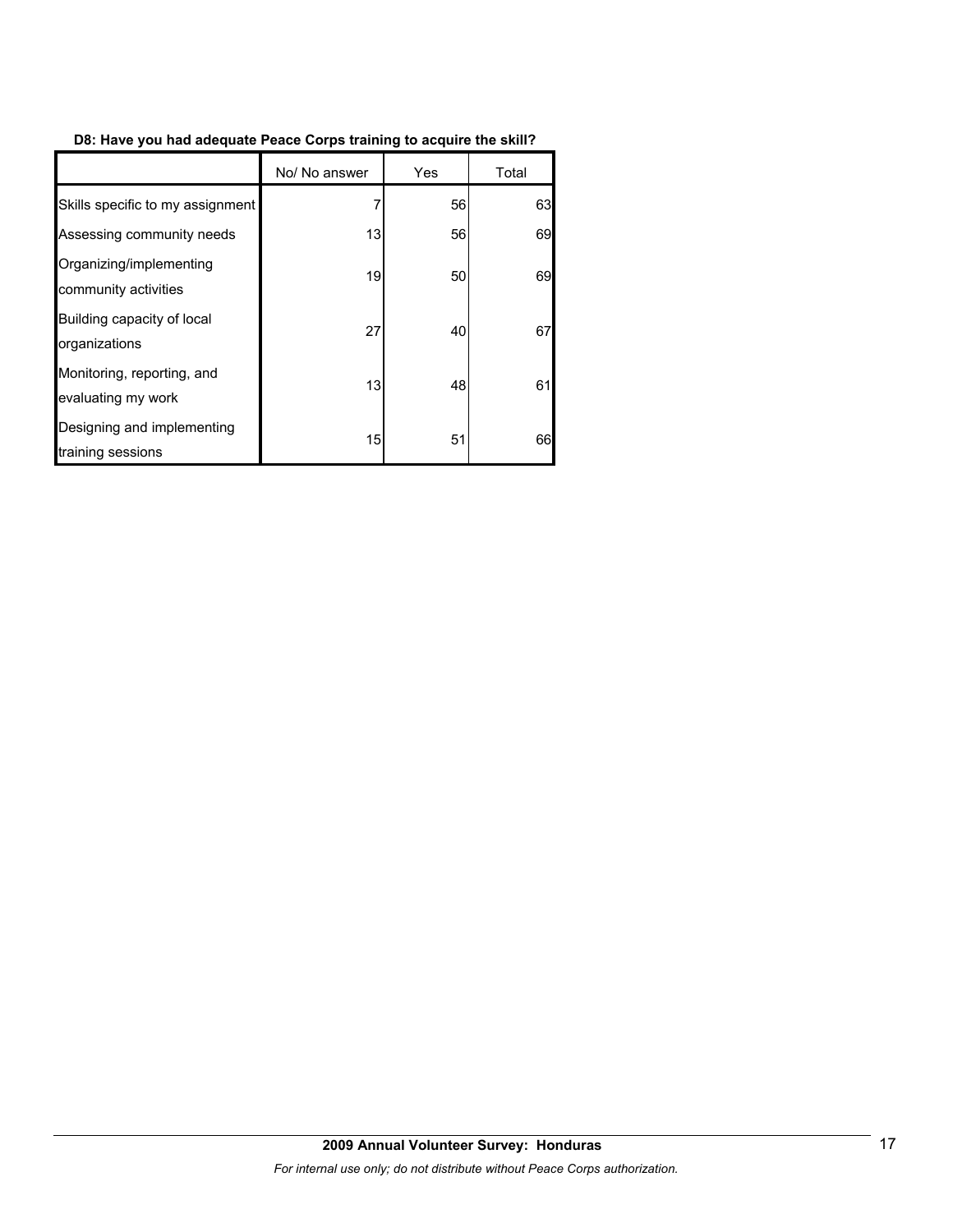## **D8: Have you had adequate Peace Corps training to acquire the skill?**

|                                                  | No/ No answer | Yes | Total |
|--------------------------------------------------|---------------|-----|-------|
| Skills specific to my assignment                 |               | 56  | 63    |
| Assessing community needs                        | 13            | 56  | 69    |
| Organizing/implementing<br>community activities  | 19            | 50  | 69    |
| Building capacity of local<br>organizations      | 27            | 40  | 67    |
| Monitoring, reporting, and<br>evaluating my work | 13            | 48  | 61    |
| Designing and implementing<br>training sessions  | 15            | 51  | 66    |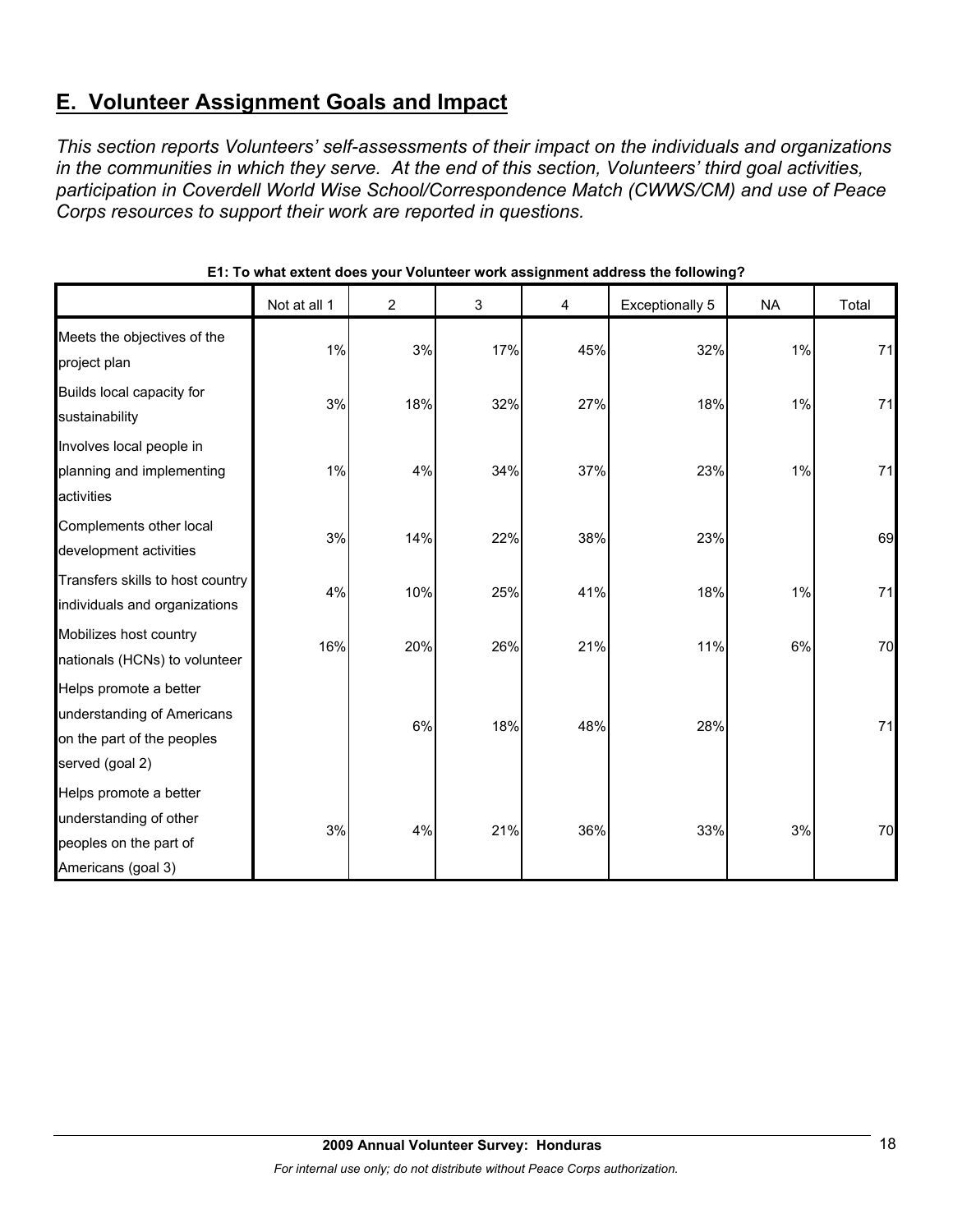# **E. Volunteer Assignment Goals and Impact**

*This section reports Volunteers' self-assessments of their impact on the individuals and organizations in the communities in which they serve. At the end of this section, Volunteers' third goal activities, participation in Coverdell World Wise School/Correspondence Match (CWWS/CM) and use of Peace Corps resources to support their work are reported in questions.* 

|                                                                                                       | Not at all 1 | $\overline{2}$ | 3   | 4   | <b>Exceptionally 5</b> | <b>NA</b> | Total |
|-------------------------------------------------------------------------------------------------------|--------------|----------------|-----|-----|------------------------|-----------|-------|
| Meets the objectives of the<br>project plan                                                           | 1%           | 3%             | 17% | 45% | 32%                    | 1%        | 71    |
| Builds local capacity for<br>sustainability                                                           | 3%           | 18%            | 32% | 27% | 18%                    | 1%        | 71    |
| Involves local people in<br>planning and implementing<br>activities                                   | 1%           | 4%             | 34% | 37% | 23%                    | 1%        | 71    |
| Complements other local<br>development activities                                                     | 3%           | 14%            | 22% | 38% | 23%                    |           | 69    |
| Transfers skills to host country<br>individuals and organizations                                     | 4%           | 10%            | 25% | 41% | 18%                    | 1%        | 71    |
| Mobilizes host country<br>nationals (HCNs) to volunteer                                               | 16%          | 20%            | 26% | 21% | 11%                    | 6%        | 70    |
| Helps promote a better<br>understanding of Americans<br>on the part of the peoples<br>served (goal 2) |              | 6%             | 18% | 48% | 28%                    |           | 71    |
| Helps promote a better<br>understanding of other<br>peoples on the part of<br>Americans (goal 3)      | 3%           | 4%             | 21% | 36% | 33%                    | 3%        | 70    |

## **E1: To what extent does your Volunteer work assignment address the following?**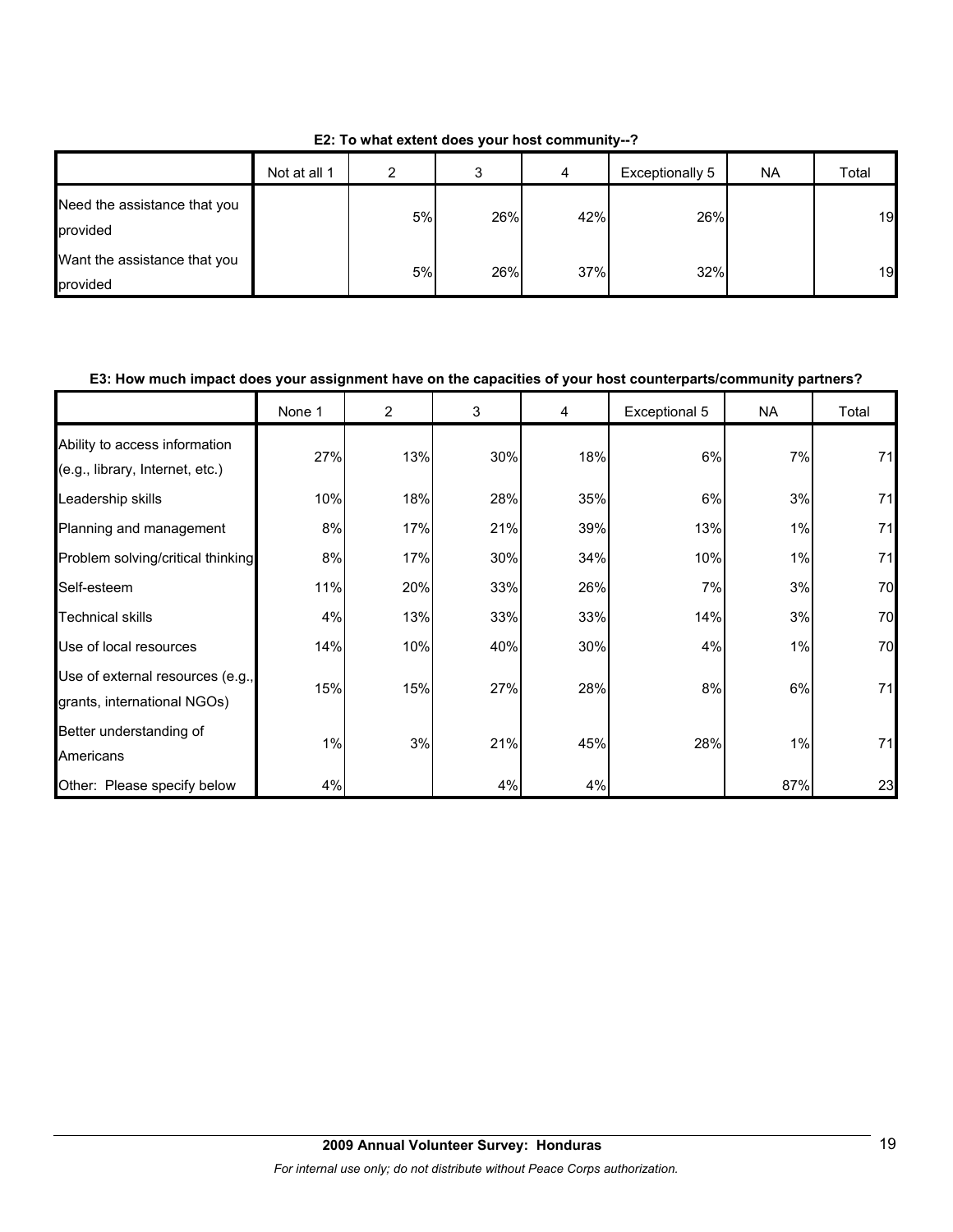**E2: To what extent does your host community--?**

|                                          | Not at all 1 | ◠  | 3   | 4   | Exceptionally 5 | <b>NA</b> | Total |
|------------------------------------------|--------------|----|-----|-----|-----------------|-----------|-------|
| Need the assistance that you<br>provided |              | 5% | 26% | 42% | 26%             |           | 19    |
| Want the assistance that you<br>provided |              | 5% | 26% | 37% | 32%             |           | 19    |

#### **E3: How much impact does your assignment have on the capacities of your host counterparts/community partners?**

|                                                                  | None 1 | $\overline{2}$ | 3   | 4   | Exceptional 5 | <b>NA</b> | Total |
|------------------------------------------------------------------|--------|----------------|-----|-----|---------------|-----------|-------|
| Ability to access information<br>(e.g., library, Internet, etc.) | 27%    | 13%            | 30% | 18% | 6%            | 7%        | 71    |
| Leadership skills                                                | 10%    | 18%            | 28% | 35% | 6%            | 3%        | 71    |
| Planning and management                                          | 8%     | 17%            | 21% | 39% | 13%           | 1%        | 71    |
| Problem solving/critical thinking                                | 8%     | 17%            | 30% | 34% | 10%           | 1%        | 71    |
| Self-esteem                                                      | 11%    | 20%            | 33% | 26% | 7%            | 3%        | 70    |
| <b>Technical skills</b>                                          | 4%     | 13%            | 33% | 33% | 14%           | 3%        | 70    |
| Use of local resources                                           | 14%    | 10%            | 40% | 30% | 4%            | 1%        | 70    |
| Use of external resources (e.g.,<br>grants, international NGOs)  | 15%    | 15%            | 27% | 28% | 8%            | 6%        | 71    |
| Better understanding of<br>Americans                             | 1%     | 3%             | 21% | 45% | 28%           | 1%        | 71    |
| Other: Please specify below                                      | 4%     |                | 4%  | 4%  |               | 87%       | 23    |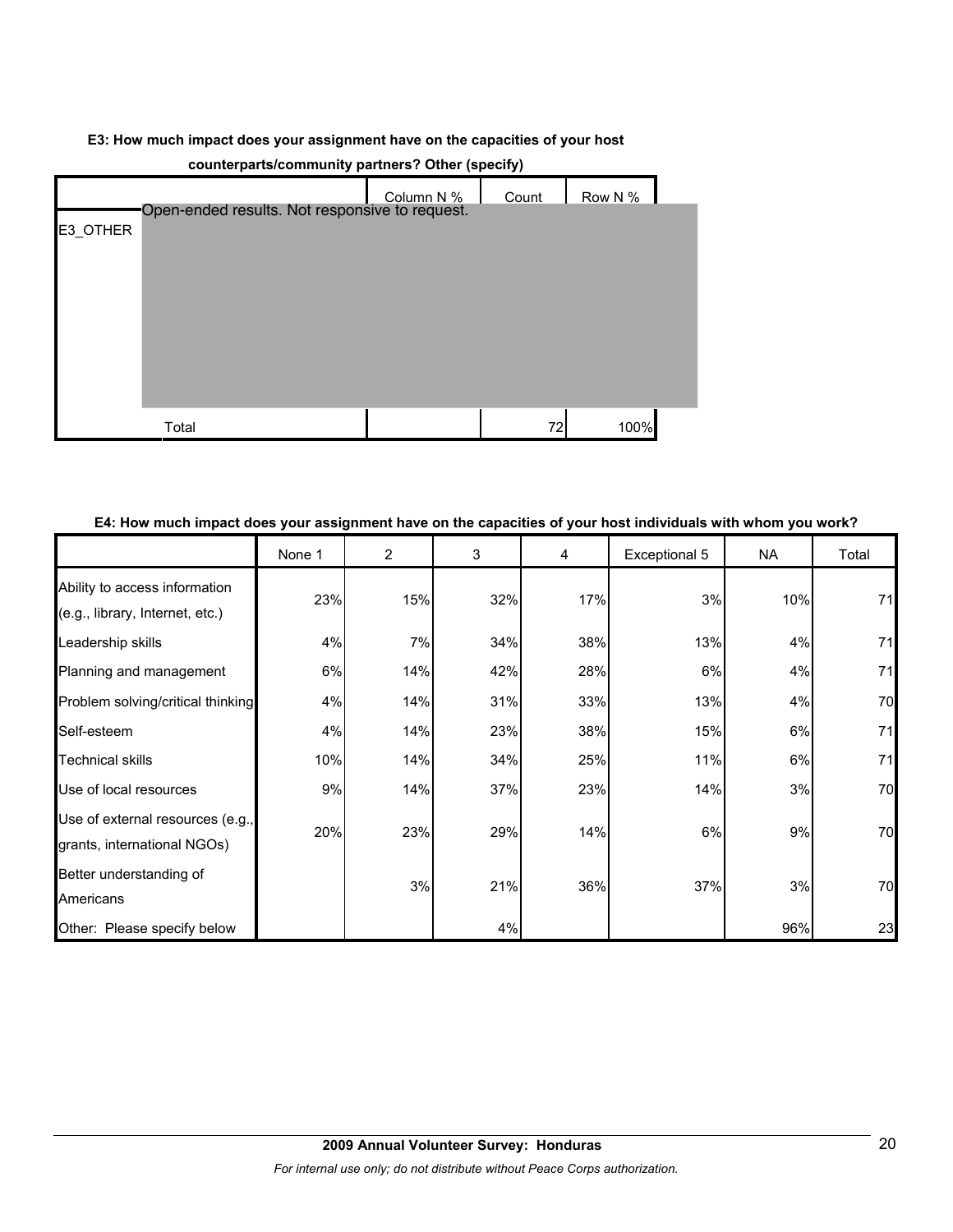#### **E3: How much impact does your assignment have on the capacities of your host**

| counterparts/community partners: Other (specify) |                                                |            |       |         |  |  |  |
|--------------------------------------------------|------------------------------------------------|------------|-------|---------|--|--|--|
|                                                  |                                                | Column N % | Count | Row N % |  |  |  |
|                                                  | Open-ended results. Not responsive to request. |            |       |         |  |  |  |
| E3_OTHER                                         |                                                |            |       |         |  |  |  |
|                                                  |                                                |            |       |         |  |  |  |
|                                                  |                                                |            |       |         |  |  |  |
|                                                  |                                                |            |       |         |  |  |  |
|                                                  |                                                |            |       |         |  |  |  |
|                                                  |                                                |            |       |         |  |  |  |
|                                                  |                                                |            |       |         |  |  |  |
|                                                  |                                                |            |       |         |  |  |  |
|                                                  |                                                |            |       |         |  |  |  |
|                                                  |                                                |            |       |         |  |  |  |
|                                                  |                                                |            |       |         |  |  |  |
|                                                  |                                                |            |       |         |  |  |  |
|                                                  |                                                |            |       |         |  |  |  |
|                                                  |                                                |            |       |         |  |  |  |
|                                                  | Total                                          |            | 72    | 100%    |  |  |  |

## **counterparts/community partners? Other (specify)**

## **E4: How much impact does your assignment have on the capacities of your host individuals with whom you work?**

|                                                                  | None 1 | $\overline{2}$ | 3   | 4   | Exceptional 5 | <b>NA</b> | Total |
|------------------------------------------------------------------|--------|----------------|-----|-----|---------------|-----------|-------|
| Ability to access information<br>(e.g., library, Internet, etc.) | 23%    | 15%            | 32% | 17% | 3%            | 10%       | 71    |
| Leadership skills                                                | 4%     | 7%             | 34% | 38% | 13%           | 4%        | 71    |
| Planning and management                                          | 6%     | 14%            | 42% | 28% | 6%            | 4%        | 71    |
| Problem solving/critical thinking                                | 4%     | 14%            | 31% | 33% | 13%           | 4%        | 70    |
| Self-esteem                                                      | 4%     | 14%            | 23% | 38% | 15%           | 6%        | 71    |
| <b>Technical skills</b>                                          | 10%    | 14%            | 34% | 25% | 11%           | 6%        | 71    |
| Use of local resources                                           | 9%     | 14%            | 37% | 23% | 14%           | 3%        | 70    |
| Use of external resources (e.g.,<br>grants, international NGOs)  | 20%    | 23%            | 29% | 14% | 6%            | 9%        | 70    |
| Better understanding of<br>Americans                             |        | 3%             | 21% | 36% | 37%           | 3%        | 70    |
| Other: Please specify below                                      |        |                | 4%  |     |               | 96%       | 23    |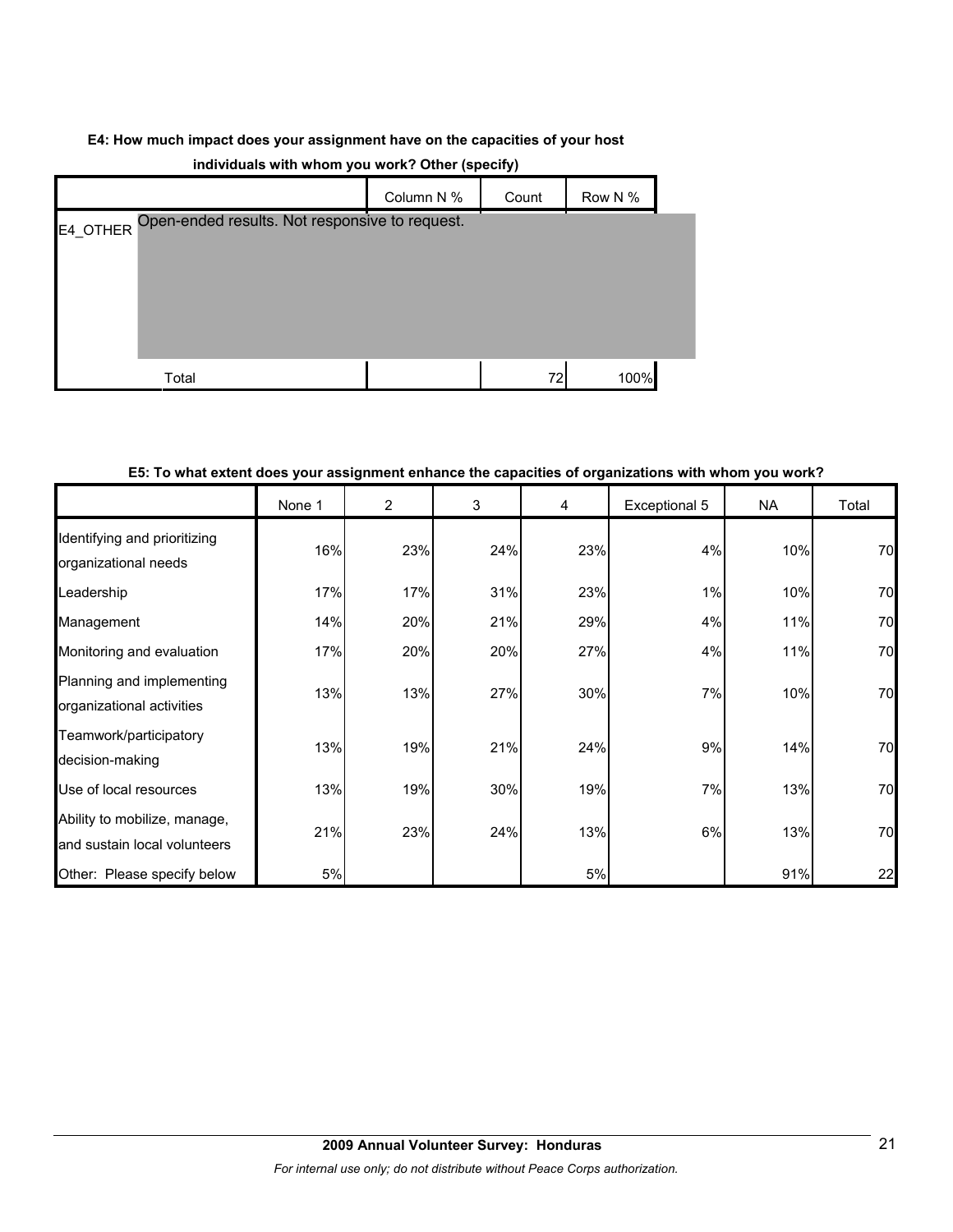## **E4: How much impact does your assignment have on the capacities of your host**

| $\mathbf{v}$<br>. .                                     |            |       |         |  |  |  |  |
|---------------------------------------------------------|------------|-------|---------|--|--|--|--|
|                                                         | Column N % | Count | Row N % |  |  |  |  |
| E4_OTHER Open-ended results. Not responsive to request. |            |       |         |  |  |  |  |
|                                                         |            |       |         |  |  |  |  |
|                                                         |            |       |         |  |  |  |  |
|                                                         |            |       |         |  |  |  |  |
|                                                         |            |       |         |  |  |  |  |
|                                                         |            |       |         |  |  |  |  |
| Total                                                   |            | 72    | 100%    |  |  |  |  |

## **individuals with whom you work? Other (specify)**

#### **E5: To what extent does your assignment enhance the capacities of organizations with whom you work?**

|                                                              | None 1 | 2   | 3   | 4   | Exceptional 5 | <b>NA</b> | Total |
|--------------------------------------------------------------|--------|-----|-----|-----|---------------|-----------|-------|
| Identifying and prioritizing<br>organizational needs         | 16%    | 23% | 24% | 23% | 4%            | 10%       | 70    |
| Leadership                                                   | 17%    | 17% | 31% | 23% | 1%            | 10%       | 70    |
| Management                                                   | 14%    | 20% | 21% | 29% | 4%            | 11%       | 70    |
| Monitoring and evaluation                                    | 17%    | 20% | 20% | 27% | 4%            | 11%       | 70    |
| Planning and implementing<br>organizational activities       | 13%    | 13% | 27% | 30% | 7%            | 10%       | 70    |
| Teamwork/participatory<br>decision-making                    | 13%    | 19% | 21% | 24% | 9%            | 14%       | 70    |
| Use of local resources                                       | 13%    | 19% | 30% | 19% | 7%            | 13%       | 70    |
| Ability to mobilize, manage,<br>and sustain local volunteers | 21%    | 23% | 24% | 13% | 6%            | 13%       | 70    |
| Other: Please specify below                                  | 5%     |     |     | 5%  |               | 91%       | 22    |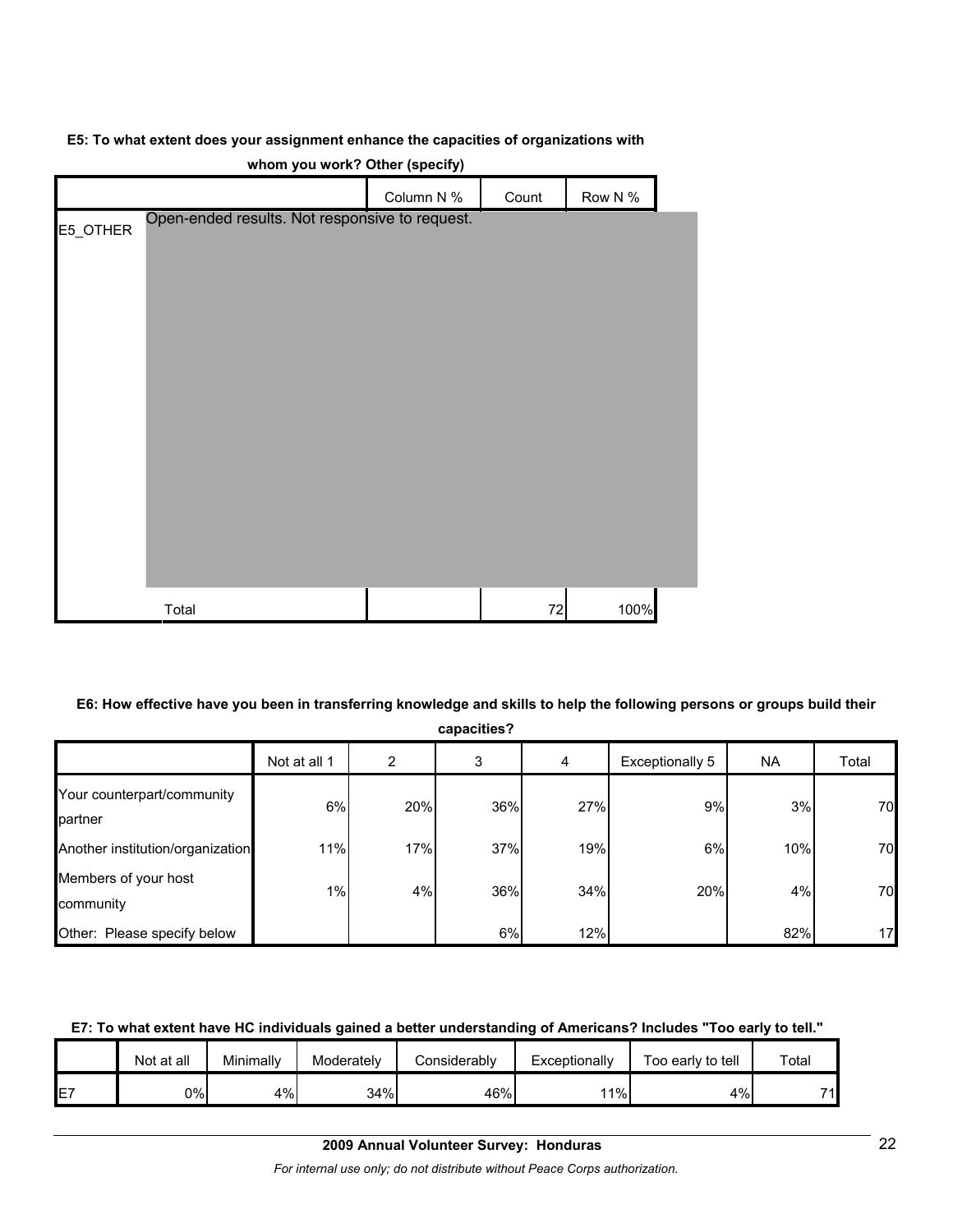#### **E5: To what extent does your assignment enhance the capacities of organizations with**

|          |                                                | Column N % | Count | Row N % |  |
|----------|------------------------------------------------|------------|-------|---------|--|
| E5_OTHER | Open-ended results. Not responsive to request. |            |       |         |  |
|          |                                                |            |       |         |  |
|          |                                                |            |       |         |  |
|          |                                                |            |       |         |  |
|          |                                                |            |       |         |  |
|          |                                                |            |       |         |  |
|          |                                                |            |       |         |  |
|          |                                                |            |       |         |  |
|          |                                                |            |       |         |  |
|          |                                                |            |       |         |  |
|          |                                                |            |       |         |  |
|          |                                                |            |       |         |  |
|          |                                                |            |       |         |  |
|          | Total                                          |            | 72    | 100%    |  |

**whom you work? Other (specify)**

## **E6: How effective have you been in transferring knowledge and skills to help the following persons or groups build their**

| capacities? |  |
|-------------|--|

|                                       | Not at all 1 | 2   | 3   | 4   | Exceptionally 5 | <b>NA</b> | Total           |
|---------------------------------------|--------------|-----|-----|-----|-----------------|-----------|-----------------|
| Your counterpart/community<br>partner | 6%           | 20% | 36% | 27% | 9%              | 3%        | 70              |
| Another institution/organization      | 11%          | 17% | 37% | 19% | 6%              | 10%       | 70              |
| Members of your host<br>community     | 1%           | 4%  | 36% | 34% | 20%             | 4%        | 70              |
| Other: Please specify below           |              |     | 6%  | 12% |                 | 82%       | 17 <sub>l</sub> |

## **E7: To what extent have HC individuals gained a better understanding of Americans? Includes "Too early to tell."**

|                 | Not at all | Minimally | Moderately | <b>Considerably</b> | Exceptionally | Too early to tell | $\tau$ otal |
|-----------------|------------|-----------|------------|---------------------|---------------|-------------------|-------------|
| IE <sub>7</sub> | 0%I        | 4%l       | 34%        | 46%                 | 11%           | 4%                | 74.         |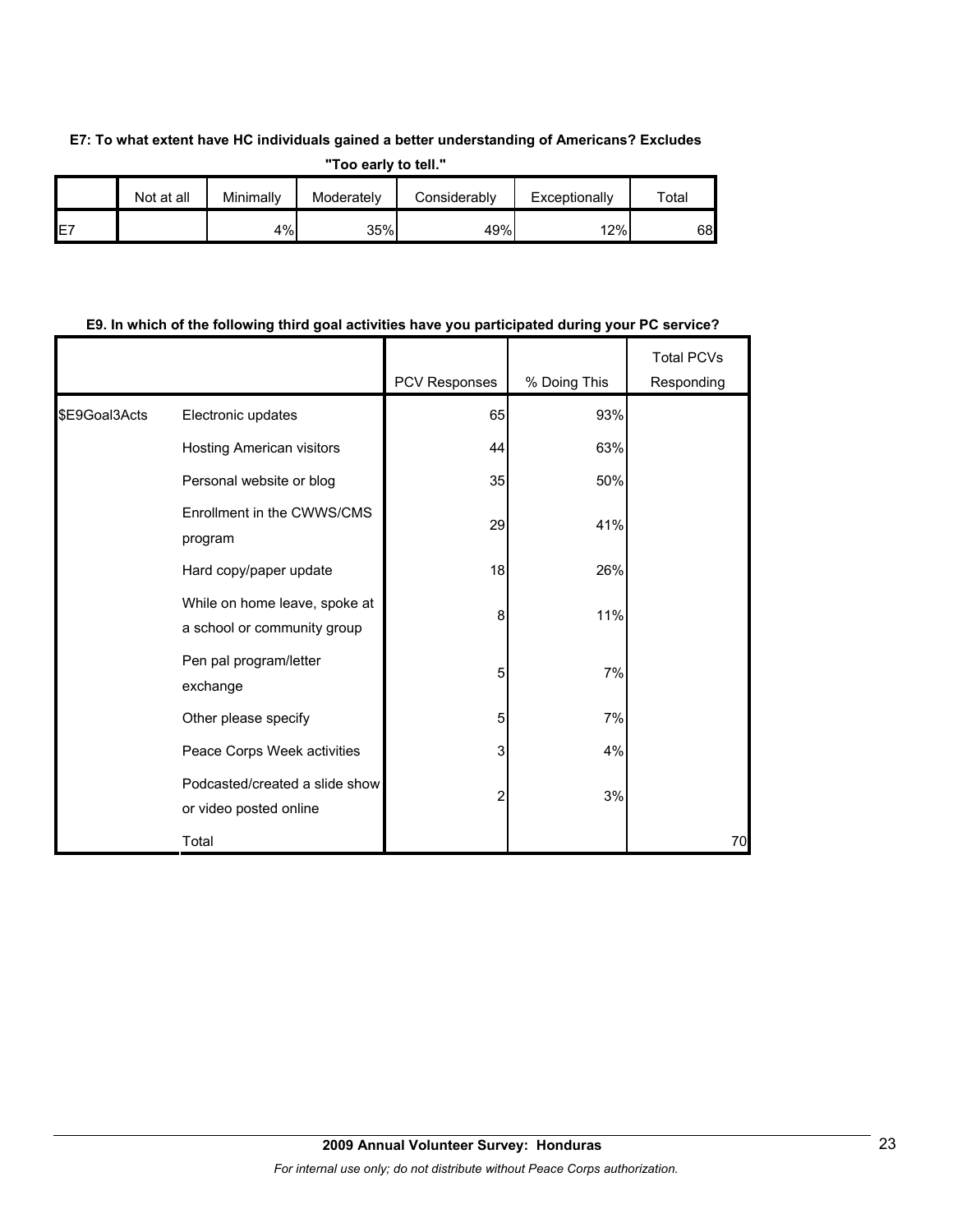## **E7: To what extent have HC individuals gained a better understanding of Americans? Excludes**

**"Too early to tell."**

|     | Not at all | Minimally | Moderately | Considerably | Exceptionally | ™otal |
|-----|------------|-----------|------------|--------------|---------------|-------|
| IE7 |            | $4\%$     | 35%        | 49%          | 12%           | 68    |

## **E9. In which of the following third goal activities have you participated during your PC service?**

|               |                                                              | PCV Responses | % Doing This | <b>Total PCVs</b><br>Responding |
|---------------|--------------------------------------------------------------|---------------|--------------|---------------------------------|
| \$E9Goal3Acts | Electronic updates                                           | 65            | 93%          |                                 |
|               | Hosting American visitors                                    | 44            | 63%          |                                 |
|               | Personal website or blog                                     | 35            | 50%          |                                 |
|               | Enrollment in the CWWS/CMS<br>program                        | 29            | 41%          |                                 |
|               | Hard copy/paper update                                       | 18            | 26%          |                                 |
|               | While on home leave, spoke at<br>a school or community group | 8             | 11%          |                                 |
|               | Pen pal program/letter<br>exchange                           | 5             | 7%           |                                 |
|               | Other please specify                                         | 5             | 7%           |                                 |
|               | Peace Corps Week activities                                  | 3             | 4%           |                                 |
|               | Podcasted/created a slide show<br>or video posted online     | 2             | 3%           |                                 |
|               | Total                                                        |               |              | 70                              |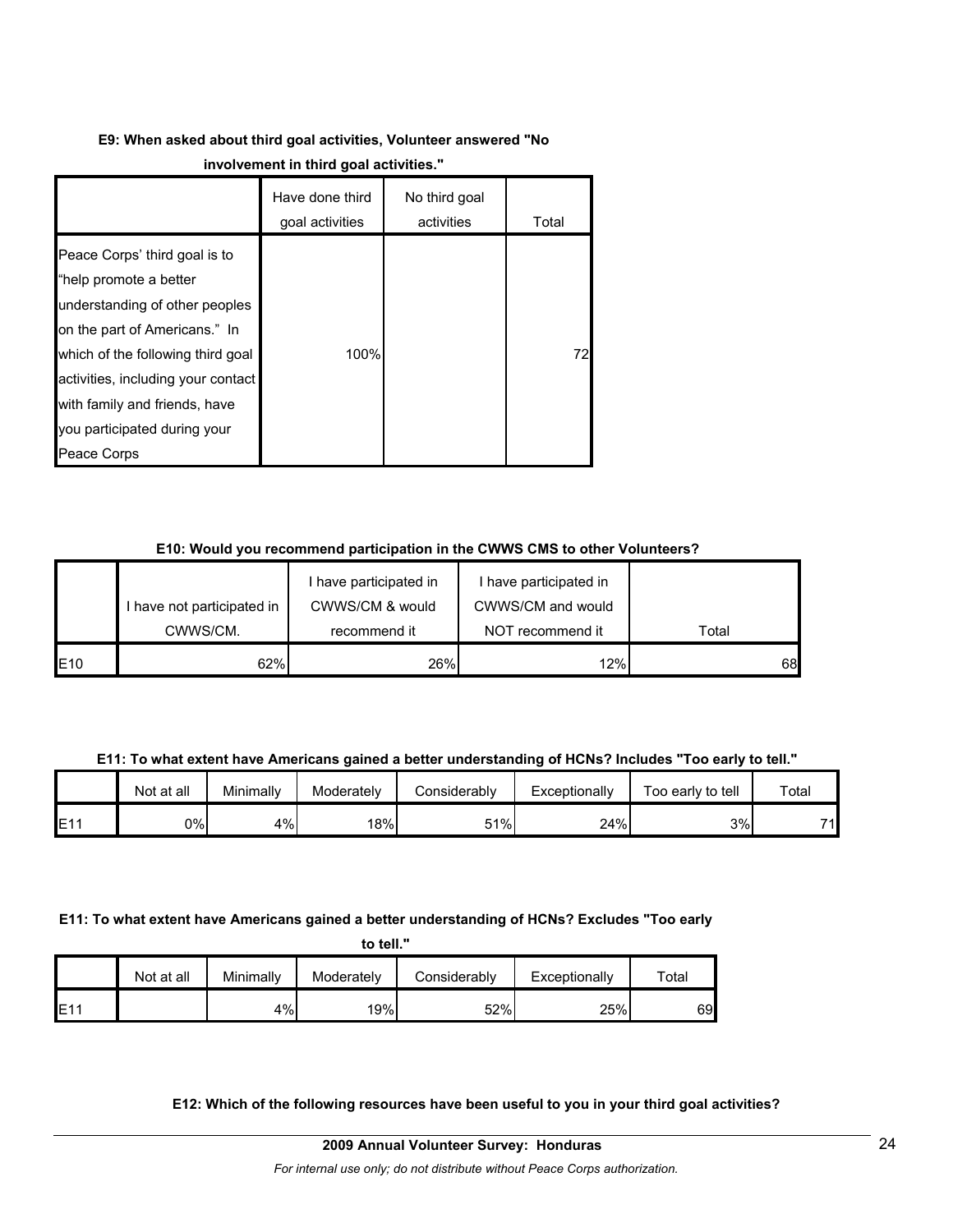# **E9: When asked about third goal activities, Volunteer answered "No**

|                                                                                                                                                                                                                                                                                       | Have done third<br>goal activities | No third goal<br>activities | Total |
|---------------------------------------------------------------------------------------------------------------------------------------------------------------------------------------------------------------------------------------------------------------------------------------|------------------------------------|-----------------------------|-------|
| Peace Corps' third goal is to<br>"help promote a better<br>understanding of other peoples<br>on the part of Americans." In<br>which of the following third goal<br>activities, including your contact<br>with family and friends, have<br>you participated during your<br>Peace Corps | 100%                               |                             | 72I   |

## **E10: Would you recommend participation in the CWWS CMS to other Volunteers?**

|     |                            | I have participated in | I have participated in |       |
|-----|----------------------------|------------------------|------------------------|-------|
|     | I have not participated in | CWWS/CM & would        | CWWS/CM and would      |       |
|     | CWWS/CM.                   | recommend it           | NOT recommend it       | Total |
| E10 | 62%                        | 26%                    | 12%                    | 68    |

**E11: To what extent have Americans gained a better understanding of HCNs? Includes "Too early to tell."**

|      | Not at all | Minimally | Moderately | Considerably | Exceptionally | Too early to tell | Total |
|------|------------|-----------|------------|--------------|---------------|-------------------|-------|
| IE11 | 9%         | $4\%$     | 18%        | 51%          | 24%           | 3%                | 74    |

## **E11: To what extent have Americans gained a better understanding of HCNs? Excludes "Too early**

|  | to tell. |  |
|--|----------|--|
|--|----------|--|

|             | Not at all | Minimally | Moderately | Considerably | Exceptionally | $\tau$ otal |
|-------------|------------|-----------|------------|--------------|---------------|-------------|
| <b>IE11</b> |            | 4%        | 19%        | 52%          | 25%           | 69          |

## **E12: Which of the following resources have been useful to you in your third goal activities?**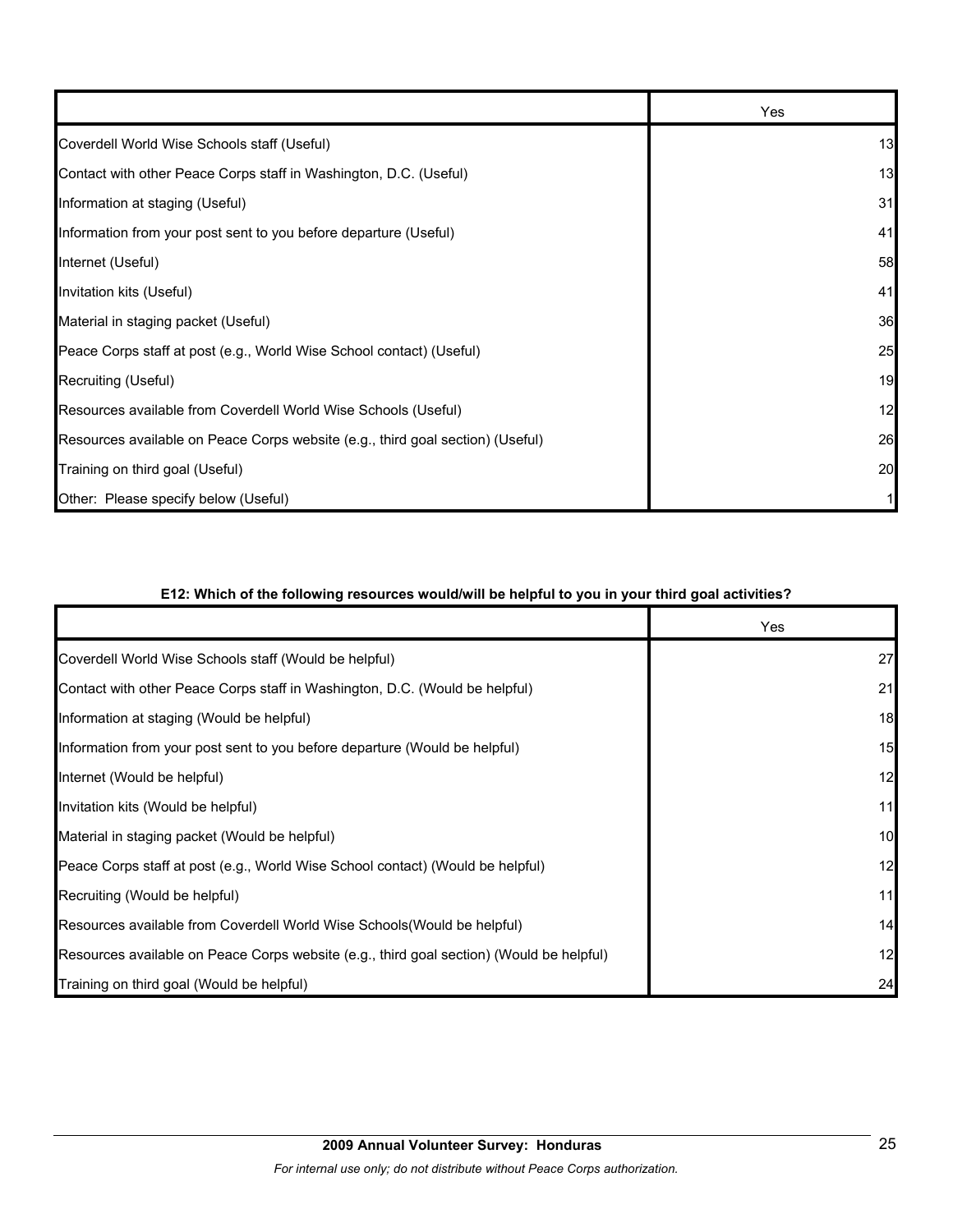|                                                                                | Yes |
|--------------------------------------------------------------------------------|-----|
| Coverdell World Wise Schools staff (Useful)                                    | 13  |
| Contact with other Peace Corps staff in Washington, D.C. (Useful)              | 13  |
| Information at staging (Useful)                                                | 31  |
| Information from your post sent to you before departure (Useful)               | 41  |
| Internet (Useful)                                                              | 58  |
| Invitation kits (Useful)                                                       | 41  |
| Material in staging packet (Useful)                                            | 36  |
| Peace Corps staff at post (e.g., World Wise School contact) (Useful)           | 25  |
| Recruiting (Useful)                                                            | 19  |
| Resources available from Coverdell World Wise Schools (Useful)                 | 12  |
| Resources available on Peace Corps website (e.g., third goal section) (Useful) | 26  |
| Training on third goal (Useful)                                                | 20  |
| Other: Please specify below (Useful)                                           |     |

## **E12: Which of the following resources would/will be helpful to you in your third goal activities?**

|                                                                                          | Yes |
|------------------------------------------------------------------------------------------|-----|
| Coverdell World Wise Schools staff (Would be helpful)                                    | 27  |
| Contact with other Peace Corps staff in Washington, D.C. (Would be helpful)              | 21  |
| Information at staging (Would be helpful)                                                | 18  |
| Information from your post sent to you before departure (Would be helpful)               | 15  |
| Internet (Would be helpful)                                                              | 12  |
| Invitation kits (Would be helpful)                                                       | 11  |
| Material in staging packet (Would be helpful)                                            | 10  |
| Peace Corps staff at post (e.g., World Wise School contact) (Would be helpful)           | 12  |
| Recruiting (Would be helpful)                                                            | 11  |
| Resources available from Coverdell World Wise Schools (Would be helpful)                 | 14  |
| Resources available on Peace Corps website (e.g., third goal section) (Would be helpful) | 12  |
| Training on third goal (Would be helpful)                                                | 24  |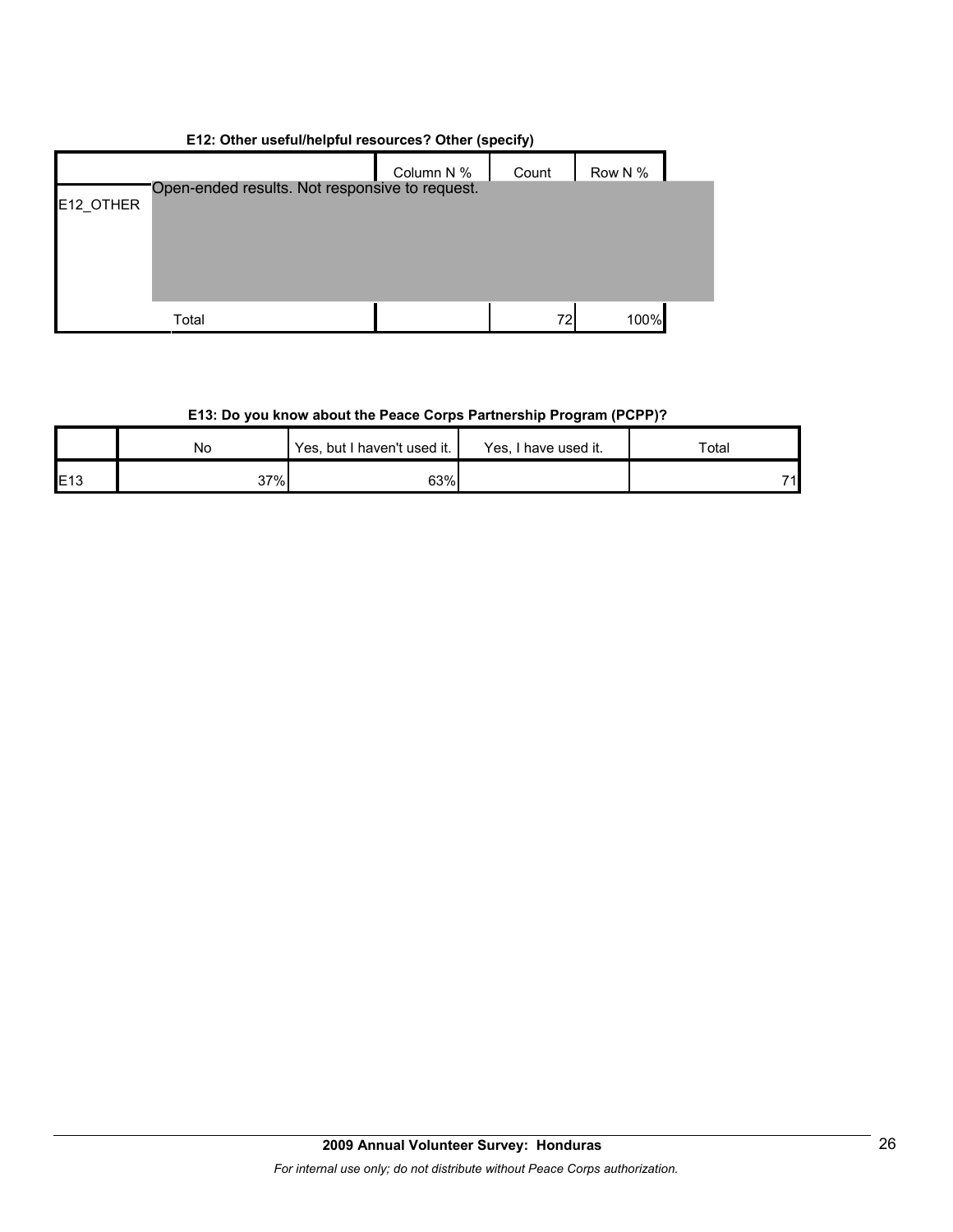| E12: Other useful/helpful resources? Other (specify) |                                                |            |       |         |  |  |  |  |
|------------------------------------------------------|------------------------------------------------|------------|-------|---------|--|--|--|--|
|                                                      |                                                | Column N % | Count | Row N % |  |  |  |  |
| E12 OTHER                                            | Open-ended results. Not responsive to request. |            |       |         |  |  |  |  |
|                                                      | Total                                          |            | 72I   | 100%    |  |  |  |  |

## **E12: Other useful/helpful resources? Other (specify)**

## **E13: Do you know about the Peace Corps Partnership Program (PCPP)?**

|     | No  | Yes, but I haven't used it. | Yes, I<br>I have used it. | Total |
|-----|-----|-----------------------------|---------------------------|-------|
| E13 | 37% | 63%                         |                           | 74    |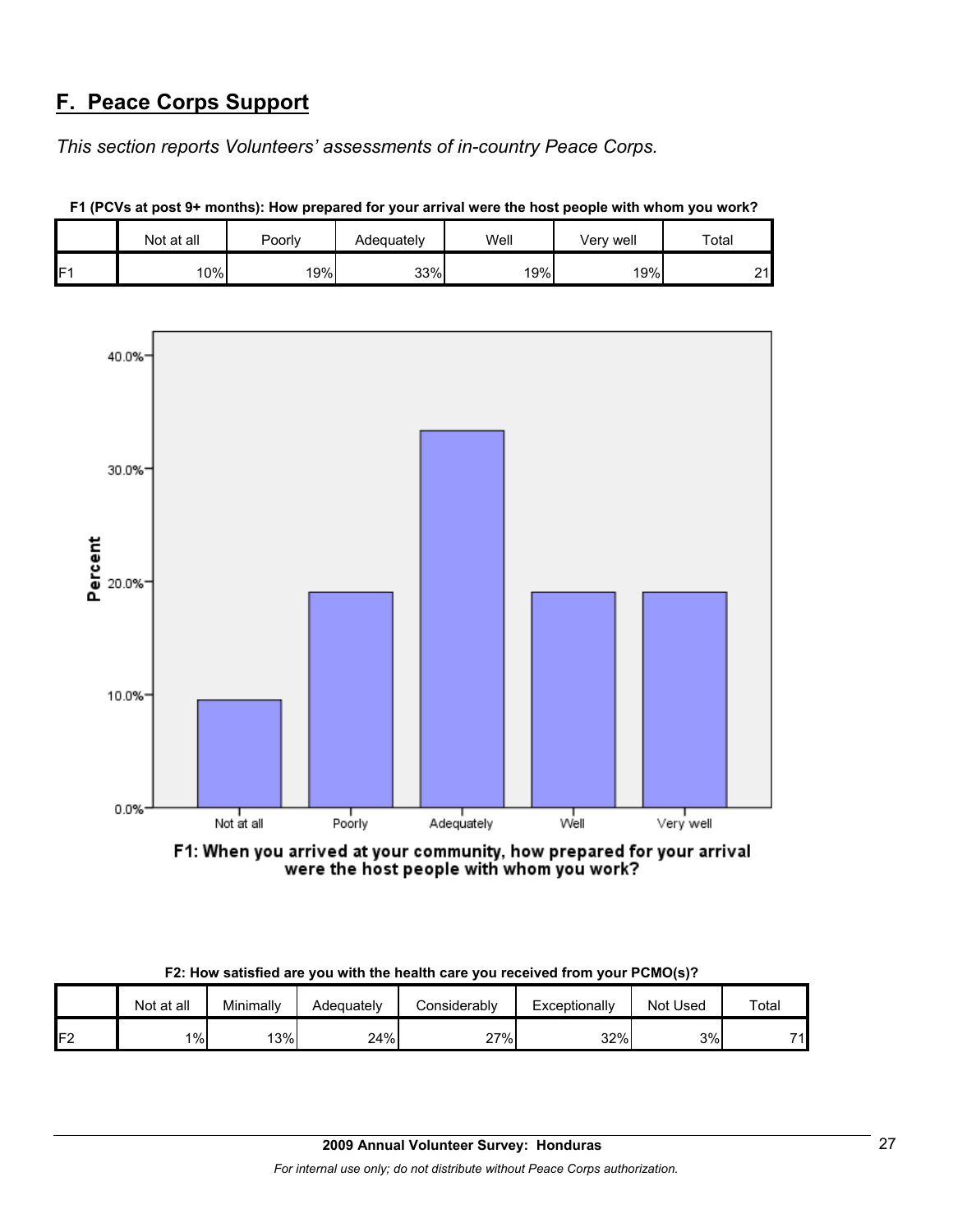## **F. Peace Corps Support**

*This section reports Volunteers' assessments of in-country Peace Corps.* 

|   | Not at all | Poorly | Adequately | Well | Very well | Total          |
|---|------------|--------|------------|------|-----------|----------------|
| E | 10%        | 19%    | 33%        | 19%  | 19%       | n,<br><u>.</u> |





F1: When you arrived at your community, how prepared for your arrival were the host people with whom you work?

|  | F2: How satisfied are you with the health care you received from your PCMO(s)? |  |  |
|--|--------------------------------------------------------------------------------|--|--|
|--|--------------------------------------------------------------------------------|--|--|

|         | Not at all | Minimally | Adequately | こonsiderablv | Exceptionally | Not Used | Total |
|---------|------------|-----------|------------|--------------|---------------|----------|-------|
| ロク<br>L | $1\%$      | 13%       | 24%        | י%ד∘         | 32%           | 3%       | 71    |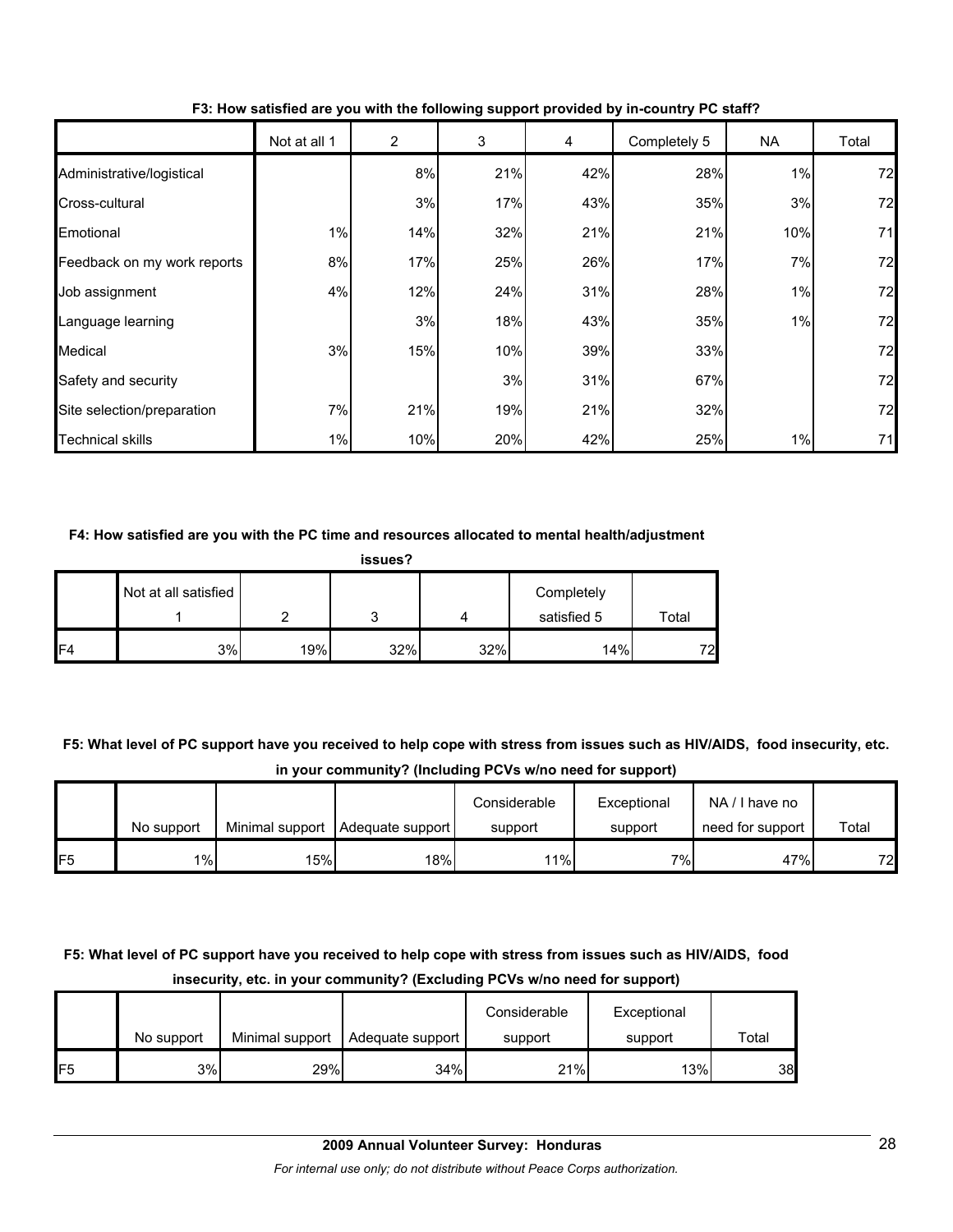|                             | Not at all 1 | 2   | 3   | 4   | Completely 5 | NA  | Total |
|-----------------------------|--------------|-----|-----|-----|--------------|-----|-------|
| Administrative/logistical   |              | 8%  | 21% | 42% | 28%          | 1%  | 72    |
| Cross-cultural              |              | 3%  | 17% | 43% | 35%          | 3%  | 72    |
| Emotional                   | 1%           | 14% | 32% | 21% | 21%          | 10% | 71    |
| Feedback on my work reports | 8%           | 17% | 25% | 26% | 17%          | 7%  | 72    |
| Job assignment              | 4%           | 12% | 24% | 31% | 28%          | 1%  | 72    |
| Language learning           |              | 3%  | 18% | 43% | 35%          | 1%  | 72    |
| Medical                     | 3%           | 15% | 10% | 39% | 33%          |     | 72    |
| Safety and security         |              |     | 3%  | 31% | 67%          |     | 72    |
| Site selection/preparation  | 7%           | 21% | 19% | 21% | 32%          |     | 72    |
| <b>Technical skills</b>     | 1%           | 10% | 20% | 42% | 25%          | 1%  | 71    |

**F3: How satisfied are you with the following support provided by in-country PC staff?**

#### **F4: How satisfied are you with the PC time and resources allocated to mental health/adjustment**

| issues? |                      |     |     |     |                           |       |  |  |  |
|---------|----------------------|-----|-----|-----|---------------------------|-------|--|--|--|
|         | Not at all satisfied |     |     | Δ   | Completely<br>satisfied 5 | Total |  |  |  |
| IF4     | 3%                   | 19% | 32% | 32% | 14%                       | 72    |  |  |  |

**F5: What level of PC support have you received to help cope with stress from issues such as HIV/AIDS, food insecurity, etc. in your community? (Including PCVs w/no need for support)**

|                 |            |     |                                    | Considerable | Exceptional | NA/I have no     |       |
|-----------------|------------|-----|------------------------------------|--------------|-------------|------------------|-------|
|                 | No support |     | Minimal support   Adequate support | support      | support     | need for support | Total |
| IF <sub>5</sub> | $1\%$      | 15% | 18%                                | 11%          | 7%1         | 47%              | 72    |

## **F5: What level of PC support have you received to help cope with stress from issues such as HIV/AIDS, food insecurity, etc. in your community? (Excluding PCVs w/no need for support)**

|                |            |                 |                  | Considerable | Exceptional |       |
|----------------|------------|-----------------|------------------|--------------|-------------|-------|
|                | No support | Minimal support | Adequate support | support      | support     | Total |
| F <sub>5</sub> | 3%         | 29%             | 34%              | 21%          | 13%         | 38I   |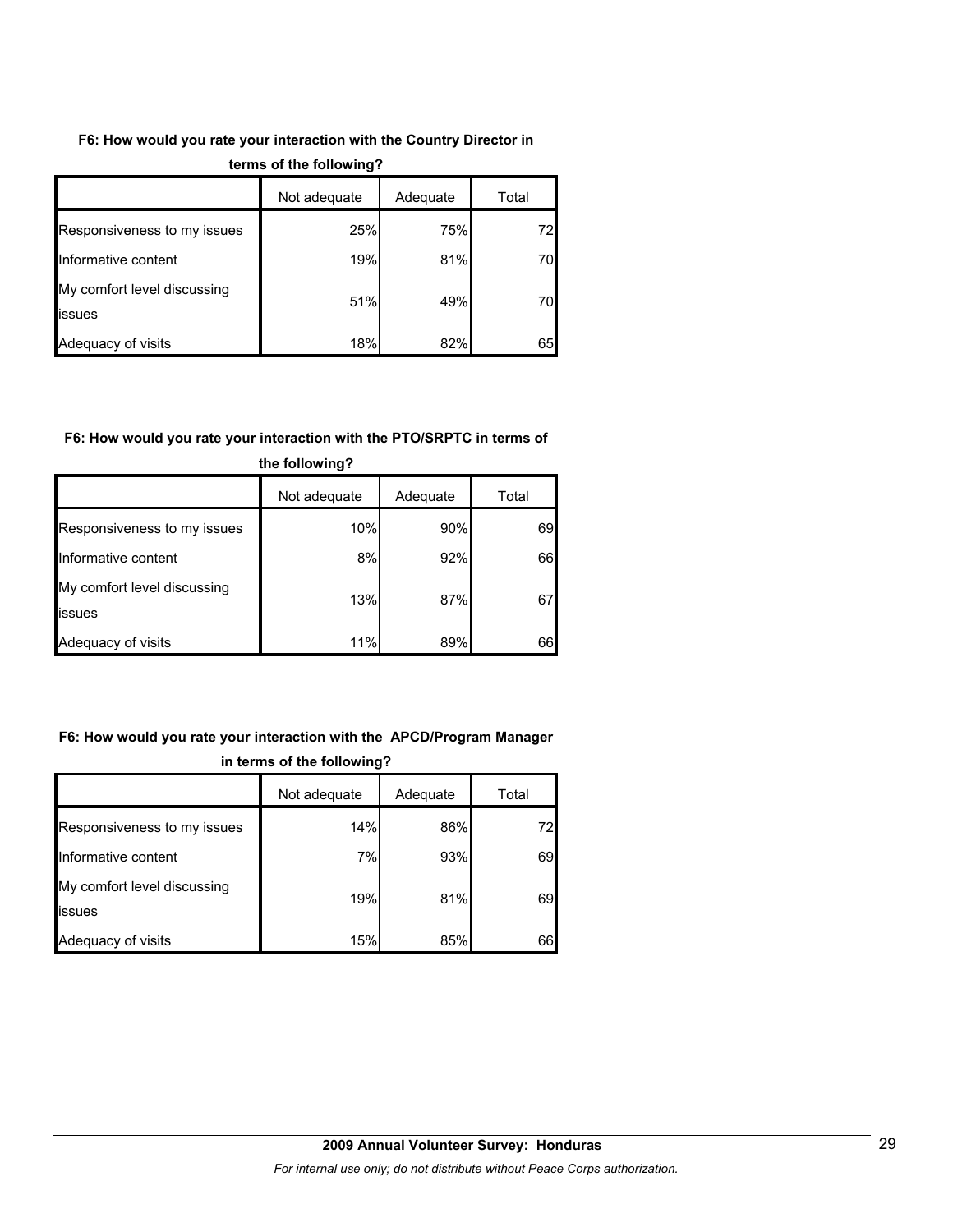## **F6: How would you rate your interaction with the Country Director in**

|                                              | Not adequate | Adequate | Total |
|----------------------------------------------|--------------|----------|-------|
| Responsiveness to my issues                  | 25%          | 75%      | 72    |
| Informative content                          | 19%          | 81%      | 70    |
| My comfort level discussing<br><b>issues</b> | 51%          | 49%      | 70    |
| Adequacy of visits                           | 18%          | 82%      | 65    |

## **terms of the following?**

## **F6: How would you rate your interaction with the PTO/SRPTC in terms of**

|                                       | Not adequate | Adequate | Total |
|---------------------------------------|--------------|----------|-------|
| Responsiveness to my issues           | 10%          | 90%      | 69    |
| Informative content                   | 8%           | 92%      | 66    |
| My comfort level discussing<br>issues | 13%          | 87%      | 67    |
| Adequacy of visits                    | 11%          | 89%      | 66    |

## **the following?**

## **F6: How would you rate your interaction with the APCD/Program Manager in terms of the following?**

|                                       | Not adequate | Adequate | Total |
|---------------------------------------|--------------|----------|-------|
| Responsiveness to my issues           | 14%          | 86%      | 72    |
| Informative content                   | 7%           | 93%      | 69    |
| My comfort level discussing<br>issues | 19%          | 81%      | 69    |
| Adequacy of visits                    | 15%          | 85%      | 66    |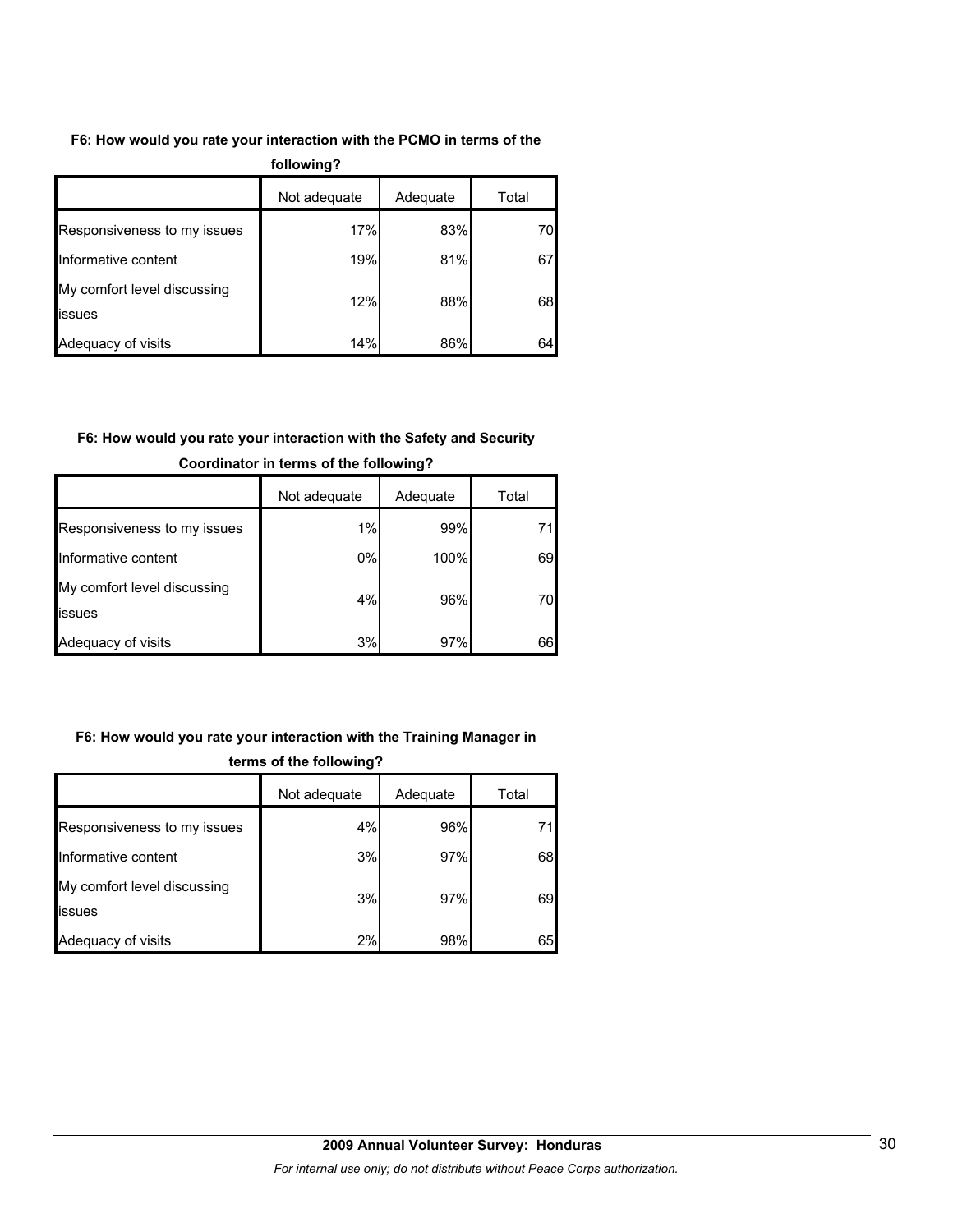## **F6: How would you rate your interaction with the PCMO in terms of the**

| following?                            |              |          |       |  |  |  |  |
|---------------------------------------|--------------|----------|-------|--|--|--|--|
|                                       | Not adequate | Adequate | Total |  |  |  |  |
| Responsiveness to my issues           | 17%          | 83%      | 70    |  |  |  |  |
| Informative content                   | 19%          | 81%      | 67    |  |  |  |  |
| My comfort level discussing<br>issues | 12%          | 88%      | 68    |  |  |  |  |
| Adequacy of visits                    | 14%          | 86%      | 64    |  |  |  |  |

## **F6: How would you rate your interaction with the Safety and Security**

|                                               | Not adequate | Adequate | Total |
|-----------------------------------------------|--------------|----------|-------|
| Responsiveness to my issues                   | 1%           | 99%      |       |
| Informative content                           | 0%           | 100%     | 69    |
| My comfort level discussing<br><b>lissues</b> | 4%           | 96%      | 70    |
| Adequacy of visits                            | 3%           | 97%      | 66    |

## **Coordinator in terms of the following?**

## **F6: How would you rate your interaction with the Training Manager in**

|                                       | Not adequate | Adequate | Total |  |  |  |  |
|---------------------------------------|--------------|----------|-------|--|--|--|--|
| Responsiveness to my issues           | 4%           | 96%      | 71    |  |  |  |  |
| Informative content                   | 3%           | 97%      | 68    |  |  |  |  |
| My comfort level discussing<br>issues | 3%           | 97%      | 69    |  |  |  |  |
| Adequacy of visits                    | 2%           | 98%      | 65    |  |  |  |  |

#### **terms of the following?**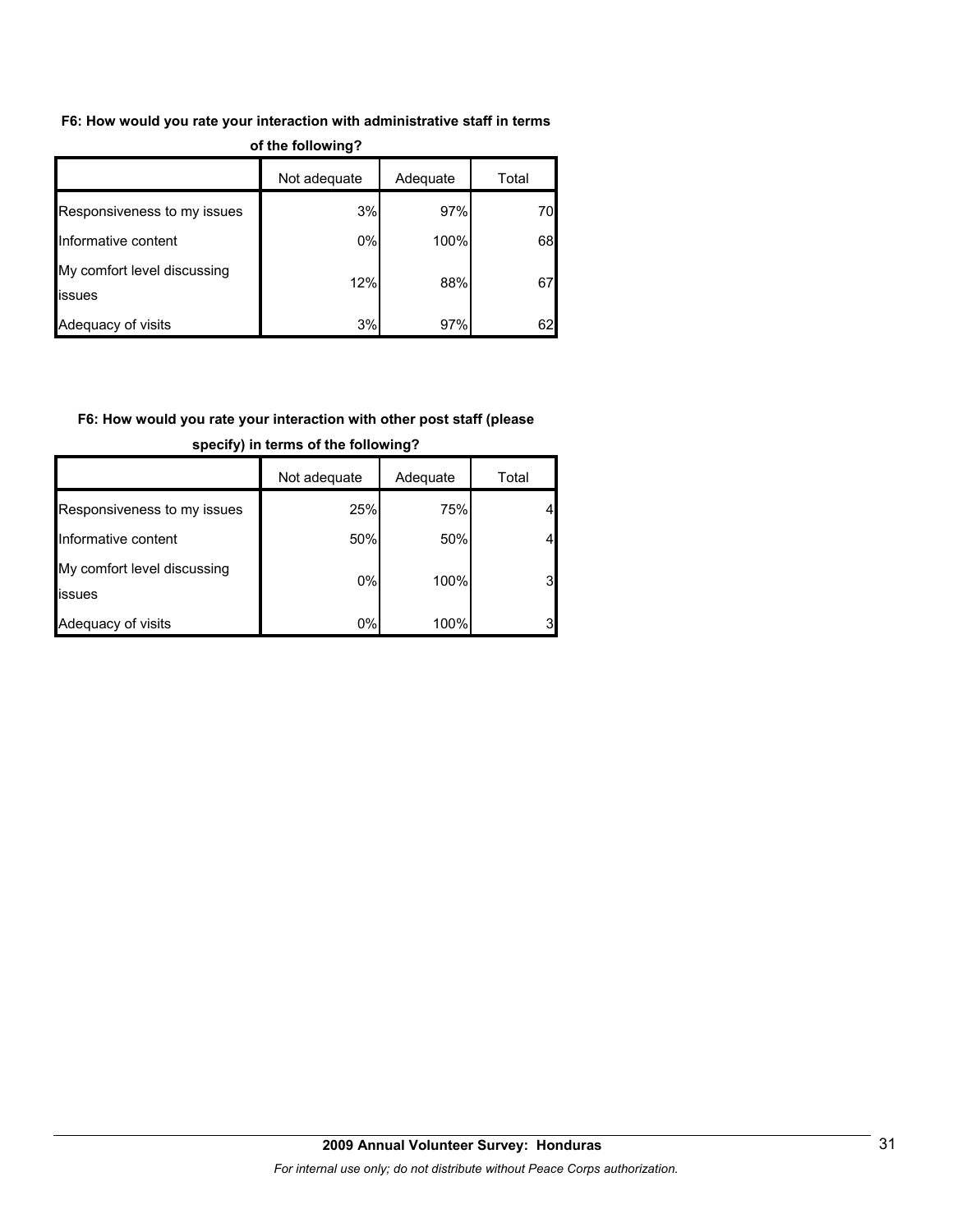## **F6: How would you rate your interaction with administrative staff in terms**

| of the following?                     |              |          |       |  |  |  |  |  |
|---------------------------------------|--------------|----------|-------|--|--|--|--|--|
|                                       | Not adequate | Adequate | Total |  |  |  |  |  |
| Responsiveness to my issues           | 3%           | 97%      | 70    |  |  |  |  |  |
| Informative content                   | 0%           | 100%     | 68    |  |  |  |  |  |
| My comfort level discussing<br>issues | 12%          | 88%      | 67    |  |  |  |  |  |
| Adequacy of visits                    | 3%           | 97%      | 62    |  |  |  |  |  |

## **F6: How would you rate your interaction with other post staff (please**

|                                       | Not adequate | Adequate | Total          |
|---------------------------------------|--------------|----------|----------------|
| Responsiveness to my issues           | 25%          | 75%      |                |
| Informative content                   | 50%          | 50%      |                |
| My comfort level discussing<br>issues | 0%           | 100%     | 3 <sub>l</sub> |
| Adequacy of visits                    | 0%           | 100%     | 31             |

**specify) in terms of the following?**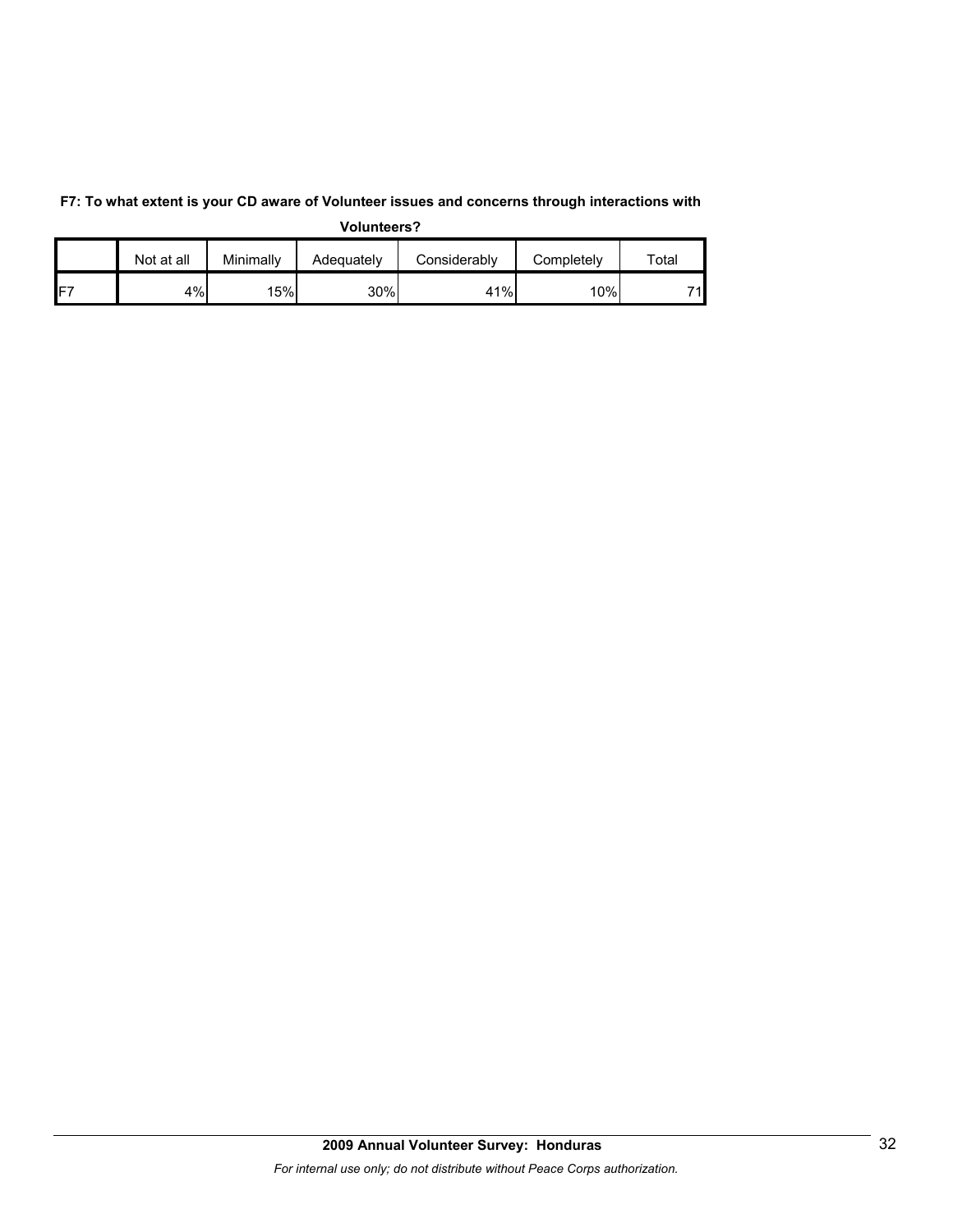|     | Not at all | Minimally | Adequately | Considerablv | Completely | $\tau$ otal |
|-----|------------|-----------|------------|--------------|------------|-------------|
| IF7 | 4%         | 15%       | 30%        | 41%          | 10%        | 71.         |

**F7: To what extent is your CD aware of Volunteer issues and concerns through interactions with Volunteers?**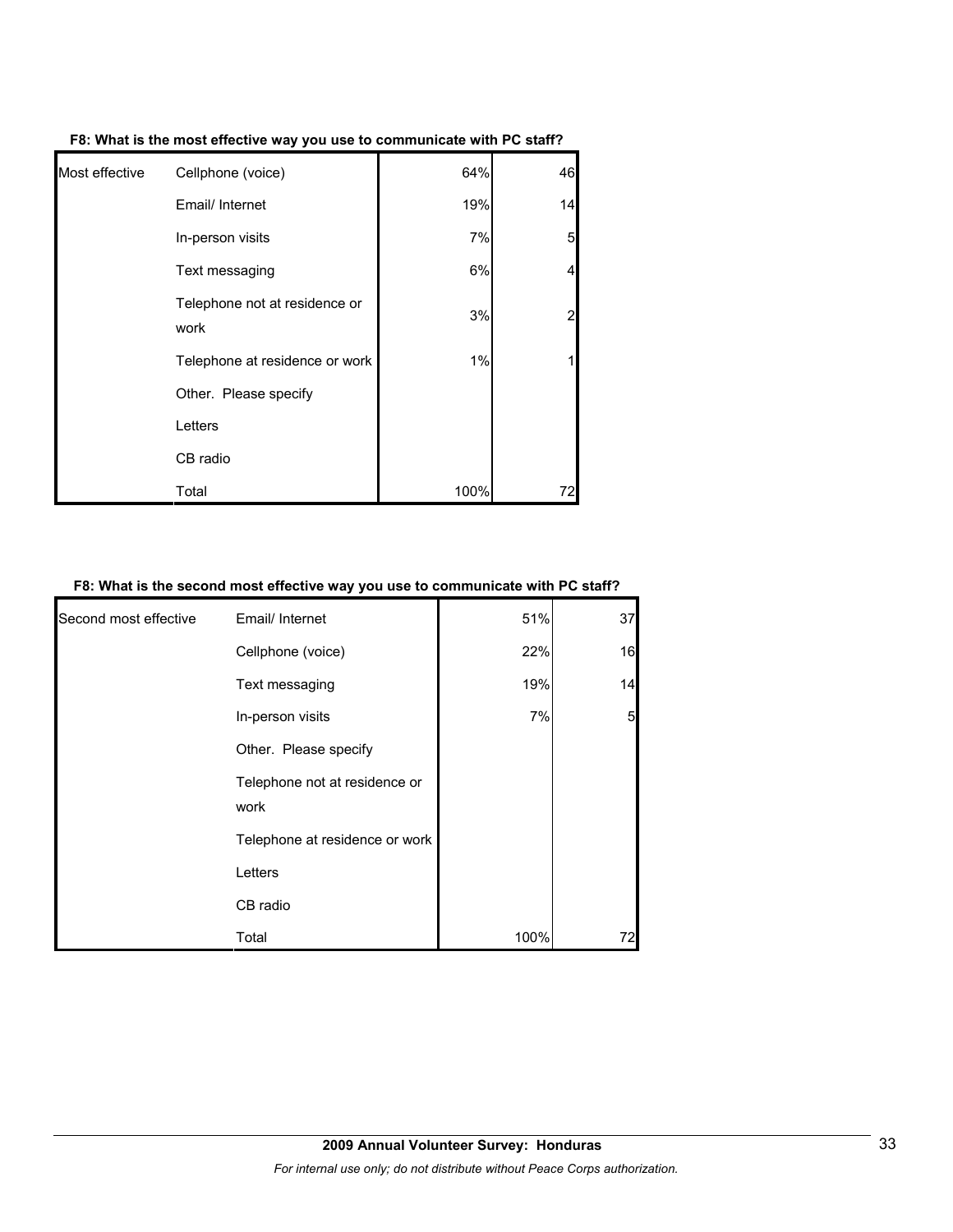| Most effective | Cellphone (voice)                     | 64%  | 46                      |
|----------------|---------------------------------------|------|-------------------------|
|                | Email/ Internet                       | 19%  | 14                      |
|                | In-person visits                      | 7%   | 5                       |
|                | Text messaging                        | 6%   | $\overline{\mathbf{4}}$ |
|                | Telephone not at residence or<br>work | 3%   | $\overline{a}$          |
|                | Telephone at residence or work        | 1%   | 1                       |
|                | Other. Please specify                 |      |                         |
|                | Letters                               |      |                         |
|                | CB radio                              |      |                         |
|                | Total                                 | 100% | 72                      |

**F8: What is the most effective way you use to communicate with PC staff?**

#### **F8: What is the second most effective way you use to communicate with PC staff?**

| Second most effective | Email/ Internet                       | 51%  | 37 |
|-----------------------|---------------------------------------|------|----|
|                       | Cellphone (voice)                     | 22%  | 16 |
|                       | Text messaging                        | 19%  | 14 |
|                       | In-person visits                      | 7%   | 5  |
|                       | Other. Please specify                 |      |    |
|                       | Telephone not at residence or<br>work |      |    |
|                       | Telephone at residence or work        |      |    |
|                       | Letters                               |      |    |
|                       | CB radio                              |      |    |
|                       | Total                                 | 100% |    |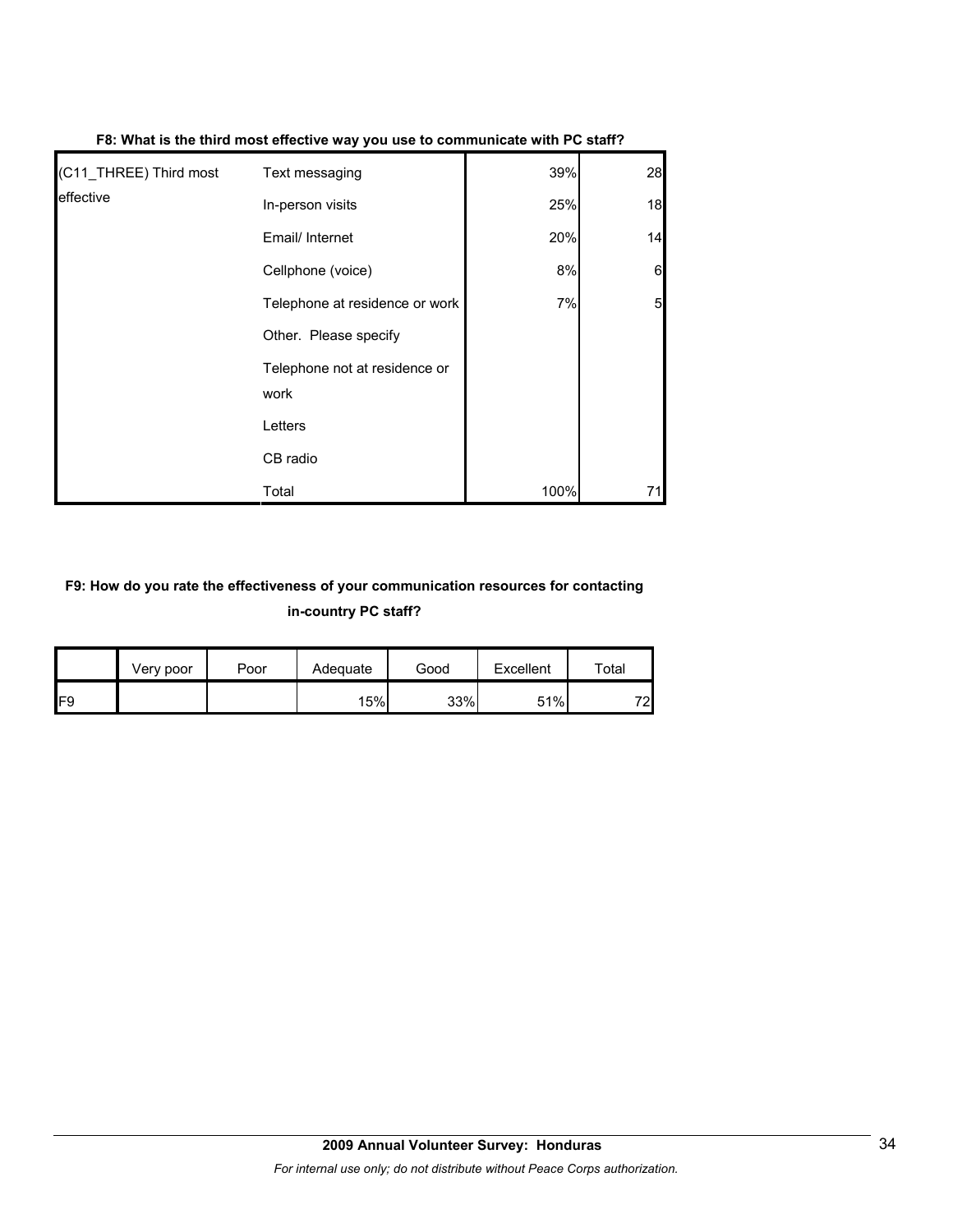| (C11_THREE) Third most | Text messaging                        | 39%  | 28 |
|------------------------|---------------------------------------|------|----|
| leffective             | In-person visits                      | 25%  | 18 |
|                        | Email/ Internet                       | 20%  | 14 |
|                        | Cellphone (voice)                     | 8%   | 6  |
|                        | Telephone at residence or work        | 7%   | 5  |
|                        | Other. Please specify                 |      |    |
|                        | Telephone not at residence or<br>work |      |    |
|                        | Letters                               |      |    |
|                        | CB radio                              |      |    |
|                        | Total                                 | 100% | 71 |

## **F8: What is the third most effective way you use to communicate with PC staff?**

## **F9: How do you rate the effectiveness of your communication resources for contacting in-country PC staff?**

|                 | Very poor | Poor | Adequate | Good | Excellent | Total |
|-----------------|-----------|------|----------|------|-----------|-------|
| IF <sub>9</sub> |           |      | 15%      | 33%  | 51%       | 72    |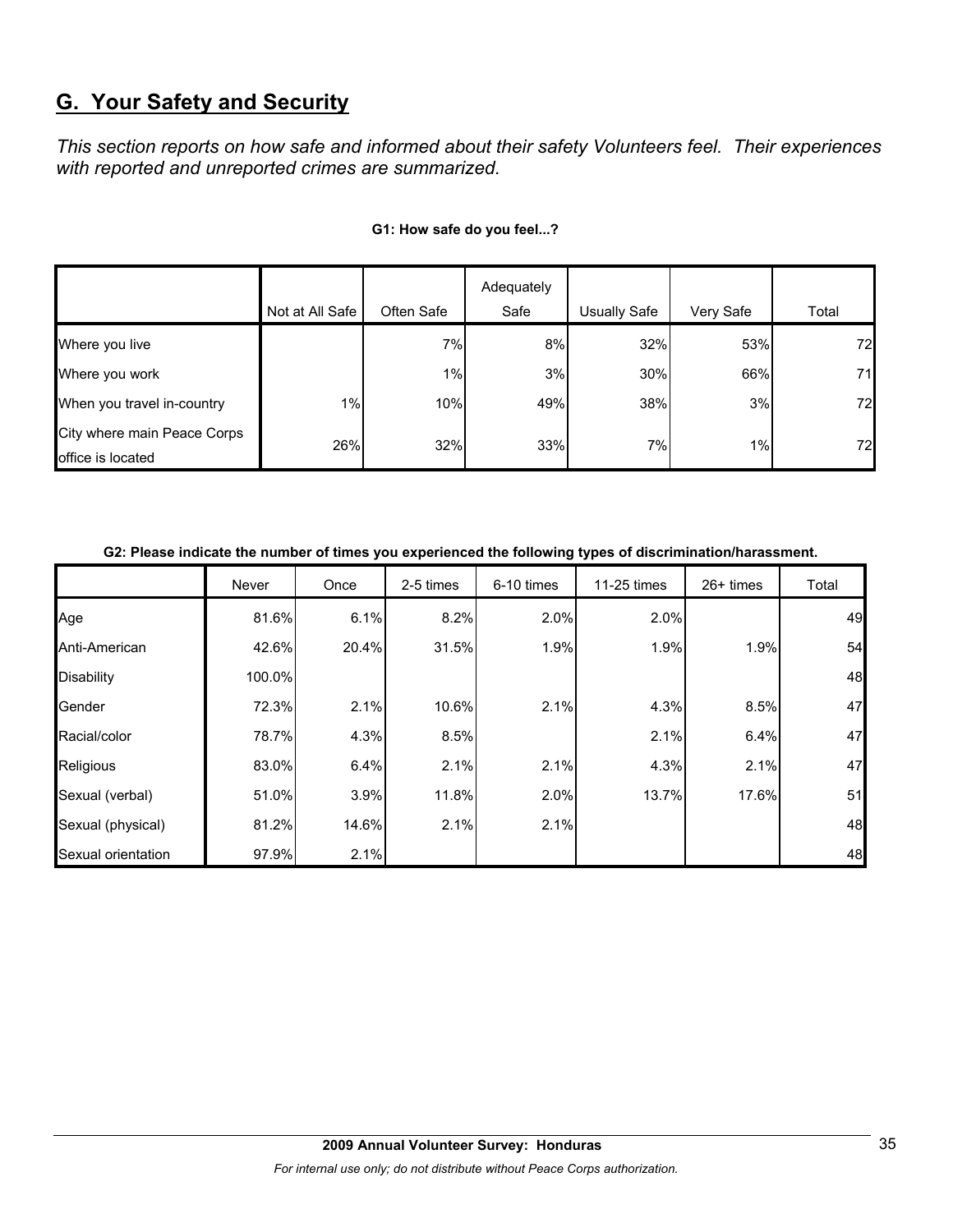# **G. Your Safety and Security**

*This section reports on how safe and informed about their safety Volunteers feel. Their experiences with reported and unreported crimes are summarized.* 

|                                                  |                 |            | Adequately |              |           |       |
|--------------------------------------------------|-----------------|------------|------------|--------------|-----------|-------|
|                                                  | Not at All Safe | Often Safe | Safe       | Usually Safe | Very Safe | Total |
| Where you live                                   |                 | 7%         | 8%         | 32%          | 53%       | 72    |
| Where you work                                   |                 | $1\%$      | 3%         | 30%          | 66%       | 71    |
| When you travel in-country                       | $1\%$           | 10%        | 49%        | 38%          | 3%        | 72    |
| City where main Peace Corps<br>office is located | 26%             | 32%        | 33%        | 7%           | $1\%$     | 72    |

#### **G1: How safe do you feel...?**

## **G2: Please indicate the number of times you experienced the following types of discrimination/harassment.**

|                    | Never  | Once  | 2-5 times | 6-10 times | 11-25 times | $26+$ times | Total |
|--------------------|--------|-------|-----------|------------|-------------|-------------|-------|
| Age                | 81.6%  | 6.1%  | 8.2%      | 2.0%       | 2.0%        |             | 49    |
| Anti-American      | 42.6%  | 20.4% | 31.5%     | 1.9%       | 1.9%        | 1.9%        | 54    |
| Disability         | 100.0% |       |           |            |             |             | 48    |
| Gender             | 72.3%  | 2.1%  | 10.6%     | 2.1%       | 4.3%        | 8.5%        | 47    |
| Racial/color       | 78.7%  | 4.3%  | 8.5%      |            | 2.1%        | 6.4%        | 47    |
| Religious          | 83.0%  | 6.4%  | 2.1%      | 2.1%       | 4.3%        | 2.1%        | 47    |
| Sexual (verbal)    | 51.0%  | 3.9%  | 11.8%     | 2.0%       | 13.7%       | 17.6%       | 51    |
| Sexual (physical)  | 81.2%  | 14.6% | 2.1%      | 2.1%       |             |             | 48    |
| Sexual orientation | 97.9%  | 2.1%  |           |            |             |             | 48    |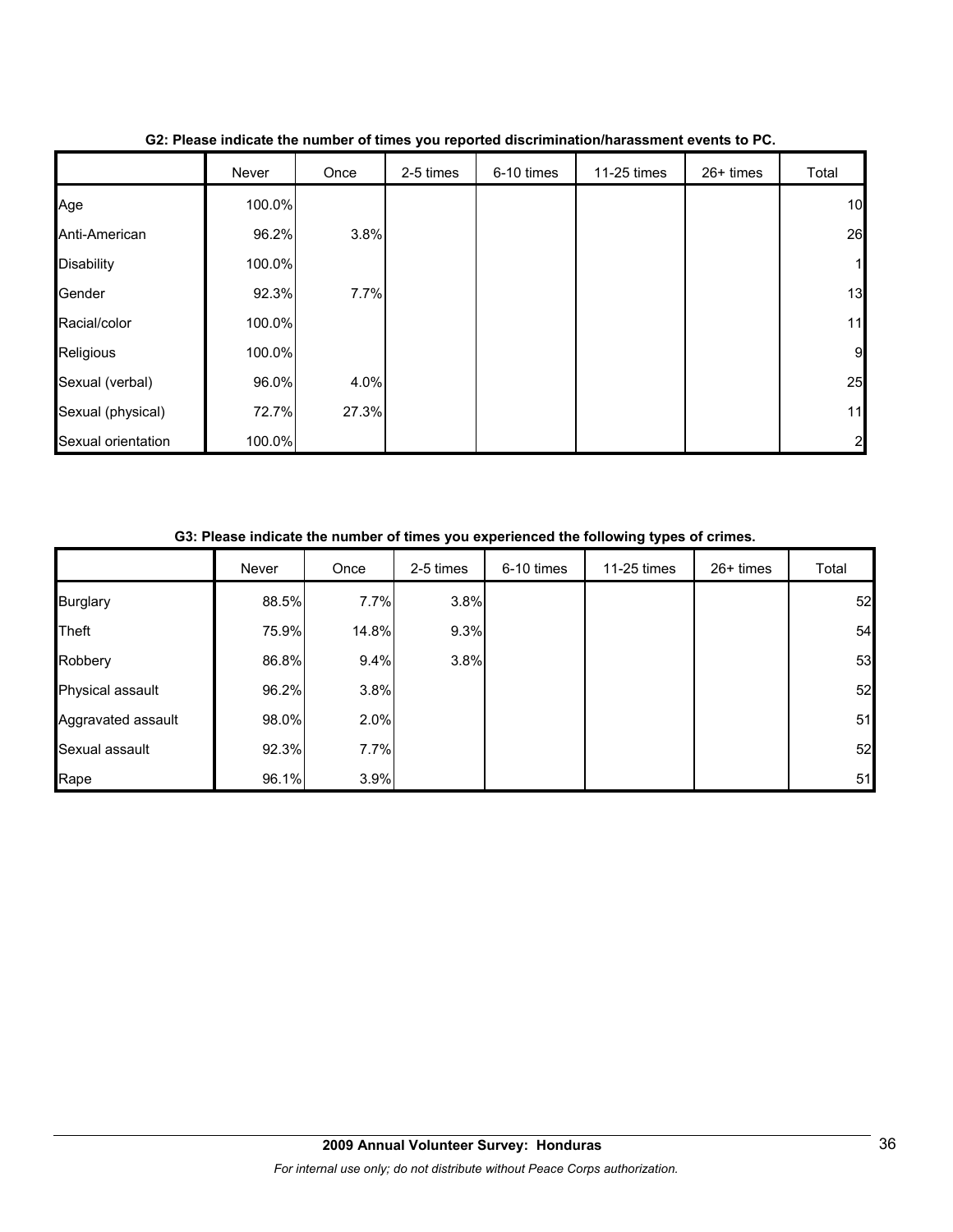|                    | Never  | Once  | 2-5 times | 6-10 times | 11-25 times | 26+ times | Total        |
|--------------------|--------|-------|-----------|------------|-------------|-----------|--------------|
| Age                | 100.0% |       |           |            |             |           | 10           |
| Anti-American      | 96.2%  | 3.8%  |           |            |             |           | 26           |
| <b>Disability</b>  | 100.0% |       |           |            |             |           | 1            |
| Gender             | 92.3%  | 7.7%  |           |            |             |           | 13           |
| Racial/color       | 100.0% |       |           |            |             |           | 11           |
| Religious          | 100.0% |       |           |            |             |           | 9            |
| Sexual (verbal)    | 96.0%  | 4.0%  |           |            |             |           | 25           |
| Sexual (physical)  | 72.7%  | 27.3% |           |            |             |           | 11           |
| Sexual orientation | 100.0% |       |           |            |             |           | $\mathbf{z}$ |

**G2: Please indicate the number of times you reported discrimination/harassment events to PC.**

|                    | Never | Once  | 2-5 times | 6-10 times | 11-25 times | $26+$ times | Total |
|--------------------|-------|-------|-----------|------------|-------------|-------------|-------|
| <b>Burglary</b>    | 88.5% | 7.7%  | 3.8%      |            |             |             | 52    |
| Theft              | 75.9% | 14.8% | 9.3%      |            |             |             | 54    |
| Robbery            | 86.8% | 9.4%  | 3.8%      |            |             |             | 53    |
| Physical assault   | 96.2% | 3.8%  |           |            |             |             | 52    |
| Aggravated assault | 98.0% | 2.0%  |           |            |             |             | 51    |
| Sexual assault     | 92.3% | 7.7%  |           |            |             |             | 52    |
| Rape               | 96.1% | 3.9%  |           |            |             |             | 51    |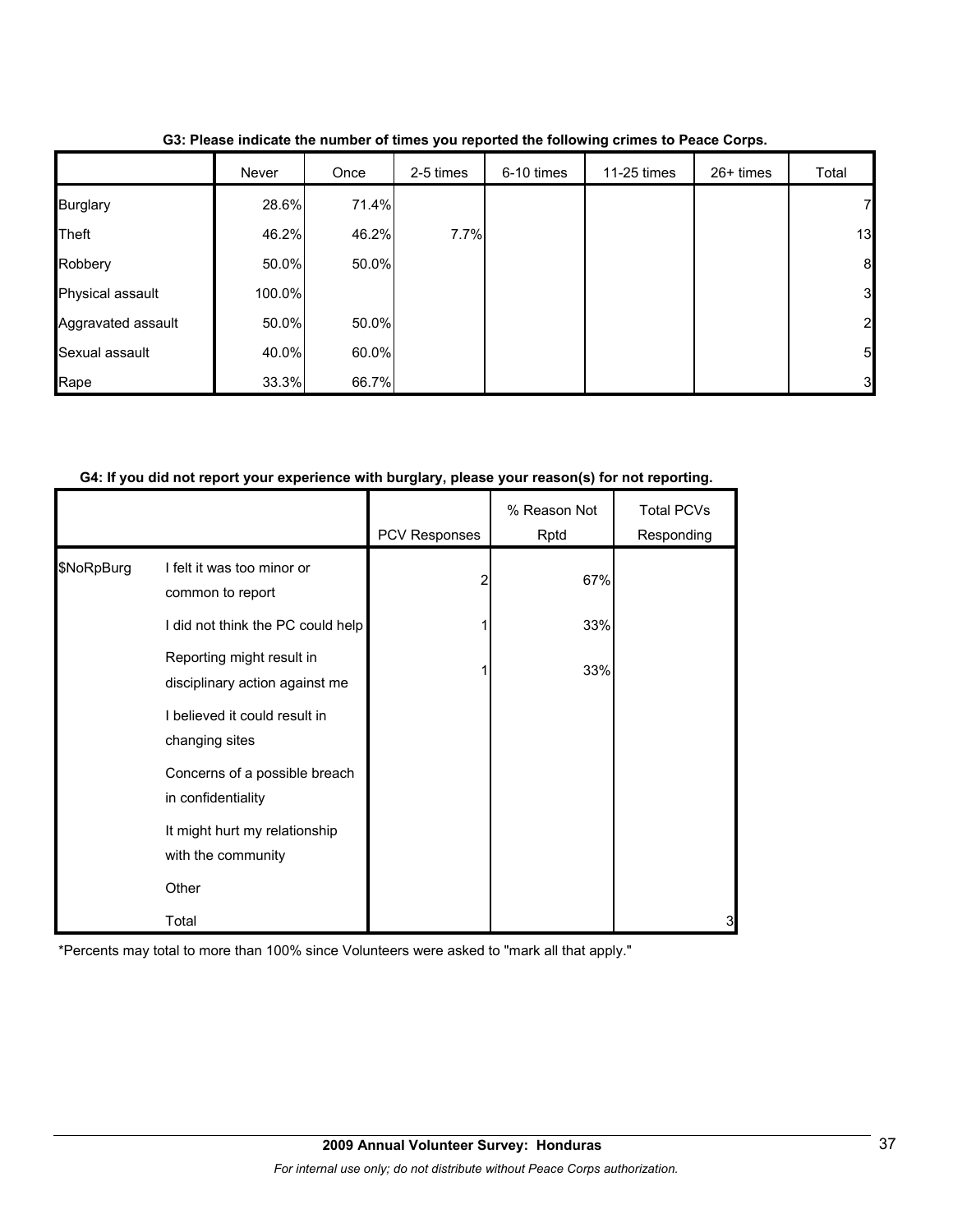|                    | Never  | Once  | 2-5 times | 6-10 times | 11-25 times | $26+$ times | Total          |
|--------------------|--------|-------|-----------|------------|-------------|-------------|----------------|
| <b>Burglary</b>    | 28.6%  | 71.4% |           |            |             |             | 7              |
| Theft              | 46.2%  | 46.2% | 7.7%      |            |             |             | 13             |
| Robbery            | 50.0%  | 50.0% |           |            |             |             | 8              |
| Physical assault   | 100.0% |       |           |            |             |             | 3 <sup>1</sup> |
| Aggravated assault | 50.0%  | 50.0% |           |            |             |             | $\mathbf{2}$   |
| Sexual assault     | 40.0%  | 60.0% |           |            |             |             | 5              |
| Rape               | 33.3%  | 66.7% |           |            |             |             | 3              |

**G3: Please indicate the number of times you reported the following crimes to Peace Corps.**

#### **G4: If you did not report your experience with burglary, please your reason(s) for not reporting.**

|            |                                                             | PCV Responses | % Reason Not<br>Rptd | <b>Total PCVs</b><br>Responding |
|------------|-------------------------------------------------------------|---------------|----------------------|---------------------------------|
| \$NoRpBurg | I felt it was too minor or                                  | 2             | 67%                  |                                 |
|            | common to report<br>I did not think the PC could help       |               | 33%                  |                                 |
|            | Reporting might result in<br>disciplinary action against me |               | 33%                  |                                 |
|            | I believed it could result in<br>changing sites             |               |                      |                                 |
|            | Concerns of a possible breach<br>in confidentiality         |               |                      |                                 |
|            | It might hurt my relationship<br>with the community         |               |                      |                                 |
|            | Other                                                       |               |                      |                                 |
|            | Total                                                       |               |                      | 3                               |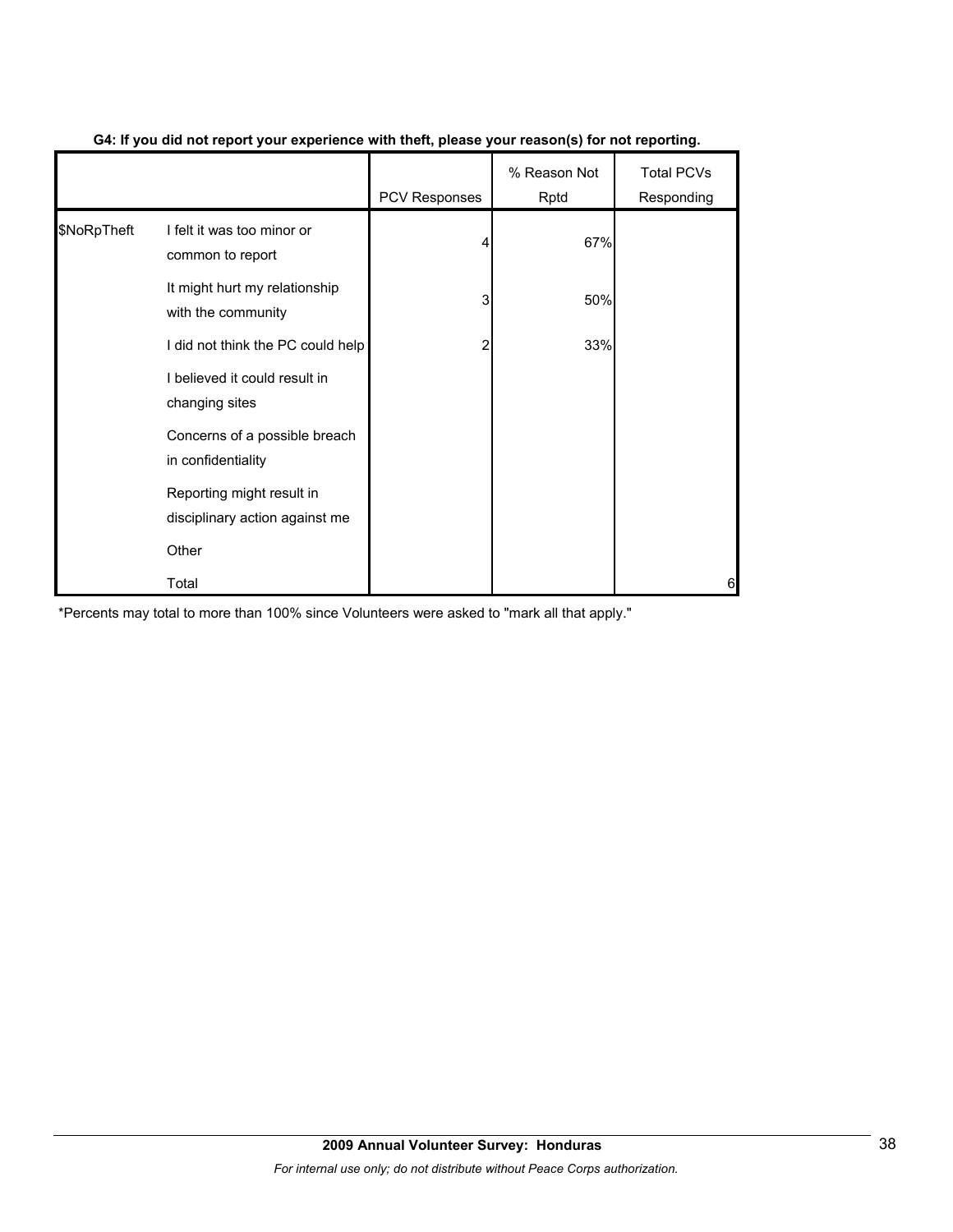|             |                                                             | PCV Responses | % Reason Not<br>Rptd | <b>Total PCVs</b><br>Responding |
|-------------|-------------------------------------------------------------|---------------|----------------------|---------------------------------|
| \$NoRpTheft | I felt it was too minor or<br>common to report              |               | 67%                  |                                 |
|             | It might hurt my relationship<br>with the community         | 3             | 50%                  |                                 |
|             | I did not think the PC could help                           | 2             | 33%                  |                                 |
|             | I believed it could result in<br>changing sites             |               |                      |                                 |
|             | Concerns of a possible breach<br>in confidentiality         |               |                      |                                 |
|             | Reporting might result in<br>disciplinary action against me |               |                      |                                 |
|             | Other                                                       |               |                      |                                 |
|             | Total                                                       |               |                      | 6                               |

## **G4: If you did not report your experience with theft, please your reason(s) for not reporting.**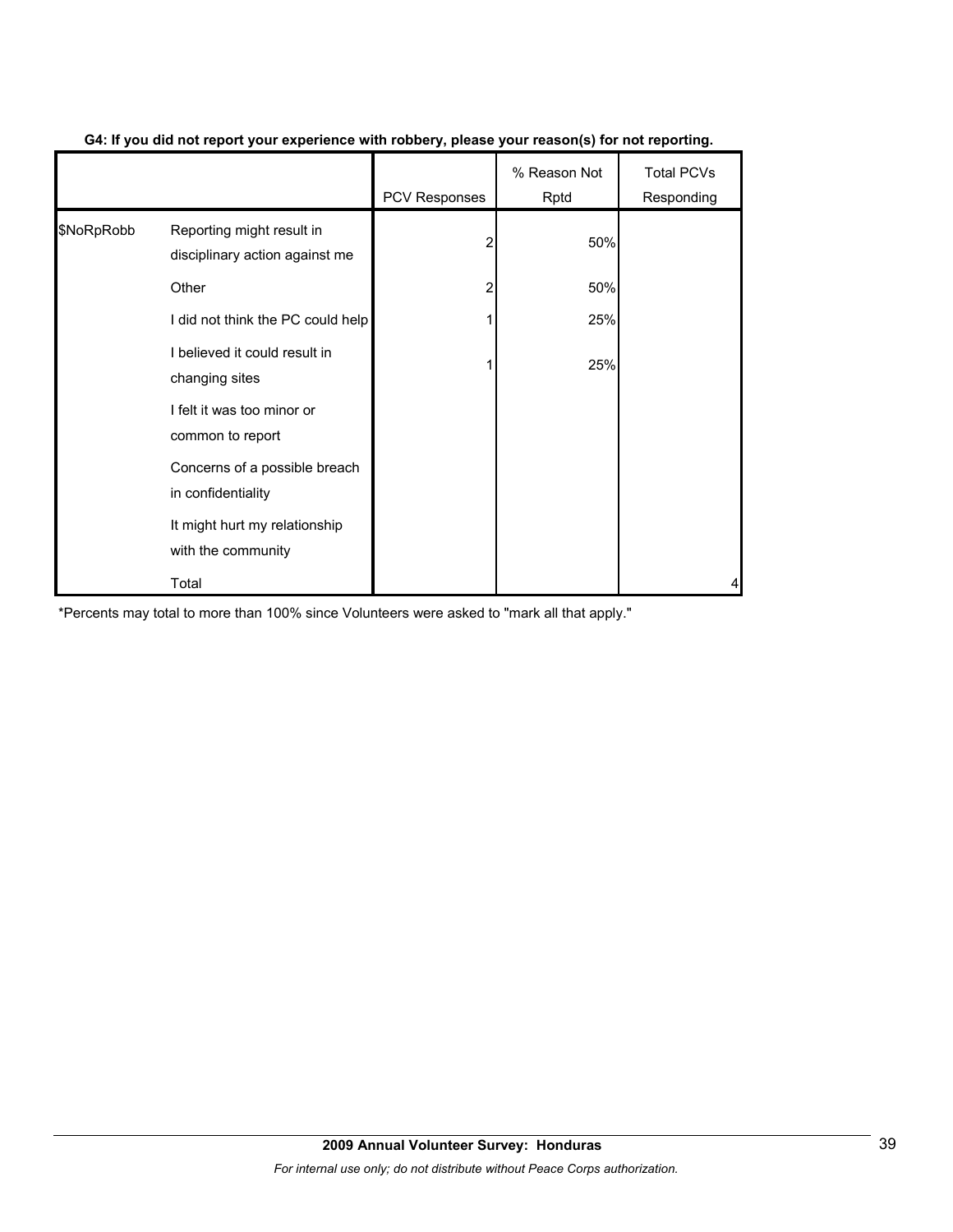|            |                                                             | <b>PCV Responses</b> | % Reason Not<br>Rptd | <b>Total PCVs</b><br>Responding |
|------------|-------------------------------------------------------------|----------------------|----------------------|---------------------------------|
| \$NoRpRobb | Reporting might result in<br>disciplinary action against me | 2                    | 50%                  |                                 |
|            | Other                                                       | 2                    | 50%                  |                                 |
|            | I did not think the PC could help                           |                      | 25%                  |                                 |
|            | I believed it could result in<br>changing sites             |                      | 25%                  |                                 |
|            | I felt it was too minor or<br>common to report              |                      |                      |                                 |
|            | Concerns of a possible breach<br>in confidentiality         |                      |                      |                                 |
|            | It might hurt my relationship<br>with the community         |                      |                      |                                 |
|            | Total                                                       |                      |                      | 4                               |

## **G4: If you did not report your experience with robbery, please your reason(s) for not reporting.**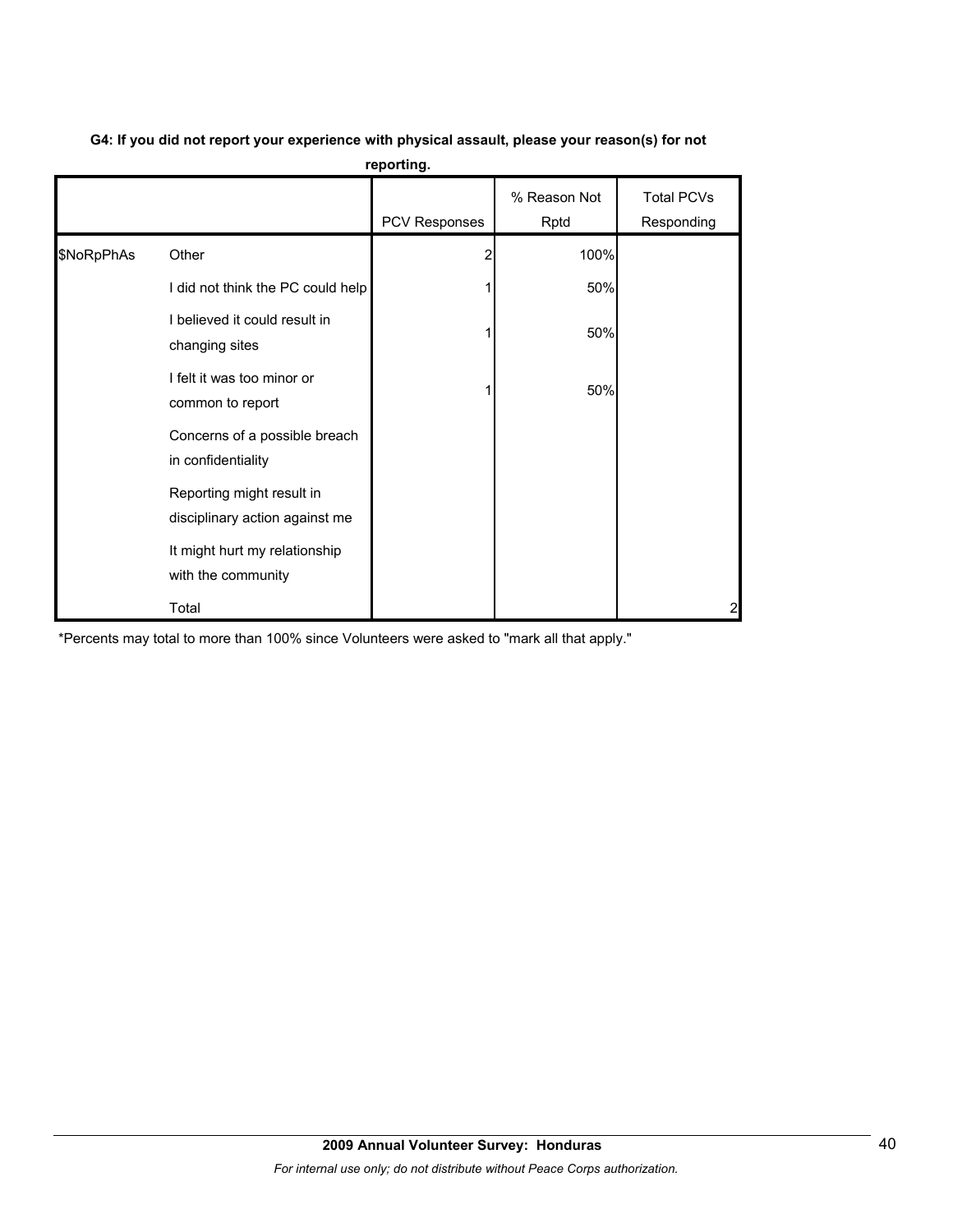|            |                                                             | 10portung.    |                      |                                 |
|------------|-------------------------------------------------------------|---------------|----------------------|---------------------------------|
|            |                                                             | PCV Responses | % Reason Not<br>Rptd | <b>Total PCVs</b><br>Responding |
| \$NoRpPhAs | Other                                                       |               | 100%                 |                                 |
|            | I did not think the PC could help                           |               | 50%                  |                                 |
|            | I believed it could result in<br>changing sites             |               | 50%                  |                                 |
|            | I felt it was too minor or<br>common to report              |               | 50%                  |                                 |
|            | Concerns of a possible breach<br>in confidentiality         |               |                      |                                 |
|            | Reporting might result in<br>disciplinary action against me |               |                      |                                 |
|            | It might hurt my relationship<br>with the community         |               |                      |                                 |
|            | Total                                                       |               |                      | $\overline{2}$                  |

## **G4: If you did not report your experience with physical assault, please your reason(s) for not reporting.**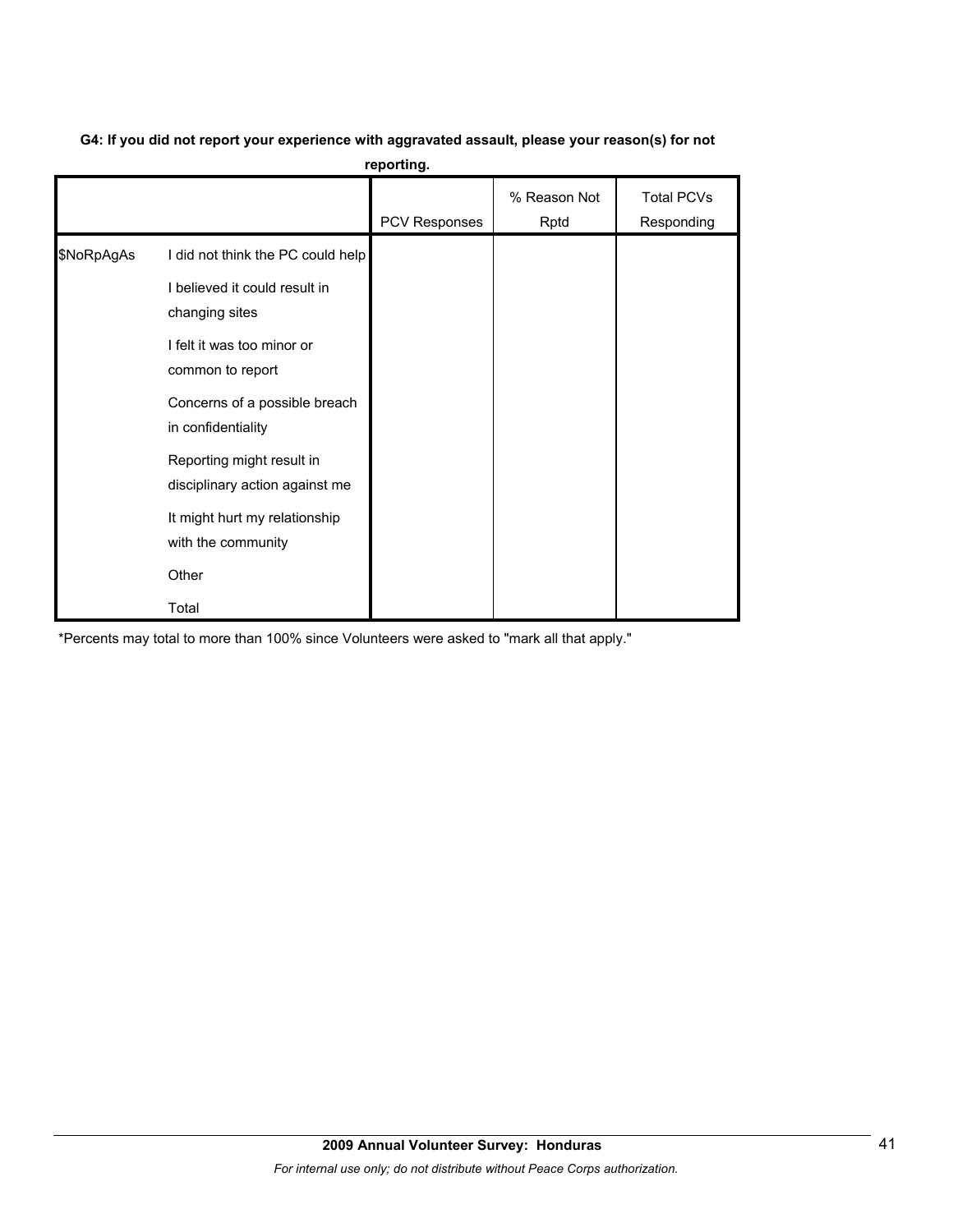# **G4: If you did not report your experience with aggravated assault, please your reason(s) for not**

**reporting.**

|            |                                                                                                                                                                                                                                                                                                                              | PCV Responses | % Reason Not<br>Rptd | <b>Total PCVs</b><br>Responding |
|------------|------------------------------------------------------------------------------------------------------------------------------------------------------------------------------------------------------------------------------------------------------------------------------------------------------------------------------|---------------|----------------------|---------------------------------|
| \$NoRpAgAs | I did not think the PC could help<br>I believed it could result in<br>changing sites<br>I felt it was too minor or<br>common to report<br>Concerns of a possible breach<br>in confidentiality<br>Reporting might result in<br>disciplinary action against me<br>It might hurt my relationship<br>with the community<br>Other |               |                      |                                 |
|            | Total                                                                                                                                                                                                                                                                                                                        |               |                      |                                 |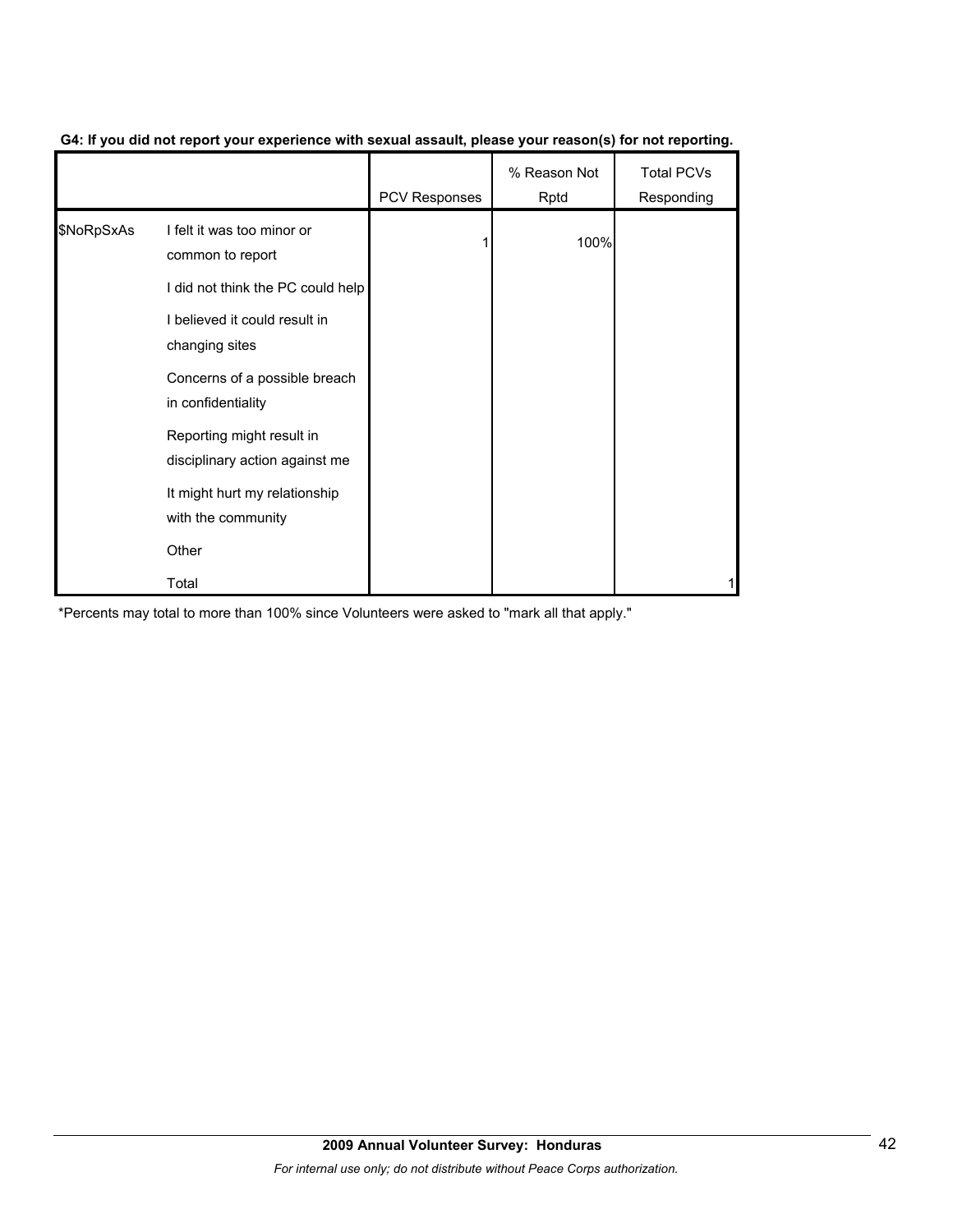|            |                                                             | <b>PCV Responses</b> | % Reason Not<br>Rptd | <b>Total PCVs</b><br>Responding |
|------------|-------------------------------------------------------------|----------------------|----------------------|---------------------------------|
| \$NoRpSxAs | I felt it was too minor or<br>common to report              |                      | 100%                 |                                 |
|            | I did not think the PC could help                           |                      |                      |                                 |
|            | I believed it could result in<br>changing sites             |                      |                      |                                 |
|            | Concerns of a possible breach<br>in confidentiality         |                      |                      |                                 |
|            | Reporting might result in<br>disciplinary action against me |                      |                      |                                 |
|            | It might hurt my relationship<br>with the community         |                      |                      |                                 |
|            | Other                                                       |                      |                      |                                 |
|            | Total                                                       |                      |                      |                                 |

## **G4: If you did not report your experience with sexual assault, please your reason(s) for not reporting.**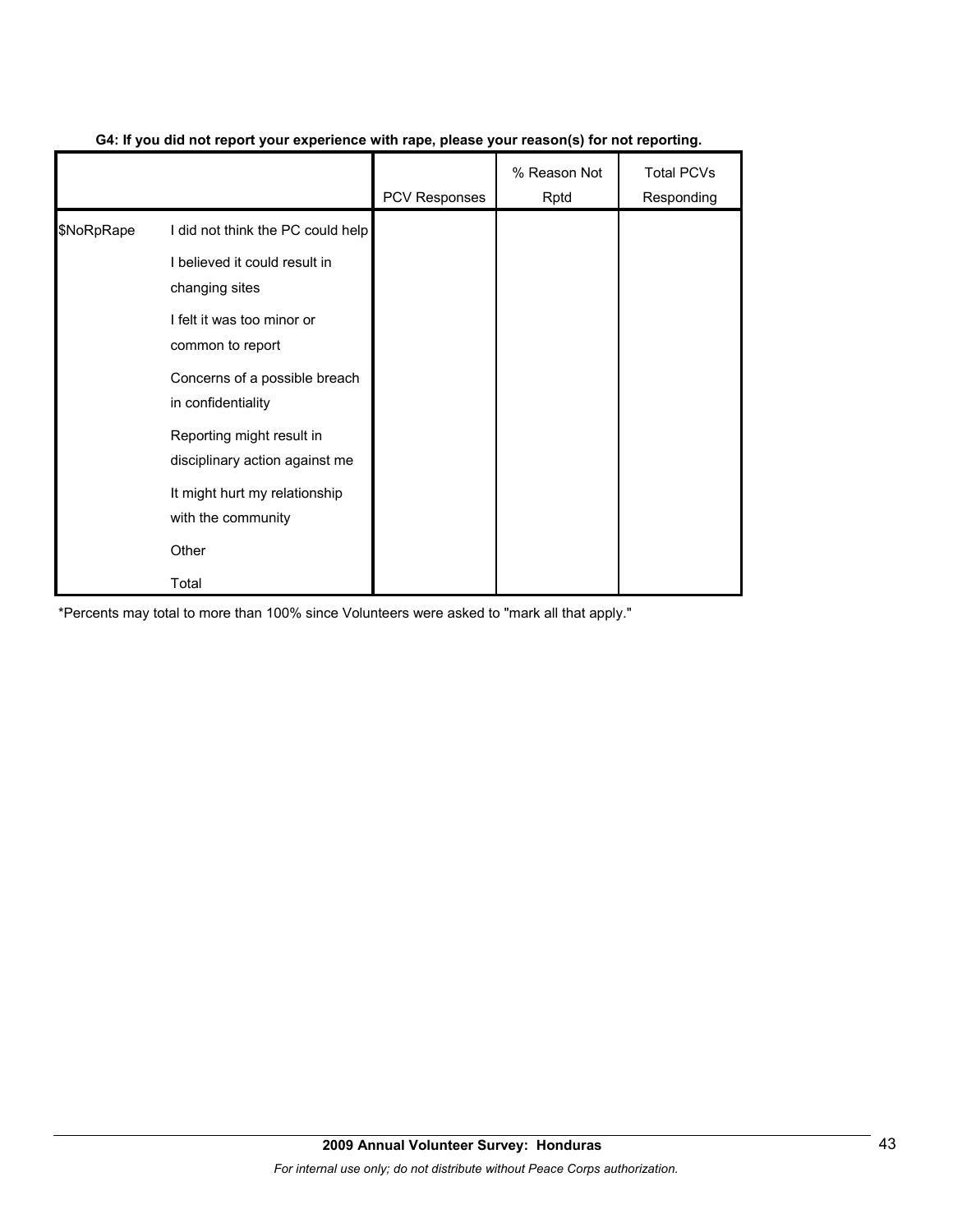|            |                                                             | <b>PCV Responses</b> | % Reason Not<br>Rptd | <b>Total PCVs</b><br>Responding |
|------------|-------------------------------------------------------------|----------------------|----------------------|---------------------------------|
| \$NoRpRape | I did not think the PC could help                           |                      |                      |                                 |
|            | I believed it could result in<br>changing sites             |                      |                      |                                 |
|            | I felt it was too minor or<br>common to report              |                      |                      |                                 |
|            | Concerns of a possible breach<br>in confidentiality         |                      |                      |                                 |
|            | Reporting might result in<br>disciplinary action against me |                      |                      |                                 |
|            | It might hurt my relationship<br>with the community         |                      |                      |                                 |
|            | Other                                                       |                      |                      |                                 |
|            | Total                                                       |                      |                      |                                 |

## **G4: If you did not report your experience with rape, please your reason(s) for not reporting.**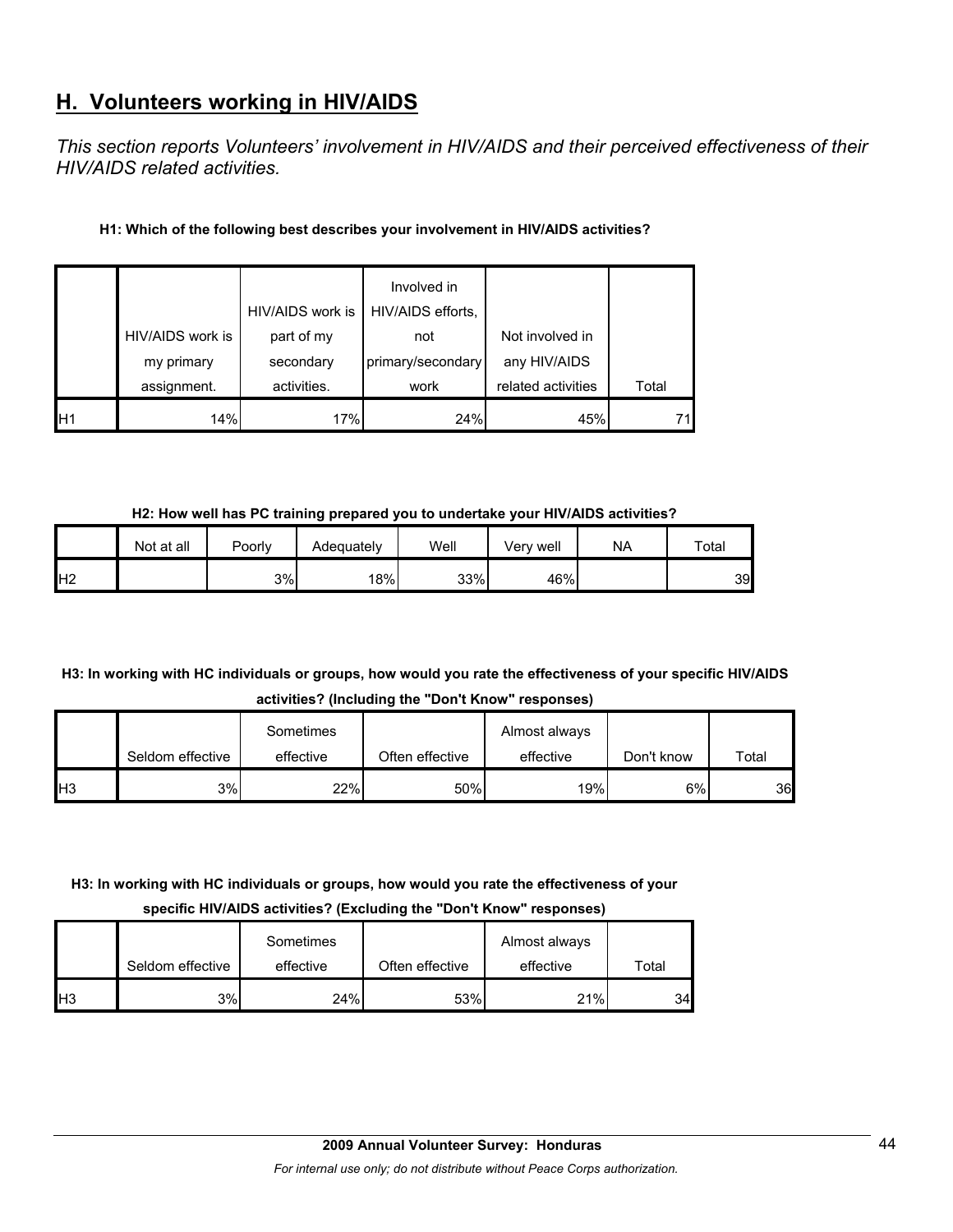# **H. Volunteers working in HIV/AIDS**

*This section reports Volunteers' involvement in HIV/AIDS and their perceived effectiveness of their HIV/AIDS related activities.* 

## **H1: Which of the following best describes your involvement in HIV/AIDS activities?**

|                |                  |                  | Involved in       |                    |       |
|----------------|------------------|------------------|-------------------|--------------------|-------|
|                |                  | HIV/AIDS work is | HIV/AIDS efforts, |                    |       |
|                | HIV/AIDS work is | part of my       | not               | Not involved in    |       |
|                | my primary       | secondary        | primary/secondary | any HIV/AIDS       |       |
|                | assignment.      | activities.      | work              | related activities | Total |
| H <sub>1</sub> | 14%              | 17%              | 24%               | 45%                |       |

**H2: How well has PC training prepared you to undertake your HIV/AIDS activities?**

|                | Not at all | Poorly | Adequately | Well | Verv well | NA | Total |
|----------------|------------|--------|------------|------|-----------|----|-------|
| H <sub>2</sub> |            | 3%     | 18%        | 33%  | 46%       |    | 39    |

## **H3: In working with HC individuals or groups, how would you rate the effectiveness of your specific HIV/AIDS activities? (Including the "Don't Know" responses)**

|                 | Seldom effective | Sometimes<br>effective | Often effective | Almost always<br>effective | Don't know | Total |
|-----------------|------------------|------------------------|-----------------|----------------------------|------------|-------|
| IH <sub>3</sub> | 3%               | 22%                    | 50%             | 19%                        | 6%         | 36    |

## **H3: In working with HC individuals or groups, how would you rate the effectiveness of your**

**specific HIV/AIDS activities? (Excluding the "Don't Know" responses)**

|                | Seldom effective | Sometimes<br>effective | Often effective | Almost always<br>effective | Total |
|----------------|------------------|------------------------|-----------------|----------------------------|-------|
| H <sub>3</sub> | 3%               | 24%                    | 53%             | 21%                        | 34    |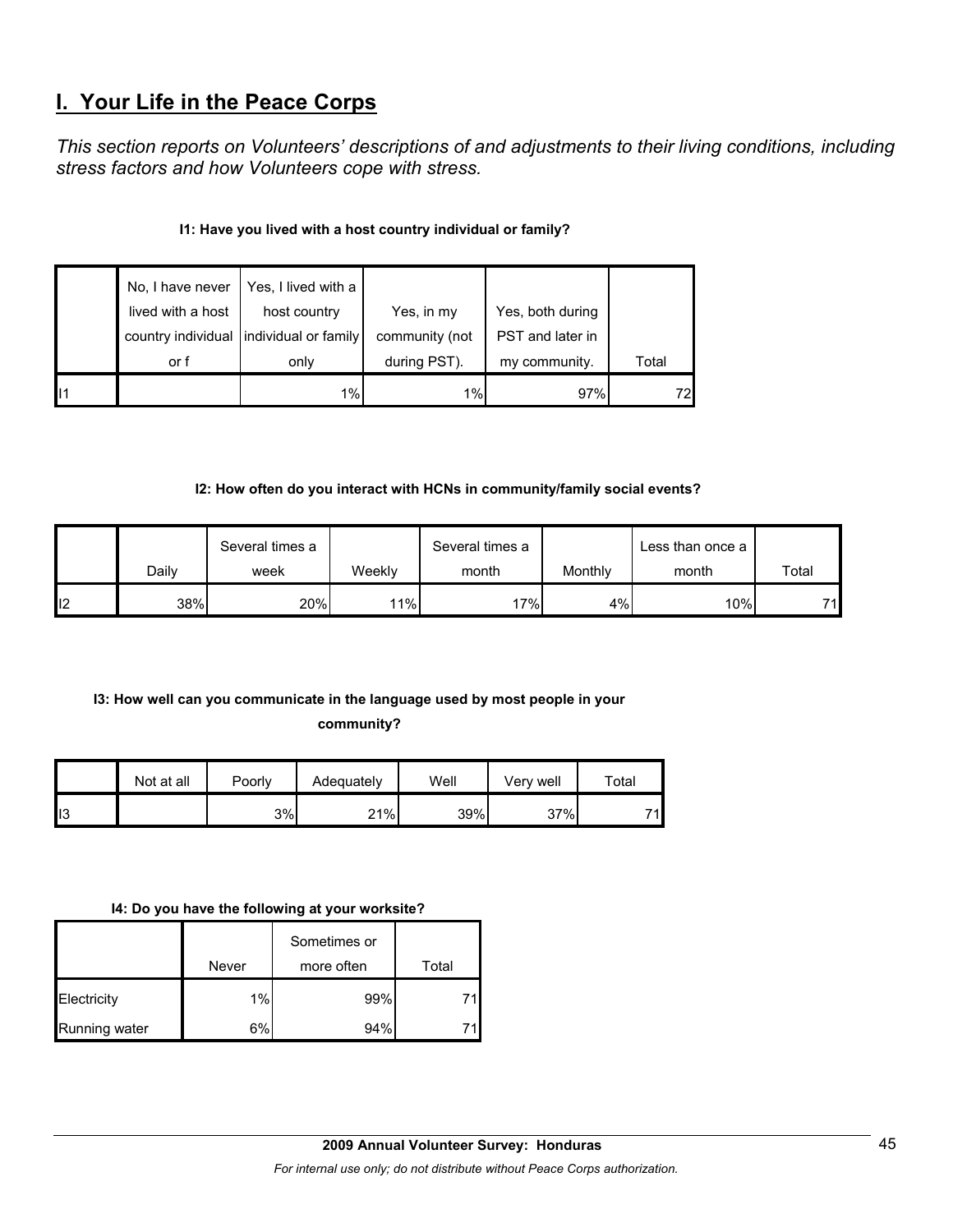# **I. Your Life in the Peace Corps**

*This section reports on Volunteers' descriptions of and adjustments to their living conditions, including stress factors and how Volunteers cope with stress.* 

## **I1: Have you lived with a host country individual or family?**

|                 | No, I have never<br>lived with a host | Yes, I lived with a<br>host country | Yes, in my     | Yes, both during |       |
|-----------------|---------------------------------------|-------------------------------------|----------------|------------------|-------|
|                 | country individual                    | individual or family                | community (not | PST and later in |       |
|                 | or f                                  | only                                | during PST).   | my community.    | Total |
| $\mathsf{II}$ 1 |                                       | 1%                                  | 1%             | 97%              | 72    |

## **I2: How often do you interact with HCNs in community/family social events?**

|    |       | Several times a |        | Several times a |         | Less than once a |       |
|----|-------|-----------------|--------|-----------------|---------|------------------|-------|
|    | Dailv | week            | Weekly | month           | Monthly | month            | Total |
| 12 | 38%   | 20%             | 11%    | 17%             | 4%l     | $10\%$           | 74    |

# **I3: How well can you communicate in the language used by most people in your**

## **community?**

|     | Not at all | Poorly | Adequately | Well | Verv well | Total |
|-----|------------|--------|------------|------|-----------|-------|
| II3 |            | 3%     | 21%        | 39%  | 37%       | 71    |

## **I4: Do you have the following at your worksite?**

|               |       | Sometimes or |       |
|---------------|-------|--------------|-------|
|               | Never | more often   | Total |
| Electricity   | 1%    | 99%          |       |
| Running water | 6%    | 94%          |       |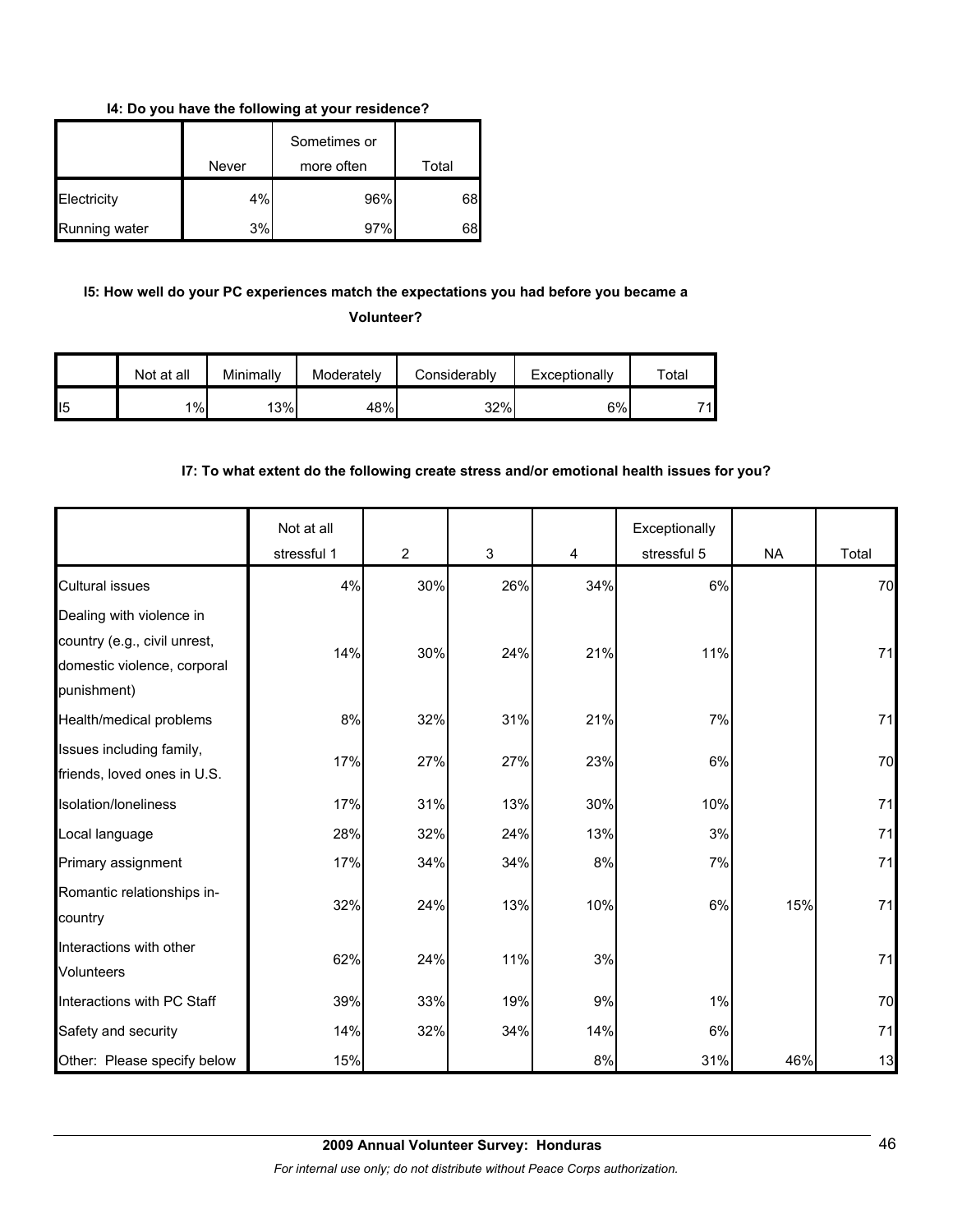**I4: Do you have the following at your residence?**

|               | Never | Sometimes or<br>more often | Total |
|---------------|-------|----------------------------|-------|
| Electricity   | 4%    | 96%                        | 68    |
| Running water | 3%    | 97%                        | 68    |

## **I5: How well do your PC experiences match the expectations you had before you became a Volunteer?**

|                 | Not at all | Minimally | Moderately | Considerably | Exceptionally | $\tau$ otal |
|-----------------|------------|-----------|------------|--------------|---------------|-------------|
| II <sub>5</sub> | 1%         | 13%       | 48%        | 32%          | 6%            | 74          |

## **I7: To what extent do the following create stress and/or emotional health issues for you?**

|                                                                                                        | Not at all<br>stressful 1 | $\overline{2}$ | 3   | $\overline{4}$ | Exceptionally<br>stressful 5 | <b>NA</b> | Total |
|--------------------------------------------------------------------------------------------------------|---------------------------|----------------|-----|----------------|------------------------------|-----------|-------|
| <b>Cultural issues</b>                                                                                 | 4%                        | 30%            | 26% | 34%            | 6%                           |           | 70    |
| Dealing with violence in<br>country (e.g., civil unrest,<br>domestic violence, corporal<br>punishment) | 14%                       | 30%            | 24% | 21%            | 11%                          |           | 71    |
| Health/medical problems                                                                                | 8%                        | 32%            | 31% | 21%            | 7%                           |           | 71    |
| Issues including family,<br>friends, loved ones in U.S.                                                | 17%                       | 27%            | 27% | 23%            | 6%                           |           | 70    |
| Isolation/Ioneliness                                                                                   | 17%                       | 31%            | 13% | 30%            | 10%                          |           | 71    |
| Local language                                                                                         | 28%                       | 32%            | 24% | 13%            | 3%                           |           | 71    |
| Primary assignment                                                                                     | 17%                       | 34%            | 34% | 8%             | 7%                           |           | 71    |
| Romantic relationships in-<br>country                                                                  | 32%                       | 24%            | 13% | 10%            | 6%                           | 15%       | 71    |
| Interactions with other<br><b>Volunteers</b>                                                           | 62%                       | 24%            | 11% | 3%             |                              |           | 71    |
| Interactions with PC Staff                                                                             | 39%                       | 33%            | 19% | 9%             | 1%                           |           | 70    |
| Safety and security                                                                                    | 14%                       | 32%            | 34% | 14%            | $6\%$                        |           | 71    |
| Other: Please specify below                                                                            | 15%                       |                |     | 8%             | 31%                          | 46%       | 13    |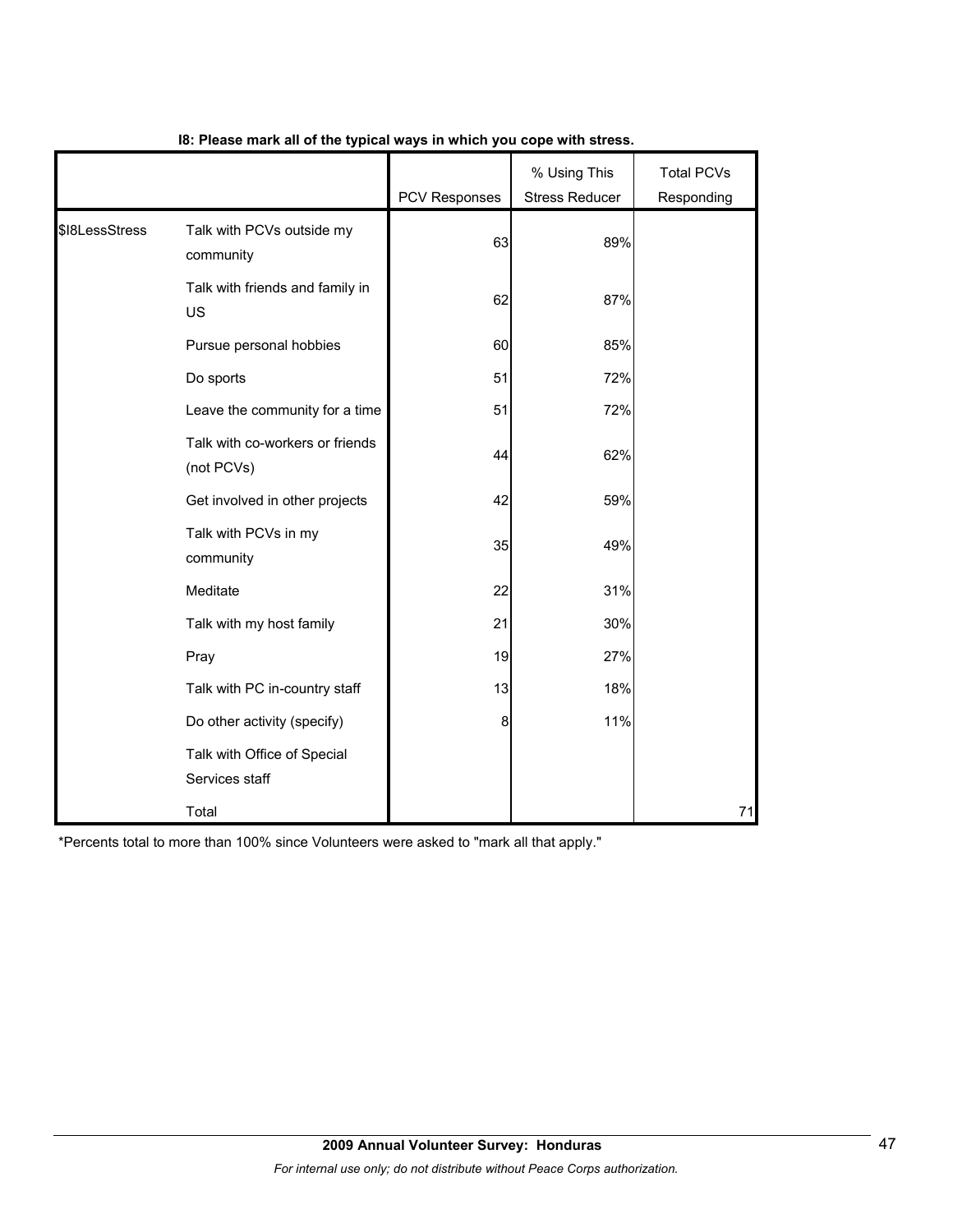|                |                                               | PCV Responses | % Using This<br><b>Stress Reducer</b> | <b>Total PCVs</b><br>Responding |
|----------------|-----------------------------------------------|---------------|---------------------------------------|---------------------------------|
| \$I8LessStress | Talk with PCVs outside my<br>community        | 63            | 89%                                   |                                 |
|                | Talk with friends and family in<br>US         | 62            | 87%                                   |                                 |
|                | Pursue personal hobbies                       | 60            | 85%                                   |                                 |
|                | Do sports                                     | 51            | 72%                                   |                                 |
|                | Leave the community for a time                | 51            | 72%                                   |                                 |
|                | Talk with co-workers or friends<br>(not PCVs) | 44            | 62%                                   |                                 |
|                | Get involved in other projects                | 42            | 59%                                   |                                 |
|                | Talk with PCVs in my<br>community             | 35            | 49%                                   |                                 |
|                | Meditate                                      | 22            | 31%                                   |                                 |
|                | Talk with my host family                      | 21            | 30%                                   |                                 |
|                | Pray                                          | 19            | 27%                                   |                                 |
|                | Talk with PC in-country staff                 | 13            | 18%                                   |                                 |
|                | Do other activity (specify)                   | 8             | 11%                                   |                                 |
|                | Talk with Office of Special<br>Services staff |               |                                       |                                 |
|                | Total                                         |               |                                       | 71                              |

## **I8: Please mark all of the typical ways in which you cope with stress.**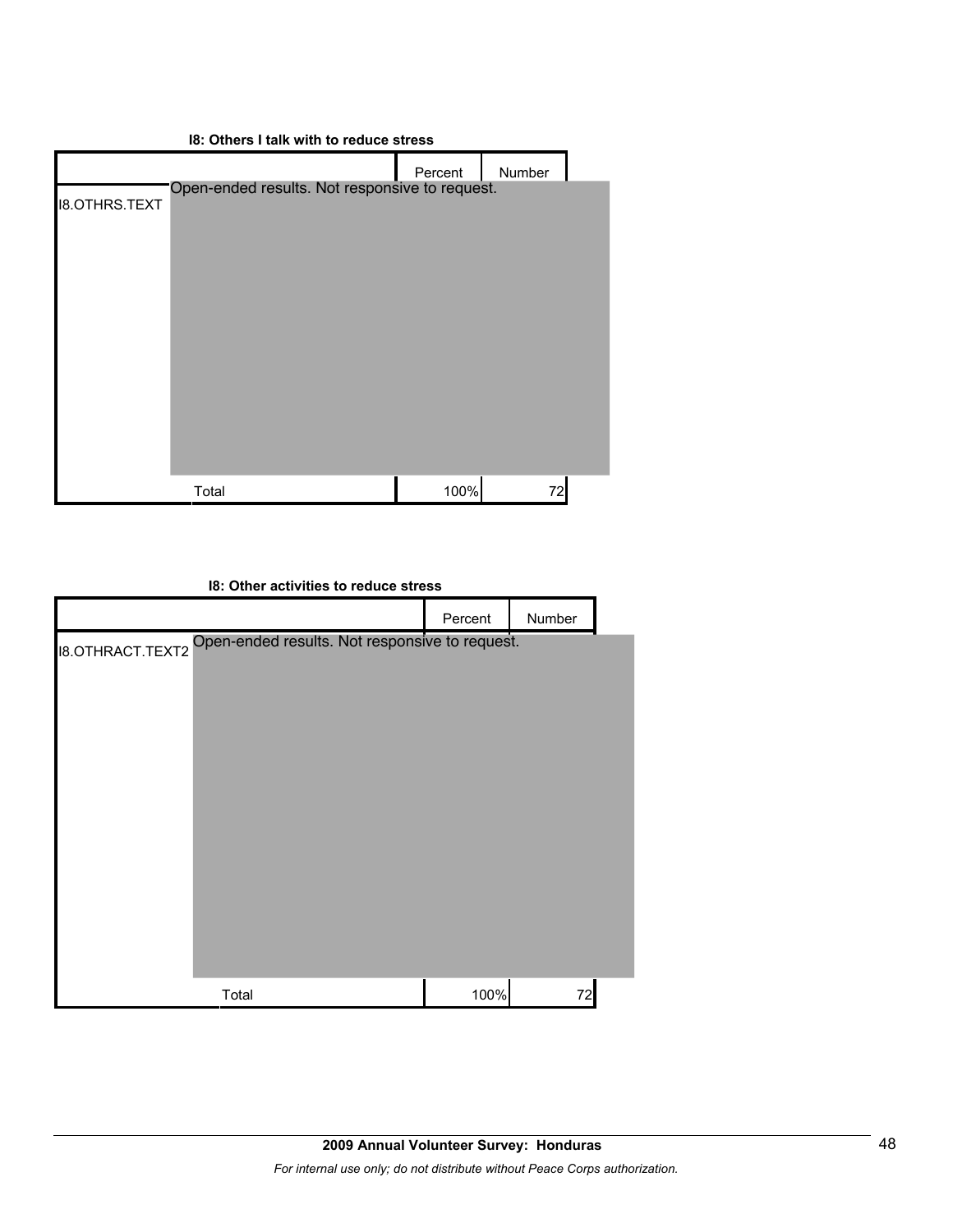| 18: Others I talk with to reduce stress |                                                |         |        |  |  |
|-----------------------------------------|------------------------------------------------|---------|--------|--|--|
|                                         |                                                | Percent | Number |  |  |
| <b>I8.OTHRS.TEXT</b>                    | Open-ended results. Not responsive to request. |         |        |  |  |
|                                         | Total                                          | 100%    | 72     |  |  |

| 18: Other activities to reduce stress |                                                |         |        |  |  |
|---------------------------------------|------------------------------------------------|---------|--------|--|--|
|                                       |                                                | Percent | Number |  |  |
| <b>18.OTHRACT.TEXT2</b>               | Open-ended results. Not responsive to request. |         |        |  |  |
|                                       | Total                                          | 100%    | 72     |  |  |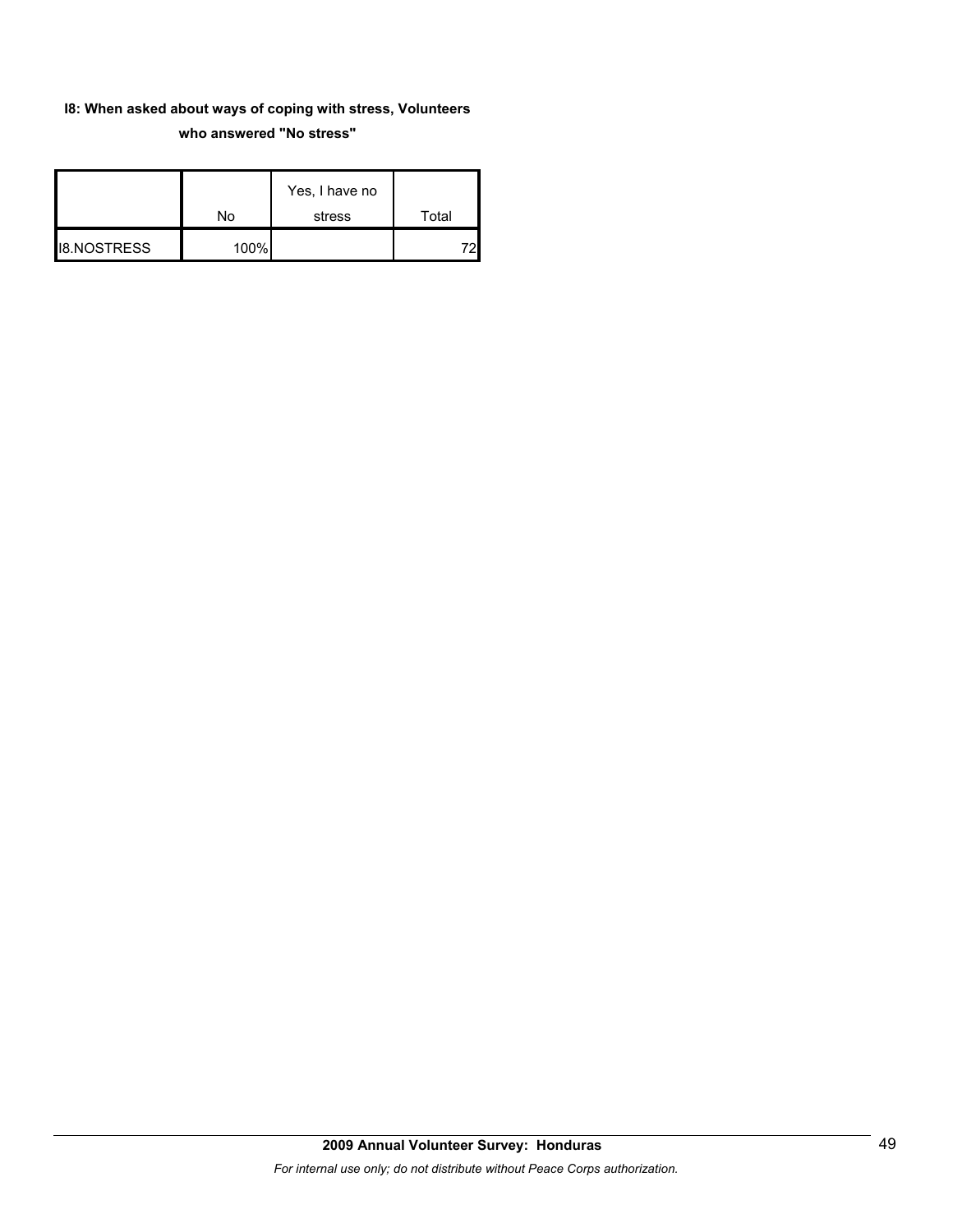## **I8: When asked about ways of coping with stress, Volunteers who answered "No stress"**

|                    |      | Yes, I have no |       |
|--------------------|------|----------------|-------|
|                    | No   | stress         | Total |
| <b>I8.NOSTRESS</b> | 100% |                |       |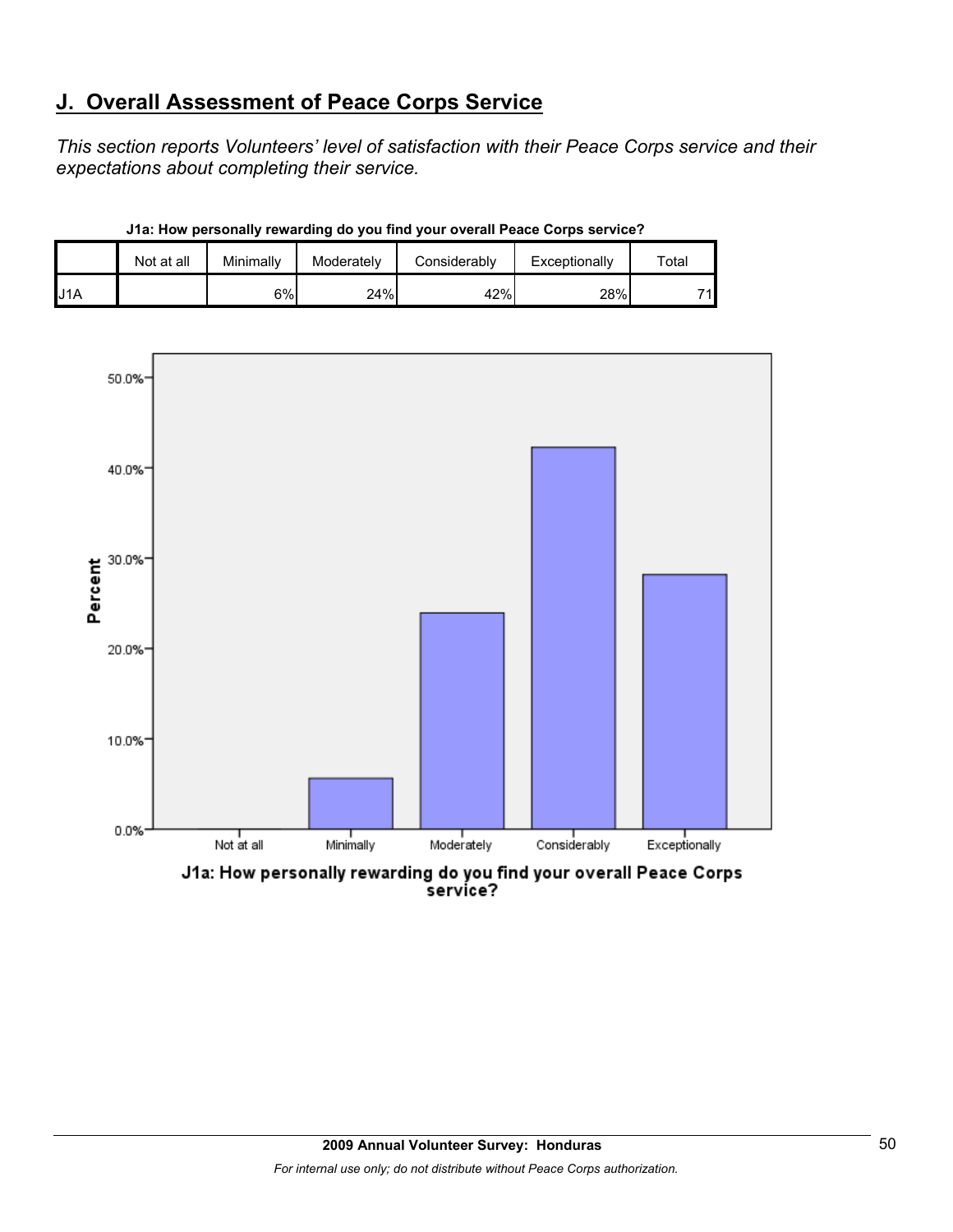# **J. Overall Assessment of Peace Corps Service**

*This section reports Volunteers' level of satisfaction with their Peace Corps service and their expectations about completing their service.* 

|                  | Not at all | Minimally | Moderately | Considerably | Exceptionally | $\tau$ otar |
|------------------|------------|-----------|------------|--------------|---------------|-------------|
| J <sub>1</sub> A |            | 6%        | 24%        | 42%          | 28%           | 71          |

**J1a: How personally rewarding do you find your overall Peace Corps service?**



J1a: How personally rewarding do you find your overall Peace Corps<br>service?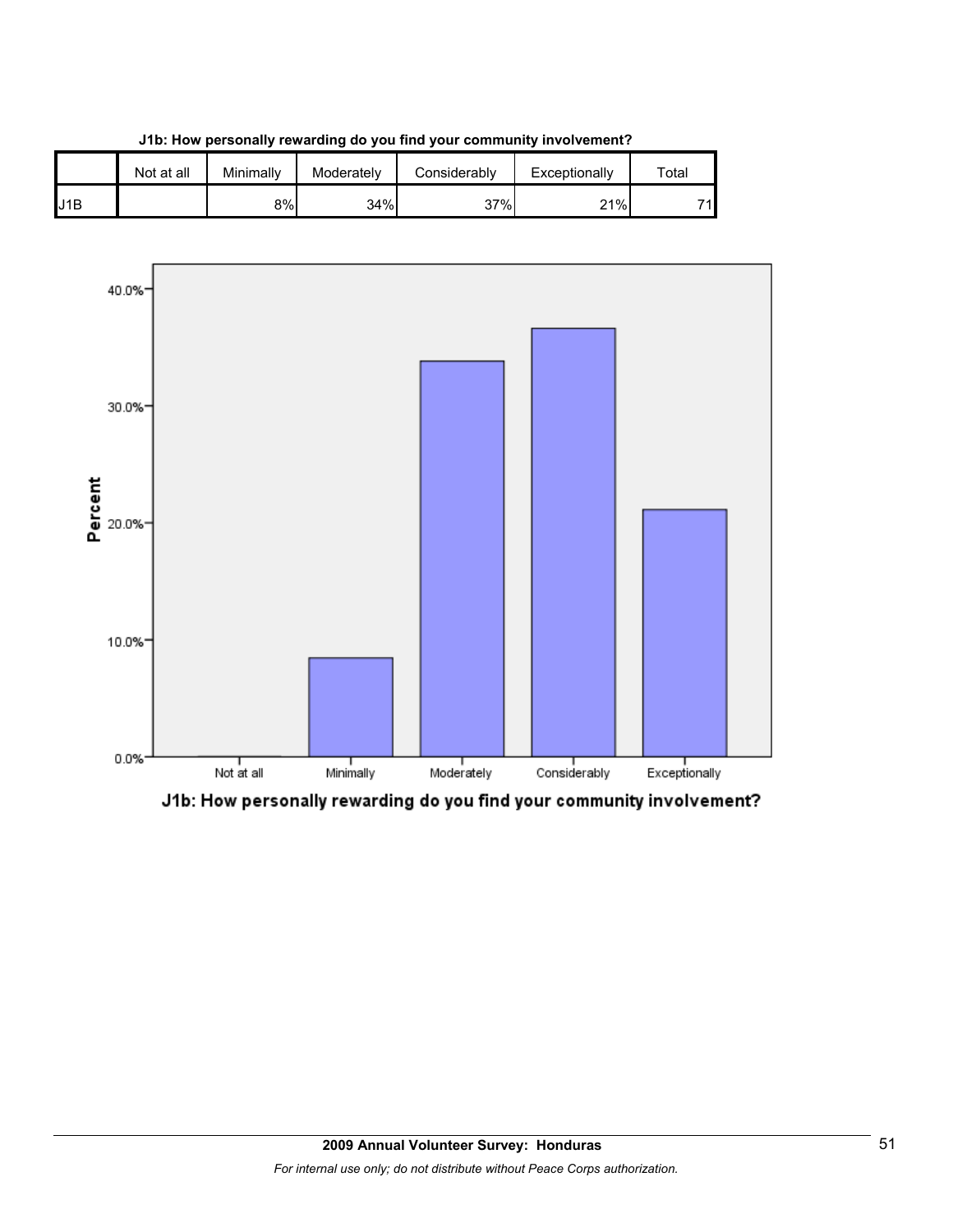

**J1b: How personally rewarding do you find your community involvement?**



J1b: How personally rewarding do you find your community involvement?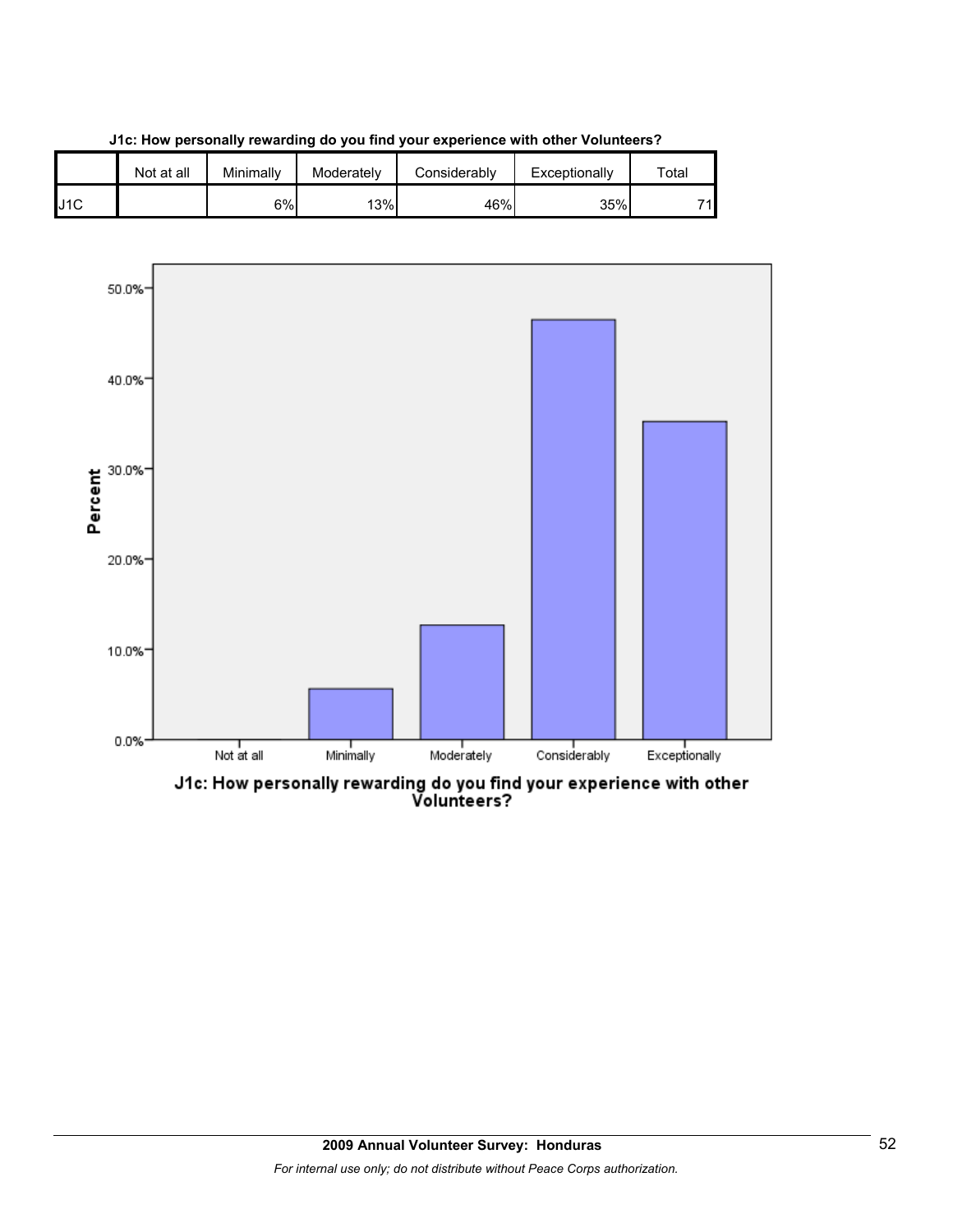





J1c: How personally rewarding do you find your experience with other<br>Volunteers?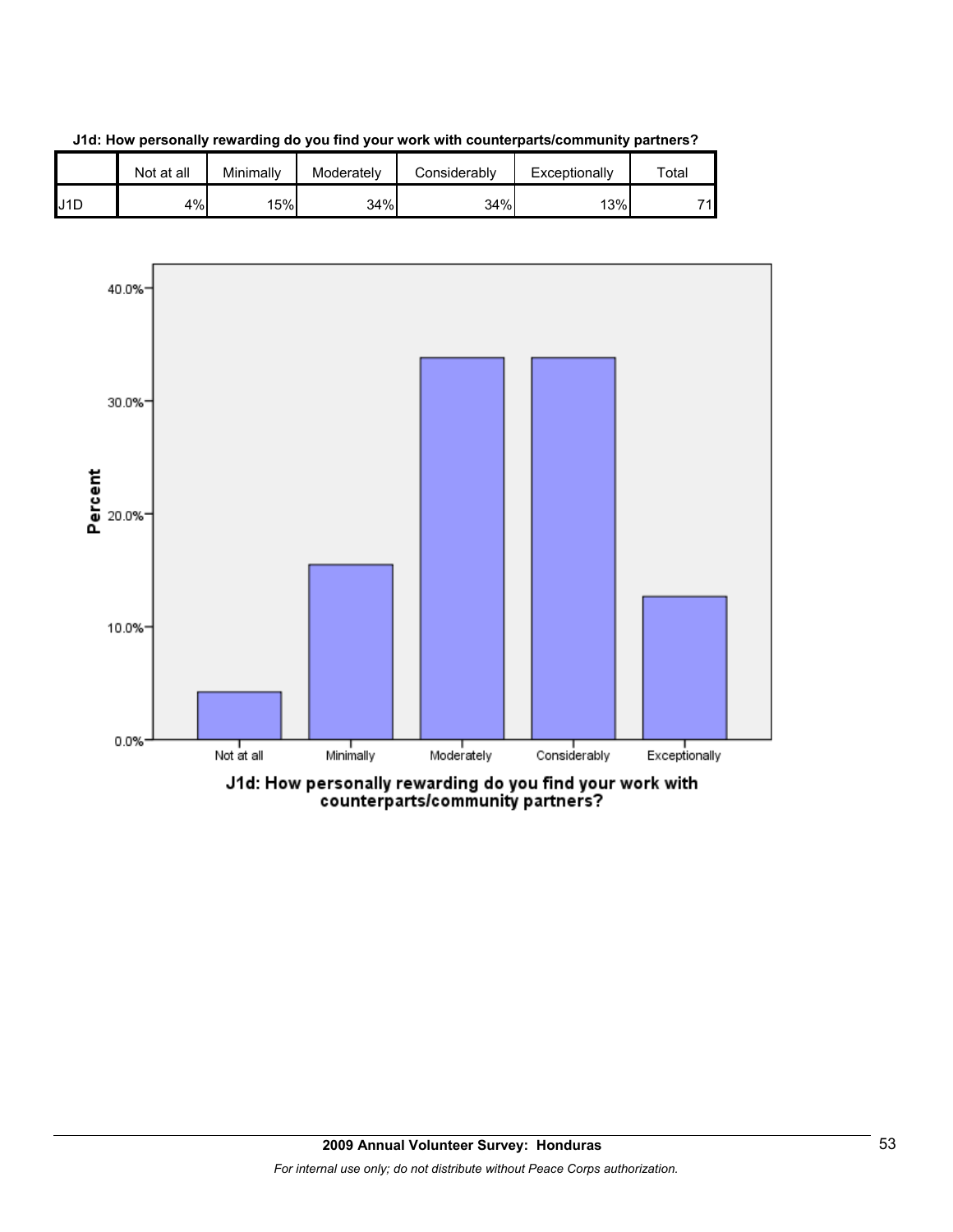

**J1d: How personally rewarding do you find your work with counterparts/community partners?**



counterparts/community partners?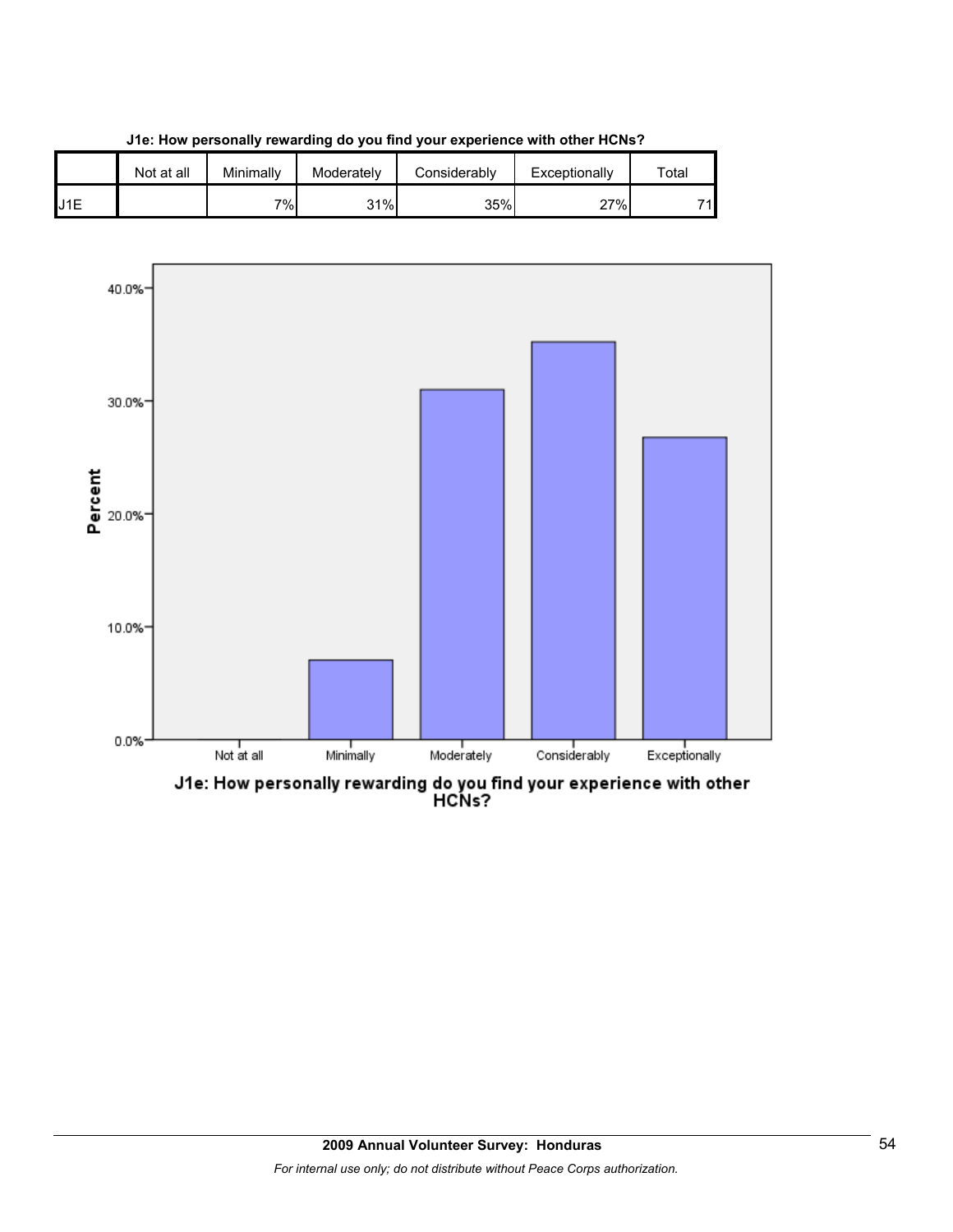



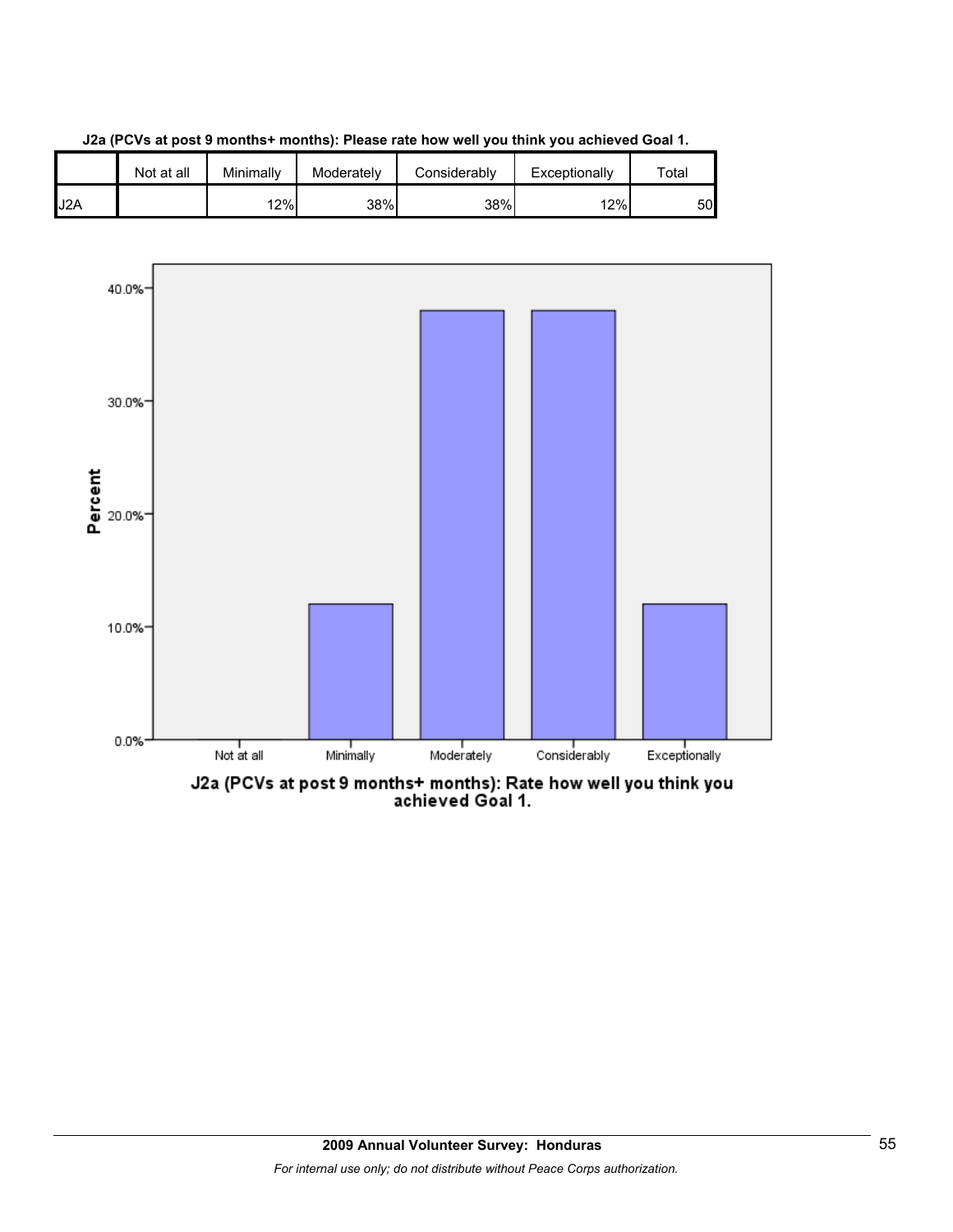





J2a (PCVs at post 9 months+ months): Rate how well you think you<br>achieved Goal 1.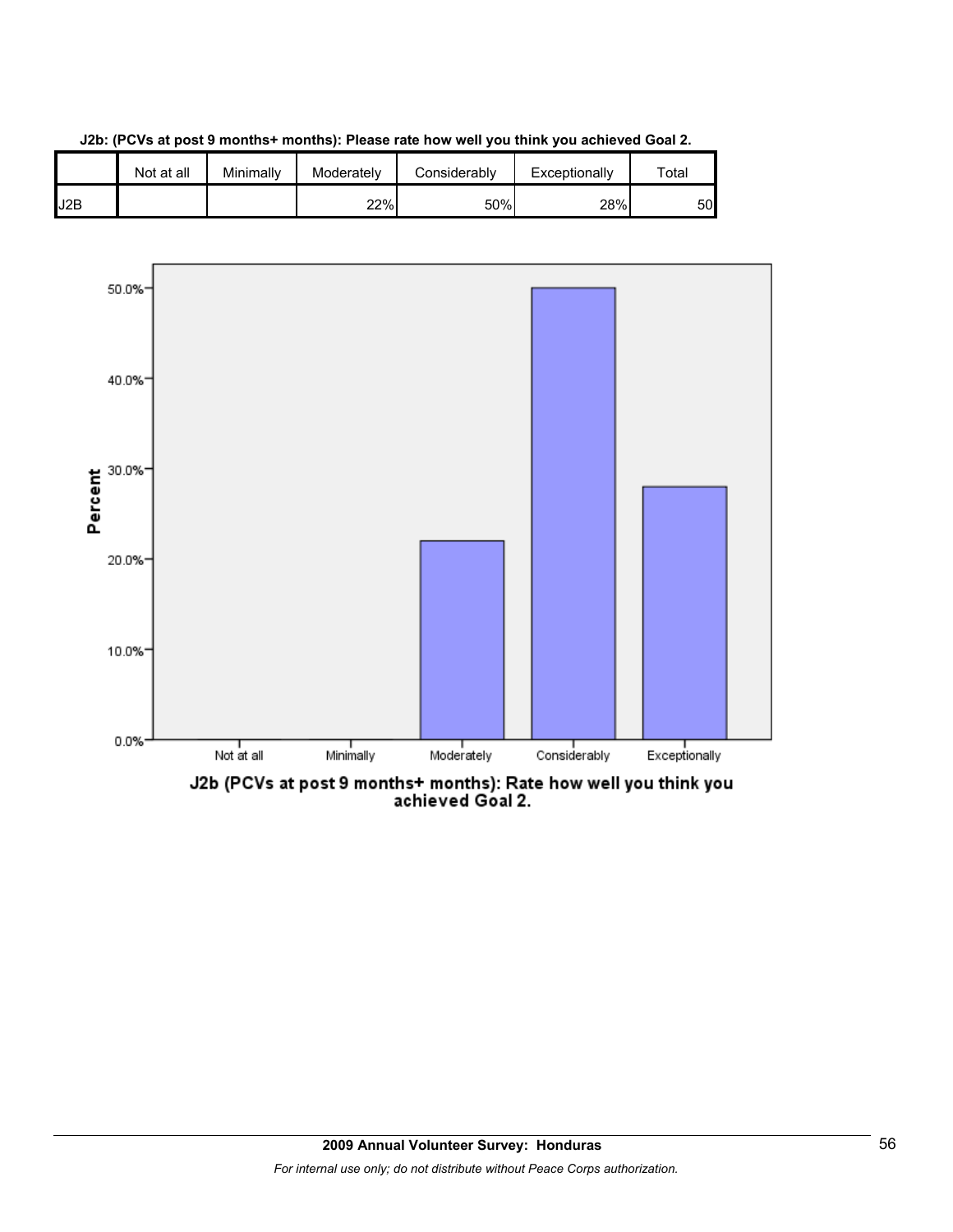

**J2b: (PCVs at post 9 months+ months): Please rate how well you think you achieved Goal 2.**

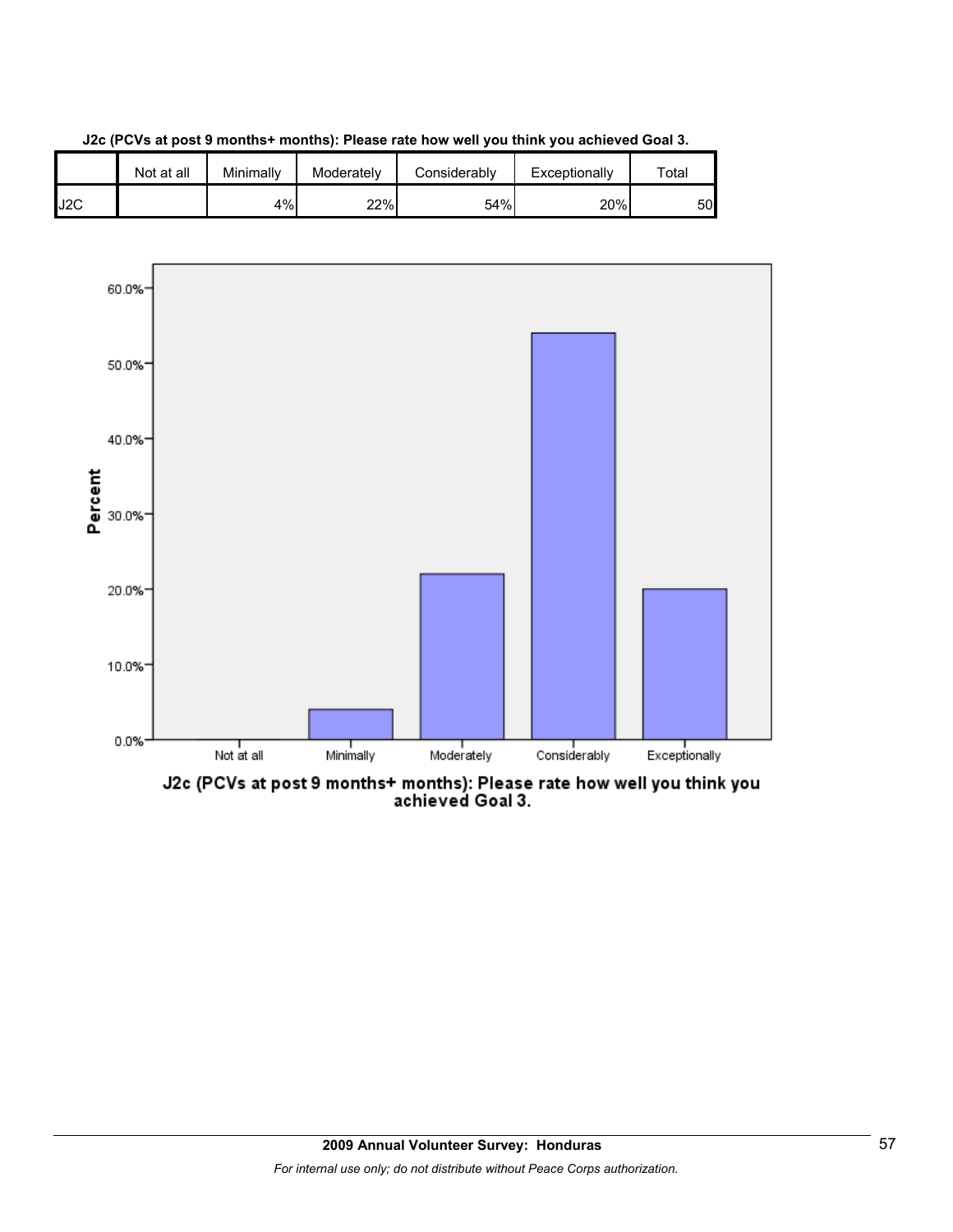





J2c (PCVs at post 9 months+ months): Please rate how well you think you<br>achieved Goal 3.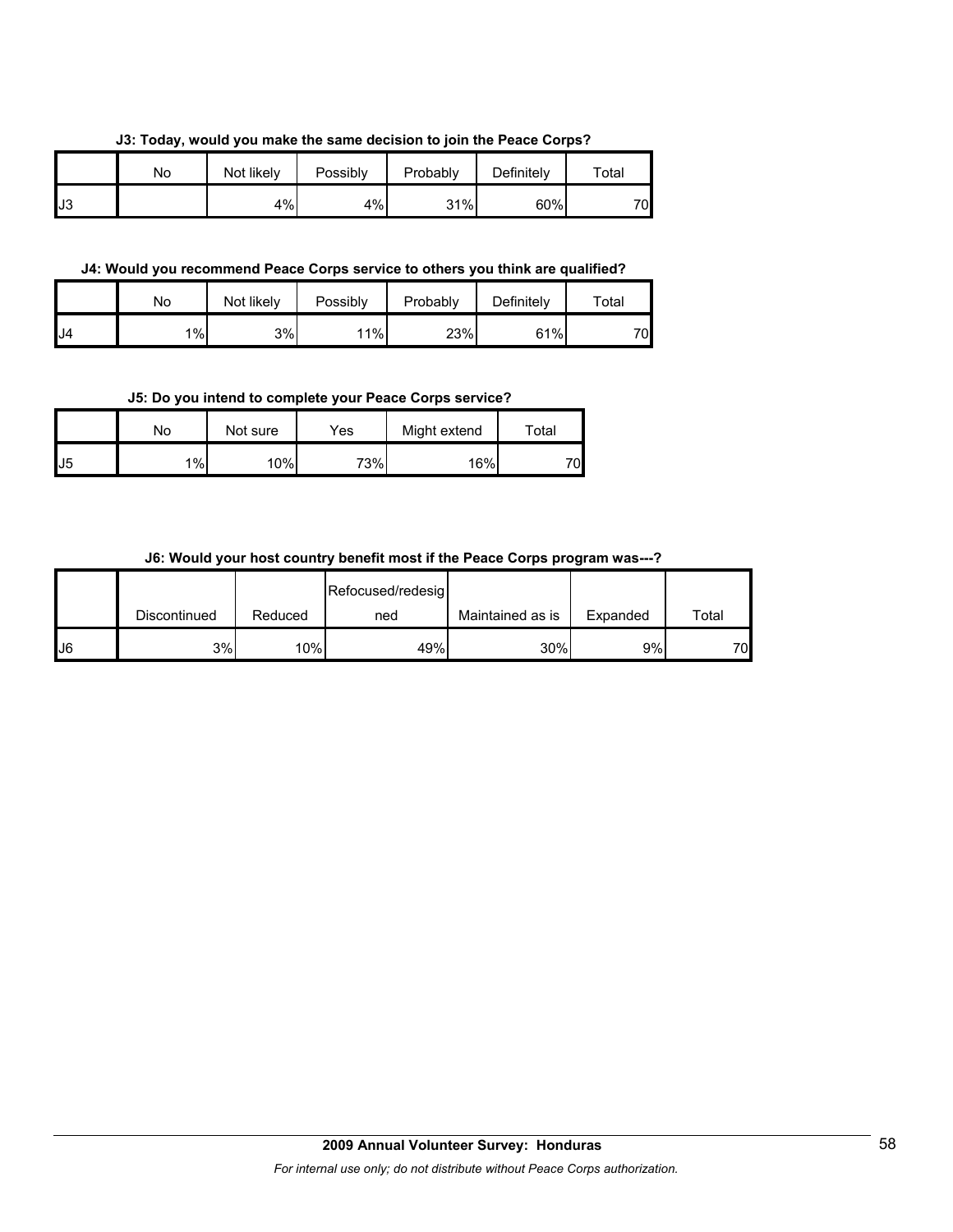|  | J3: Today, would you make the same decision to join the Peace Corps? |  |  |  |  |
|--|----------------------------------------------------------------------|--|--|--|--|
|  |                                                                      |  |  |  |  |

|     | No | Not likely | Possibly | Probably | Definitely | $\tau$ otal |
|-----|----|------------|----------|----------|------------|-------------|
| IJ3 |    | 4%         | 4%       | 31%      | 60%        | 70          |

#### **J4: Would you recommend Peace Corps service to others you think are qualified?**

|     | No    | Not likely | Possibly | Probably | Definitely | $\tau$ otal |
|-----|-------|------------|----------|----------|------------|-------------|
| IJ4 | $1\%$ | 3%         | 11%      | 23%      | 61%        | 70          |

#### **J5: Do you intend to complete your Peace Corps service?**

|                | No | Not sure | Yes | Might extend | $\tau$ otal |
|----------------|----|----------|-----|--------------|-------------|
| J <sub>5</sub> | 1% | 10%      | 73% | 16%          | 70          |

## **J6: Would your host country benefit most if the Peace Corps program was---?**

|    |              |         | Refocused/redesig |                  |          |       |
|----|--------------|---------|-------------------|------------------|----------|-------|
|    | Discontinued | Reduced | ned               | Maintained as is | Expanded | Total |
| J6 | 3%           | 10%     | 49%               | 30%              | 9%       | 70    |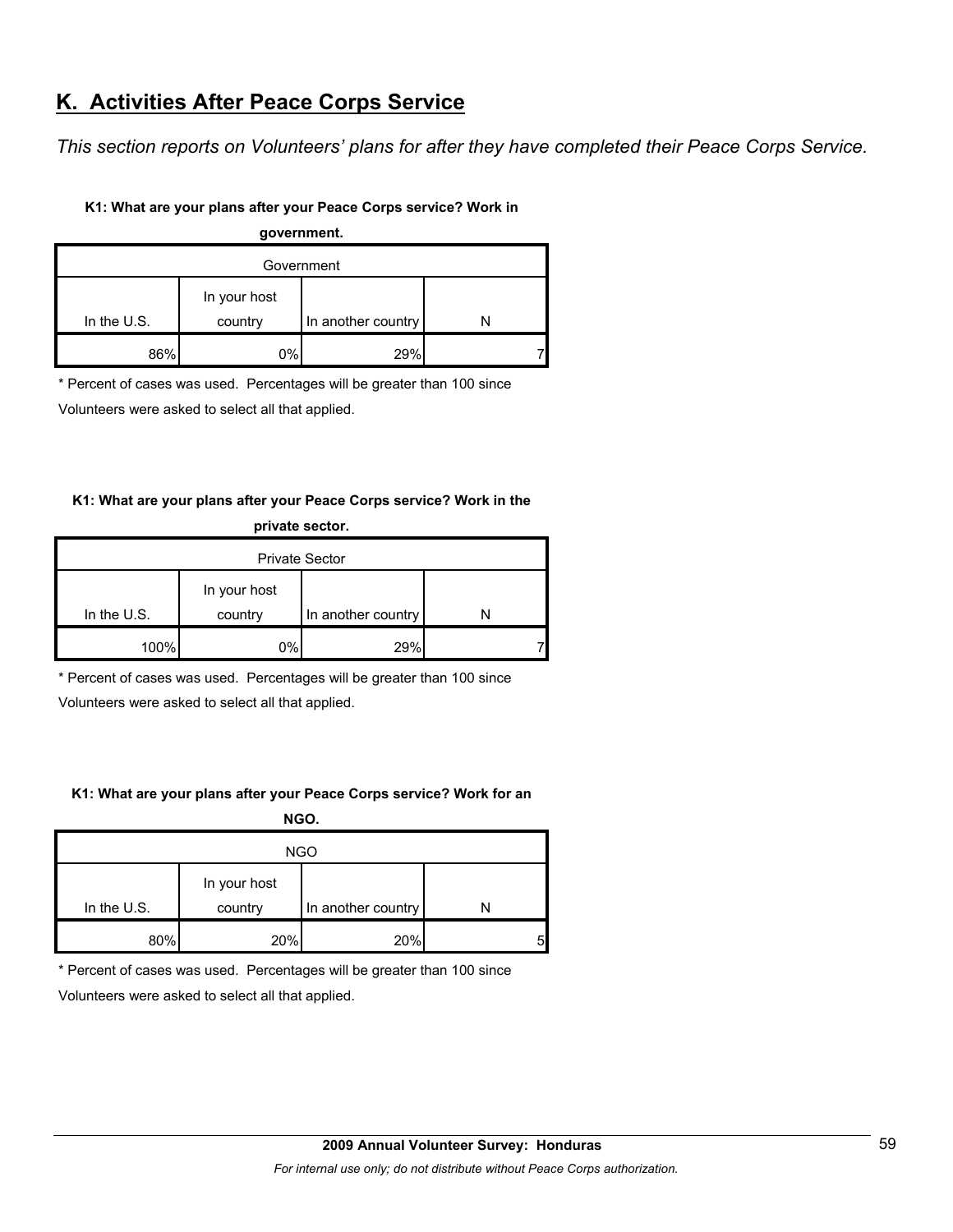# **K. Activities After Peace Corps Service**

*This section reports on Volunteers' plans for after they have completed their Peace Corps Service.* 

## **K1: What are your plans after your Peace Corps service? Work in**

| government. |              |                    |  |  |  |  |  |
|-------------|--------------|--------------------|--|--|--|--|--|
| Government  |              |                    |  |  |  |  |  |
|             | In your host |                    |  |  |  |  |  |
| In the U.S. | country      | In another country |  |  |  |  |  |
| 86%         | 0%           | 29%                |  |  |  |  |  |

\* Percent of cases was used. Percentages will be greater than 100 since

Volunteers were asked to select all that applied.

## **K1: What are your plans after your Peace Corps service? Work in the private sector.**

| .                     |                         |                    |  |  |  |  |  |
|-----------------------|-------------------------|--------------------|--|--|--|--|--|
| <b>Private Sector</b> |                         |                    |  |  |  |  |  |
| In the $U.S.$         | In your host<br>country | In another country |  |  |  |  |  |
| 100%                  | 0%                      | 29%                |  |  |  |  |  |

\* Percent of cases was used. Percentages will be greater than 100 since

Volunteers were asked to select all that applied.

## **K1: What are your plans after your Peace Corps service? Work for an**

**NGO.**

| <b>NGO</b>    |              |                    |   |  |  |  |
|---------------|--------------|--------------------|---|--|--|--|
|               | In your host |                    |   |  |  |  |
| In the $U.S.$ | country      | In another country |   |  |  |  |
| 80%           | 20%          | 20%                | 5 |  |  |  |

\* Percent of cases was used. Percentages will be greater than 100 since

Volunteers were asked to select all that applied.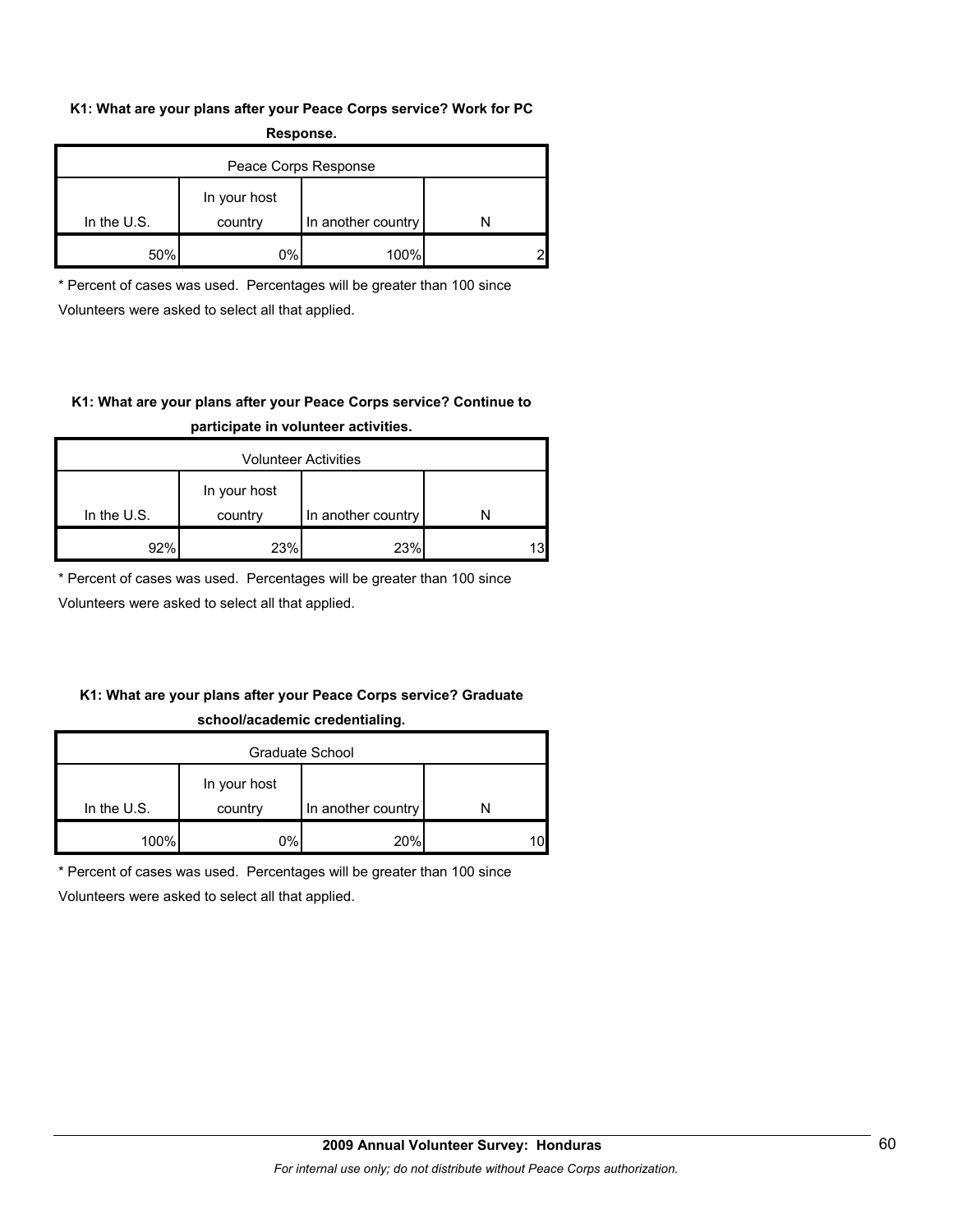#### **K1: What are your plans after your Peace Corps service? Work for PC Response.**

| .                    |                         |                    |  |  |  |  |  |
|----------------------|-------------------------|--------------------|--|--|--|--|--|
| Peace Corps Response |                         |                    |  |  |  |  |  |
| In the $U.S.$        | In your host<br>country | In another country |  |  |  |  |  |
|                      |                         |                    |  |  |  |  |  |
| 50%                  | 0%                      | 100%               |  |  |  |  |  |

\* Percent of cases was used. Percentages will be greater than 100 since Volunteers were asked to select all that applied.

## **K1: What are your plans after your Peace Corps service? Continue to participate in volunteer activities.**

| <b>Volunteer Activities</b> |                         |                    |    |  |  |  |
|-----------------------------|-------------------------|--------------------|----|--|--|--|
| In the $U.S.$               | In your host<br>country | In another country |    |  |  |  |
| Q9%                         | 23%                     | 23%                | 13 |  |  |  |

\* Percent of cases was used. Percentages will be greater than 100 since

Volunteers were asked to select all that applied.

## **K1: What are your plans after your Peace Corps service? Graduate school/academic credentialing.**

| Graduate School |              |                    |    |  |  |  |
|-----------------|--------------|--------------------|----|--|--|--|
|                 | In your host |                    |    |  |  |  |
| In the $U.S.$   | country      | In another country |    |  |  |  |
| 100%            | 0%l          | 20%                | 10 |  |  |  |

\* Percent of cases was used. Percentages will be greater than 100 since

Volunteers were asked to select all that applied.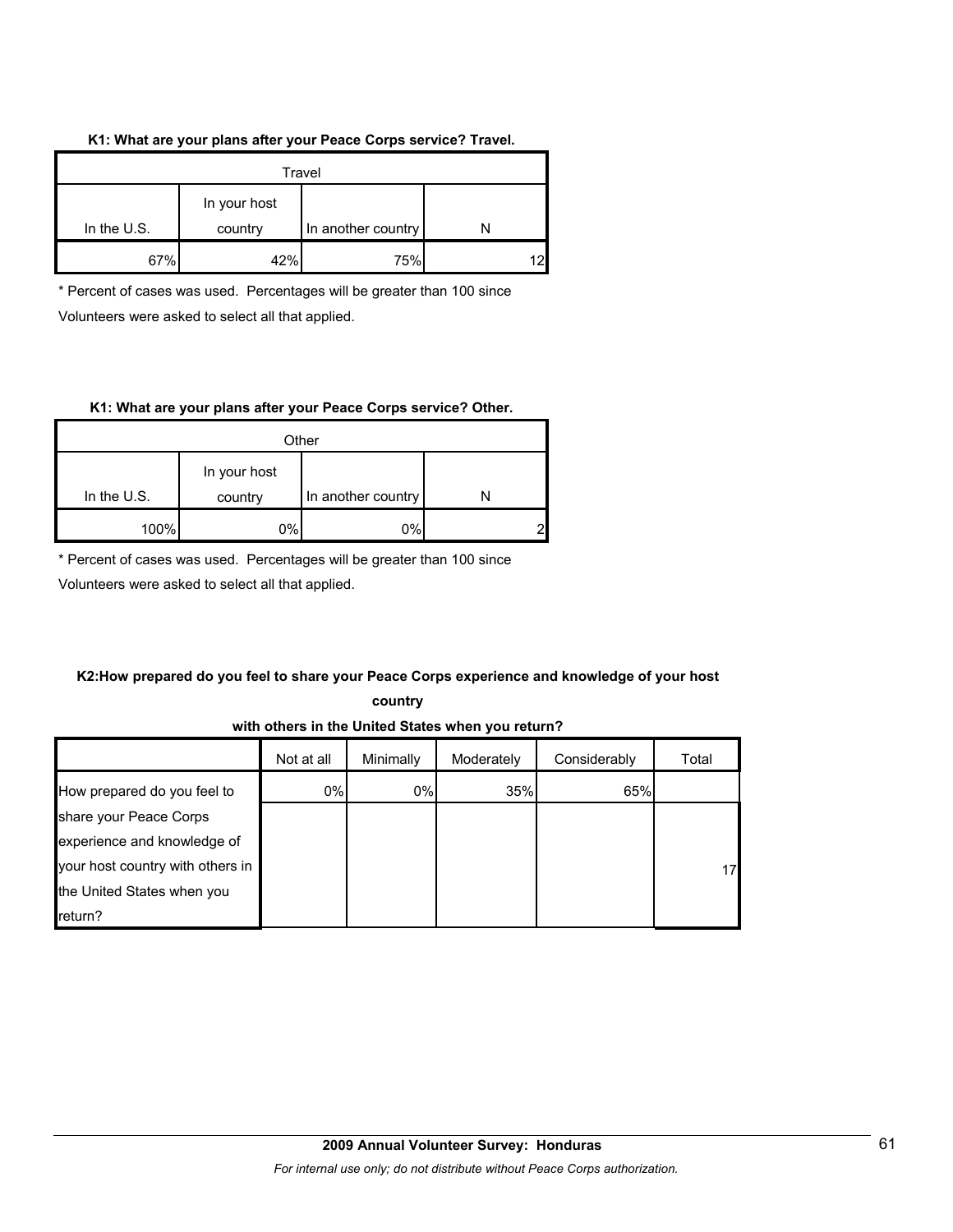#### **K1: What are your plans after your Peace Corps service? Travel.**

| Travel                                                         |     |     |  |
|----------------------------------------------------------------|-----|-----|--|
| In your host<br>In the $U.S.$<br>In another country<br>country |     |     |  |
| 67%                                                            | 42% | 75% |  |

\* Percent of cases was used. Percentages will be greater than 100 since Volunteers were asked to select all that applied.

#### **K1: What are your plans after your Peace Corps service? Other.**

| Other         |                                               |    |   |  |
|---------------|-----------------------------------------------|----|---|--|
| In the $U.S.$ | In your host<br>In another country<br>country |    |   |  |
|               |                                               |    |   |  |
| 100%          | 0%                                            | 0% | ⌒ |  |

\* Percent of cases was used. Percentages will be greater than 100 since

Volunteers were asked to select all that applied.

## **K2:How prepared do you feel to share your Peace Corps experience and knowledge of your host**

**country** 

## **with others in the United States when you return?**

|                                  | Not at all | Minimally | Moderately | Considerably | Total |
|----------------------------------|------------|-----------|------------|--------------|-------|
| How prepared do you feel to      | 0%         | 0%        | 35%        | 65%          |       |
| share your Peace Corps           |            |           |            |              |       |
| experience and knowledge of      |            |           |            |              |       |
| your host country with others in |            |           |            |              | 17    |
| the United States when you       |            |           |            |              |       |
| return?                          |            |           |            |              |       |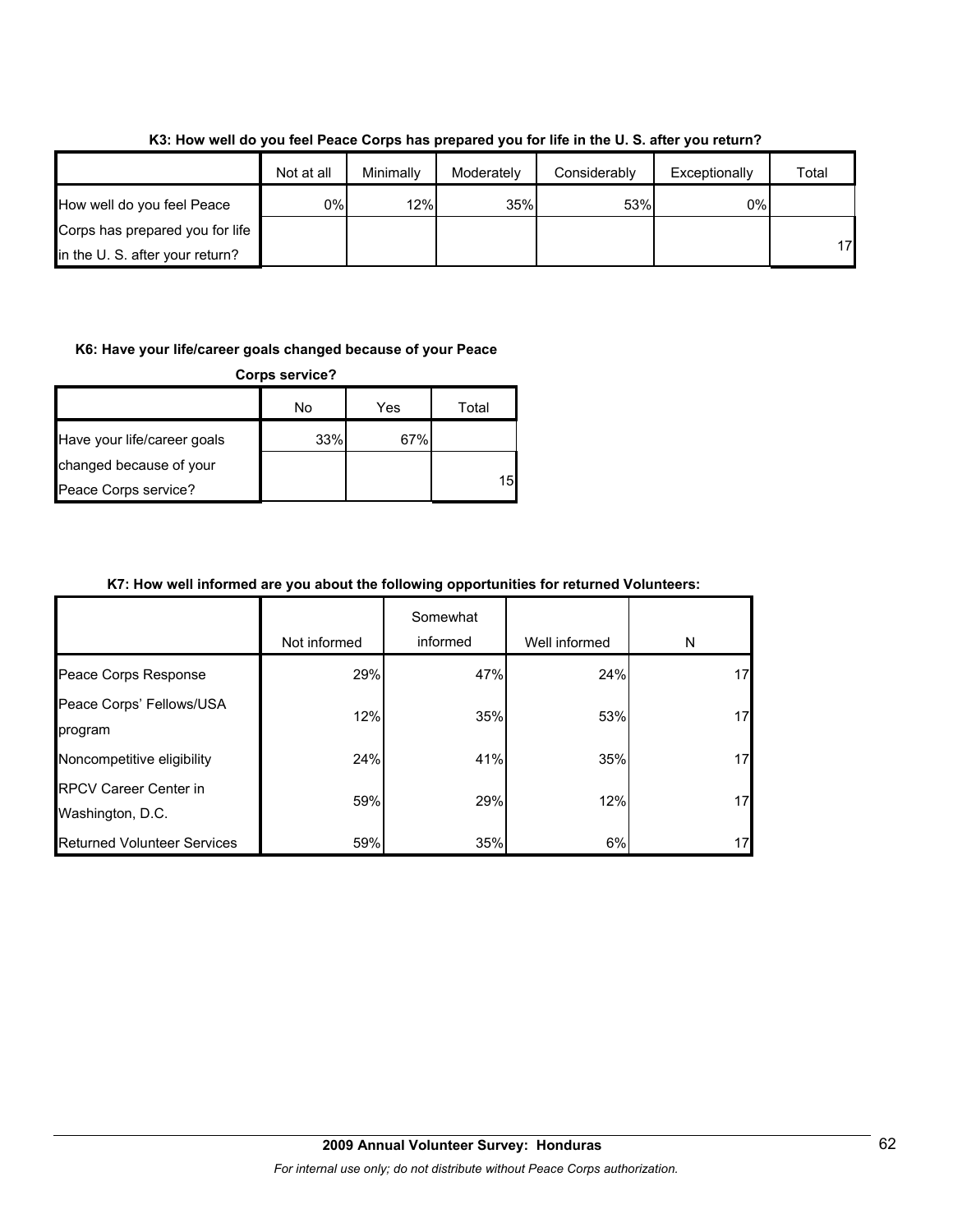|                                 | Not at all | Minimally | Moderately | Considerably | Exceptionally | Total |
|---------------------------------|------------|-----------|------------|--------------|---------------|-------|
| How well do you feel Peace      | 0%l        | 12%       | 35%        | 53%          | 0%            |       |
| Corps has prepared you for life |            |           |            |              |               |       |
| in the U.S. after your return?  |            |           |            |              |               | 17    |

**K3: How well do you feel Peace Corps has prepared you for life in the U. S. after you return?**

#### **K6: Have your life/career goals changed because of your Peace**

| <b>Corps service?</b>       |     |     |       |  |
|-----------------------------|-----|-----|-------|--|
|                             | No  | Yes | Total |  |
| Have your life/career goals | 33% | 67% |       |  |
| changed because of your     |     |     |       |  |
| Peace Corps service?        |     |     | 15    |  |

## **K7: How well informed are you about the following opportunities for returned Volunteers:**

|                                                  | Not informed | Somewhat<br>informed | Well informed | N  |
|--------------------------------------------------|--------------|----------------------|---------------|----|
| Peace Corps Response                             | 29%          | 47%                  | 24%           | 17 |
| Peace Corps' Fellows/USA<br>program              | 12%          | 35%                  | 53%           | 17 |
| Noncompetitive eligibility                       | 24%          | 41%                  | 35%           | 17 |
| <b>RPCV Career Center in</b><br>Washington, D.C. | 59%          | 29%                  | 12%           | 17 |
| <b>Returned Volunteer Services</b>               | 59%          | 35%                  | 6%            | 17 |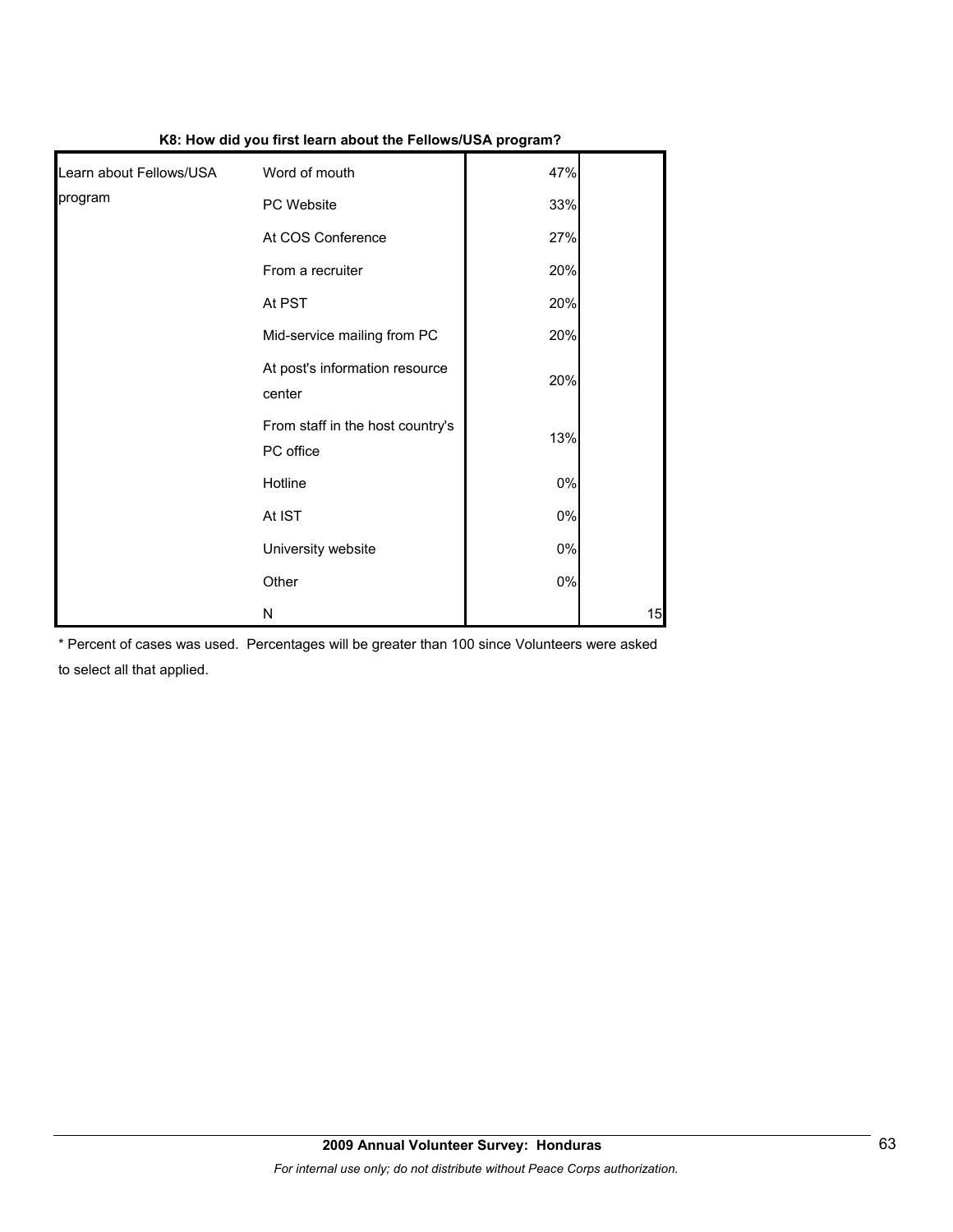|                         |                                               | .     |    |
|-------------------------|-----------------------------------------------|-------|----|
| Learn about Fellows/USA | Word of mouth                                 | 47%   |    |
| program                 | PC Website                                    | 33%   |    |
|                         | At COS Conference                             | 27%   |    |
|                         | From a recruiter                              | 20%   |    |
|                         | At PST                                        | 20%   |    |
|                         | Mid-service mailing from PC                   | 20%   |    |
|                         | At post's information resource<br>center      | 20%   |    |
|                         | From staff in the host country's<br>PC office | 13%   |    |
|                         | Hotline                                       | $0\%$ |    |
|                         | At IST                                        | $0\%$ |    |
|                         | University website                            | $0\%$ |    |
|                         | Other                                         | $0\%$ |    |
|                         | N                                             |       | 15 |

**K8: How did you first learn about the Fellows/USA program?**

\* Percent of cases was used. Percentages will be greater than 100 since Volunteers were asked to select all that applied.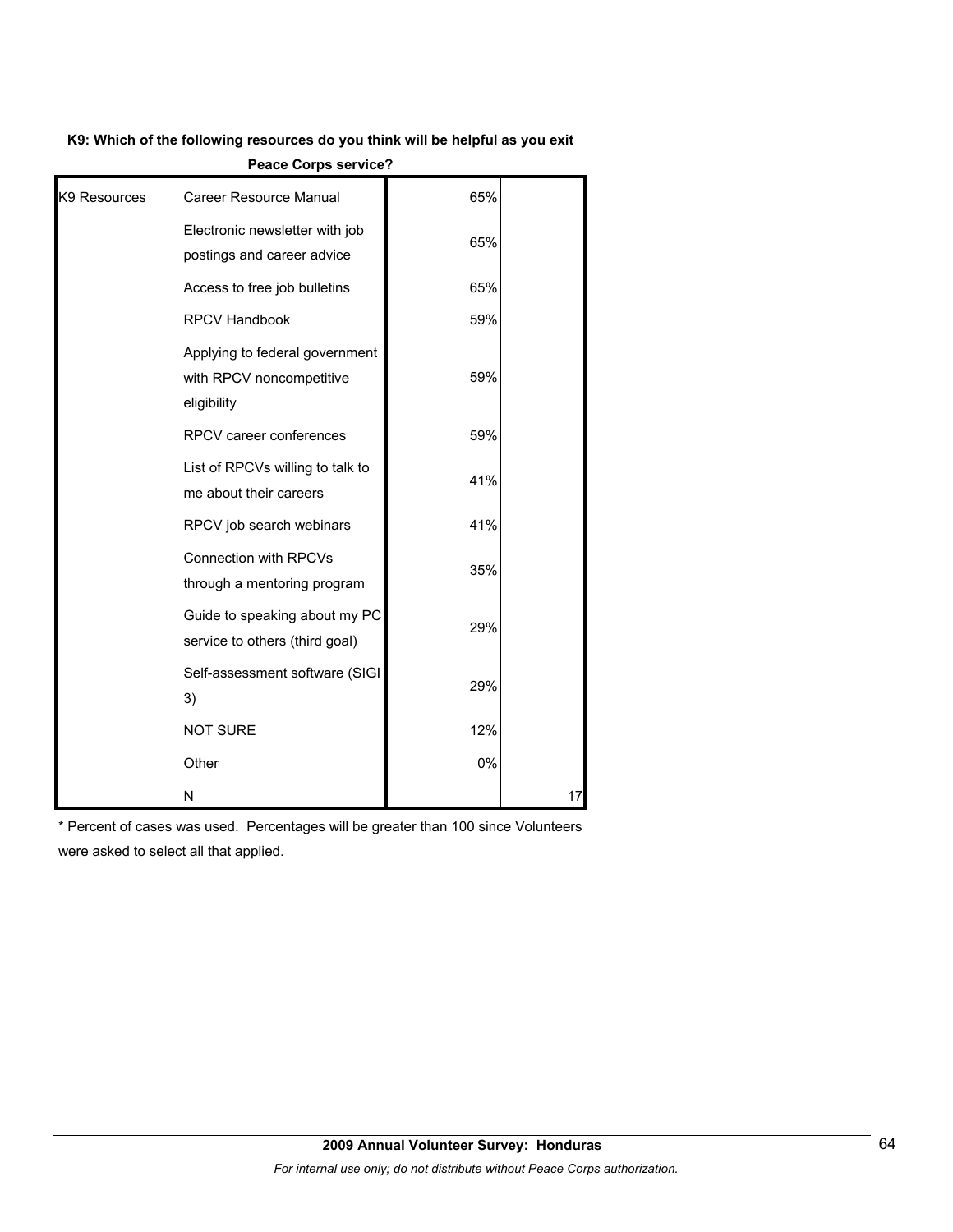#### **K9: Which of the following resources do you think will be helpful as you exit**

|  | <b>Peace Corps service?</b> |
|--|-----------------------------|

| K <sub>9</sub> Resources | <b>Career Resource Manual</b>                                             | 65% |    |
|--------------------------|---------------------------------------------------------------------------|-----|----|
|                          | Electronic newsletter with job<br>postings and career advice              | 65% |    |
|                          | Access to free job bulletins                                              | 65% |    |
|                          | <b>RPCV Handbook</b>                                                      | 59% |    |
|                          | Applying to federal government<br>with RPCV noncompetitive<br>eligibility | 59% |    |
|                          | RPCV career conferences                                                   | 59% |    |
|                          | List of RPCVs willing to talk to<br>me about their careers                | 41% |    |
|                          | RPCV job search webinars                                                  | 41% |    |
|                          | <b>Connection with RPCVs</b><br>through a mentoring program               | 35% |    |
|                          | Guide to speaking about my PC<br>service to others (third goal)           | 29% |    |
|                          | Self-assessment software (SIGI<br>3)                                      | 29% |    |
|                          | <b>NOT SURE</b>                                                           | 12% |    |
|                          | Other                                                                     | 0%  |    |
|                          | N                                                                         |     | 17 |

\* Percent of cases was used. Percentages will be greater than 100 since Volunteers were asked to select all that applied.